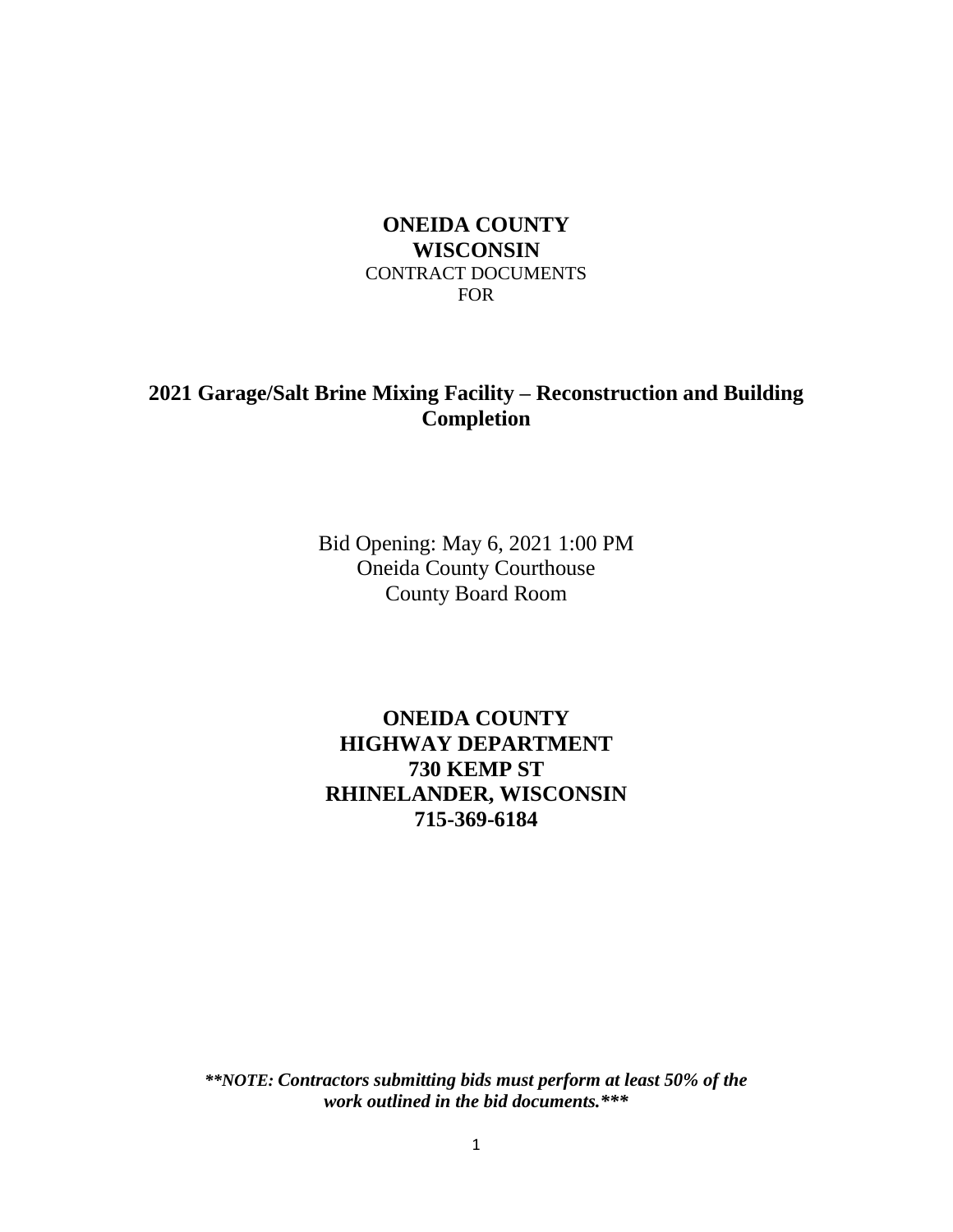# **ONEIDA COUNTY WISCONSIN** CONTRACT DOCUMENTS FOR

# **2021 Garage/Salt Brine Mixing Facility – Reconstruction and Building Completion**

Bid Opening: May 6, 2021 1:00 PM Oneida County Courthouse County Board Room

# **ONEIDA COUNTY HIGHWAY DEPARTMENT 730 KEMP ST RHINELANDER, WISCONSIN 715-369-6184**

*\*\*NOTE: Contractors submitting bids must perform at least 50% of the work outlined in the bid documents.\*\*\**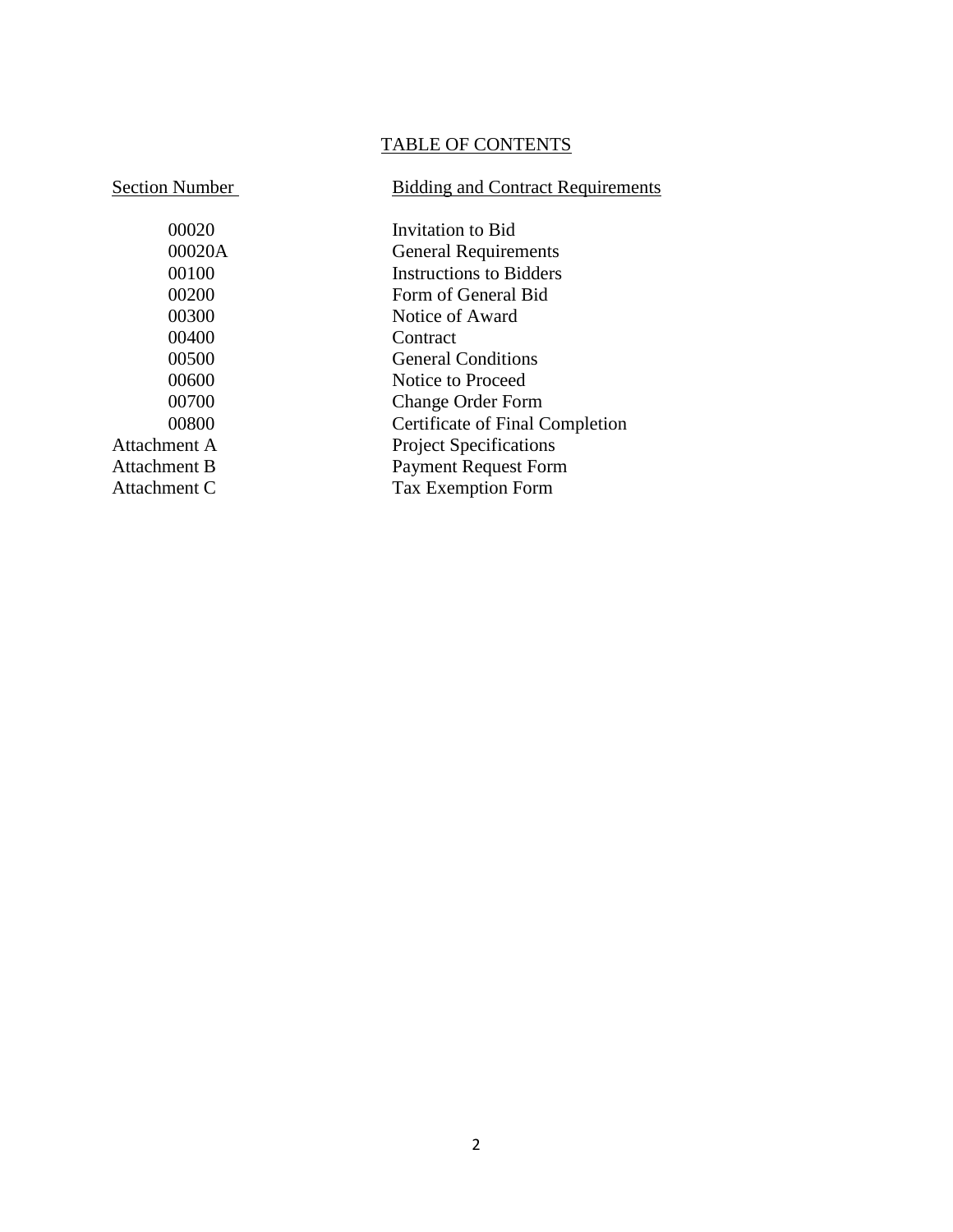# TABLE OF CONTENTS

# Section Number<br>Bidding and Contract Requirements

| 00020        | Invitation to Bid               |
|--------------|---------------------------------|
| 00020A       | <b>General Requirements</b>     |
| 00100        | <b>Instructions to Bidders</b>  |
| 00200        | Form of General Bid             |
| 00300        | Notice of Award                 |
| 00400        | Contract                        |
| 00500        | <b>General Conditions</b>       |
| 00600        | Notice to Proceed               |
| 00700        | <b>Change Order Form</b>        |
| 00800        | Certificate of Final Completion |
| Attachment A | <b>Project Specifications</b>   |
| Attachment B | <b>Payment Request Form</b>     |
| Attachment C | <b>Tax Exemption Form</b>       |
|              |                                 |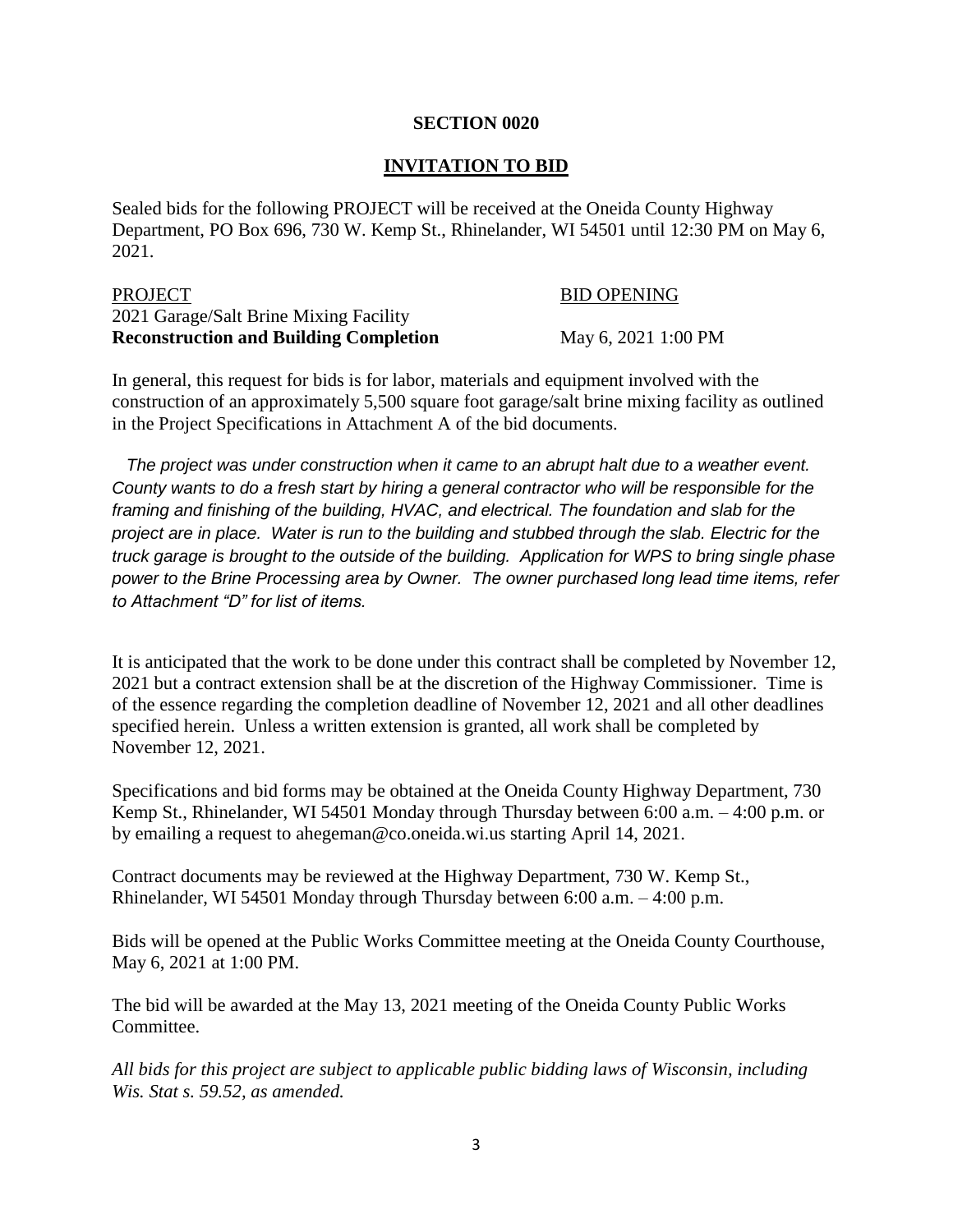#### **SECTION 0020**

#### **INVITATION TO BID**

Sealed bids for the following PROJECT will be received at the Oneida County Highway Department, PO Box 696, 730 W. Kemp St., Rhinelander, WI 54501 until 12:30 PM on May 6, 2021.

| PROJECT                                       | <b>BID OPENING</b>  |
|-----------------------------------------------|---------------------|
| 2021 Garage/Salt Brine Mixing Facility        |                     |
| <b>Reconstruction and Building Completion</b> | May 6, 2021 1:00 PM |

In general, this request for bids is for labor, materials and equipment involved with the construction of an approximately 5,500 square foot garage/salt brine mixing facility as outlined in the Project Specifications in Attachment A of the bid documents.

 *The project was under construction when it came to an abrupt halt due to a weather event. County wants to do a fresh start by hiring a general contractor who will be responsible for the framing and finishing of the building, HVAC, and electrical. The foundation and slab for the project are in place. Water is run to the building and stubbed through the slab. Electric for the truck garage is brought to the outside of the building. Application for WPS to bring single phase power to the Brine Processing area by Owner. The owner purchased long lead time items, refer to Attachment "D" for list of items.*

It is anticipated that the work to be done under this contract shall be completed by November 12, 2021 but a contract extension shall be at the discretion of the Highway Commissioner. Time is of the essence regarding the completion deadline of November 12, 2021 and all other deadlines specified herein. Unless a written extension is granted, all work shall be completed by November 12, 2021.

Specifications and bid forms may be obtained at the Oneida County Highway Department, 730 Kemp St., Rhinelander, WI 54501 Monday through Thursday between 6:00 a.m. – 4:00 p.m. or by emailing a request to ahegeman@co.oneida.wi.us starting April 14, 2021.

Contract documents may be reviewed at the Highway Department, 730 W. Kemp St., Rhinelander, WI 54501 Monday through Thursday between 6:00 a.m. – 4:00 p.m.

Bids will be opened at the Public Works Committee meeting at the Oneida County Courthouse, May 6, 2021 at 1:00 PM.

The bid will be awarded at the May 13, 2021 meeting of the Oneida County Public Works Committee.

*All bids for this project are subject to applicable public bidding laws of Wisconsin, including Wis. Stat s. 59.52, as amended.*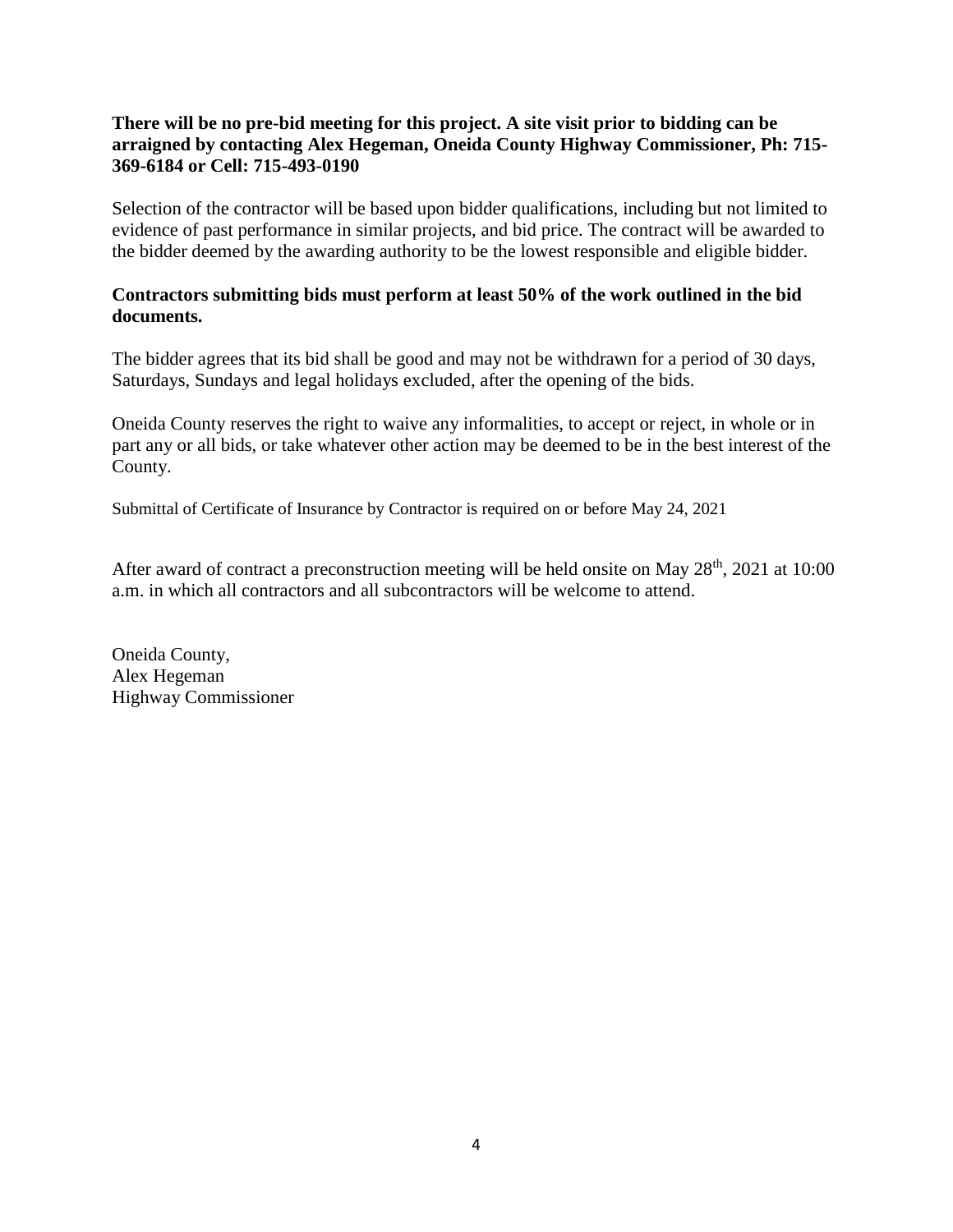#### **There will be no pre-bid meeting for this project. A site visit prior to bidding can be arraigned by contacting Alex Hegeman, Oneida County Highway Commissioner, Ph: 715- 369-6184 or Cell: 715-493-0190**

Selection of the contractor will be based upon bidder qualifications, including but not limited to evidence of past performance in similar projects, and bid price. The contract will be awarded to the bidder deemed by the awarding authority to be the lowest responsible and eligible bidder.

#### **Contractors submitting bids must perform at least 50% of the work outlined in the bid documents.**

The bidder agrees that its bid shall be good and may not be withdrawn for a period of 30 days, Saturdays, Sundays and legal holidays excluded, after the opening of the bids.

Oneida County reserves the right to waive any informalities, to accept or reject, in whole or in part any or all bids, or take whatever other action may be deemed to be in the best interest of the County.

Submittal of Certificate of Insurance by Contractor is required on or before May 24, 2021

After award of contract a preconstruction meeting will be held onsite on May  $28<sup>th</sup>$ , 2021 at 10:00 a.m. in which all contractors and all subcontractors will be welcome to attend.

Oneida County, Alex Hegeman Highway Commissioner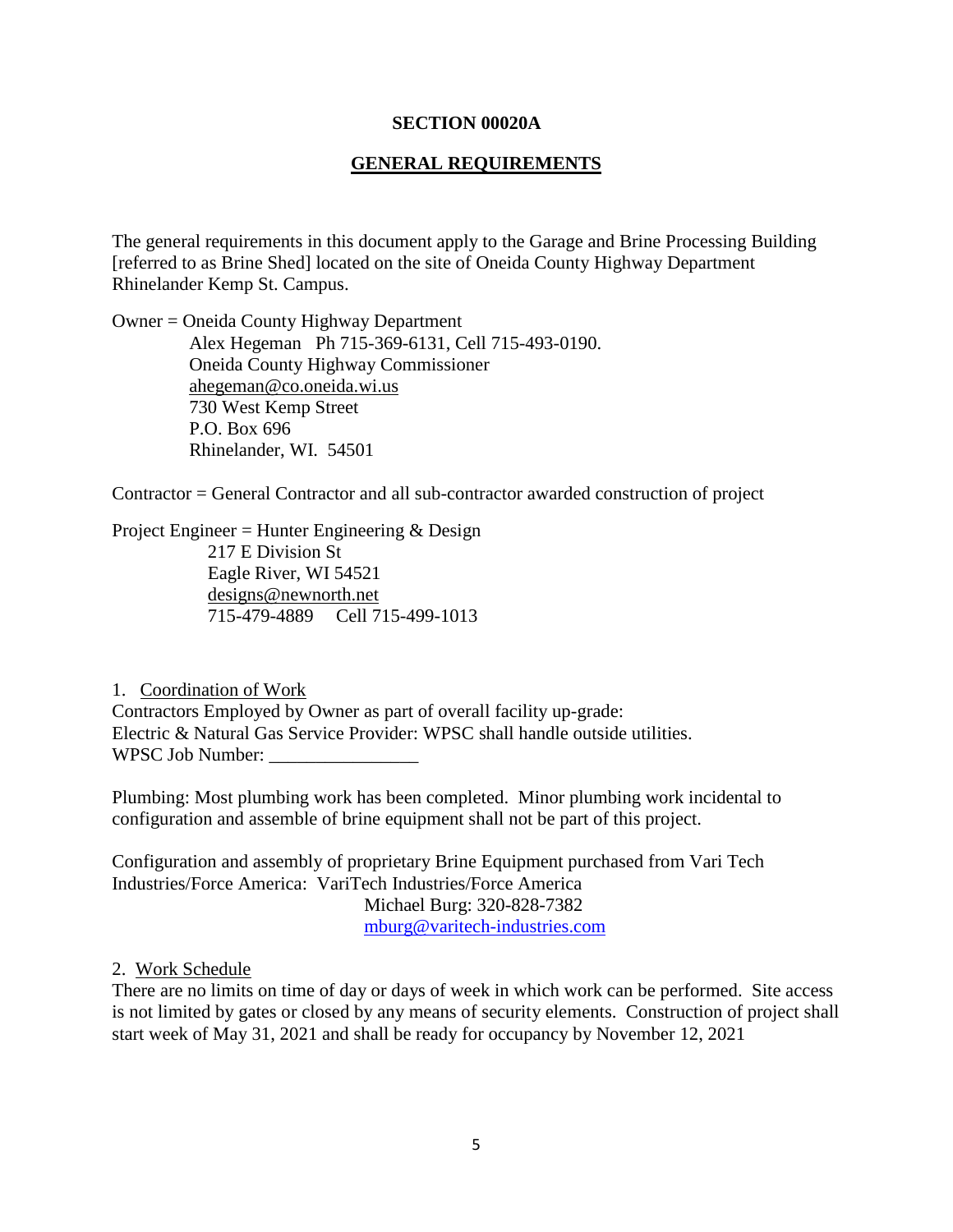#### **SECTION 00020A**

#### **GENERAL REQUIREMENTS**

The general requirements in this document apply to the Garage and Brine Processing Building [referred to as Brine Shed] located on the site of Oneida County Highway Department Rhinelander Kemp St. Campus.

Owner = Oneida County Highway Department Alex Hegeman Ph 715-369-6131, Cell 715-493-0190. Oneida County Highway Commissioner ahegeman@co.oneida.wi.us 730 West Kemp Street P.O. Box 696 Rhinelander, WI. 54501

Contractor = General Contractor and all sub-contractor awarded construction of project

Project Engineer = Hunter Engineering & Design 217 E Division St Eagle River, WI 54521 [designs@newnorth.net](mailto:designs@newnorth.net) 715-479-4889 Cell 715-499-1013

1. Coordination of Work Contractors Employed by Owner as part of overall facility up-grade: Electric & Natural Gas Service Provider: WPSC shall handle outside utilities. WPSC Job Number:

Plumbing: Most plumbing work has been completed. Minor plumbing work incidental to configuration and assemble of brine equipment shall not be part of this project.

Configuration and assembly of proprietary Brine Equipment purchased from Vari Tech Industries/Force America: VariTech Industries/Force America Michael Burg: 320-828-7382 [mburg@varitech-industries.com](mailto:mburg@varitech-industries.com)

#### 2. Work Schedule

There are no limits on time of day or days of week in which work can be performed. Site access is not limited by gates or closed by any means of security elements. Construction of project shall start week of May 31, 2021 and shall be ready for occupancy by November 12, 2021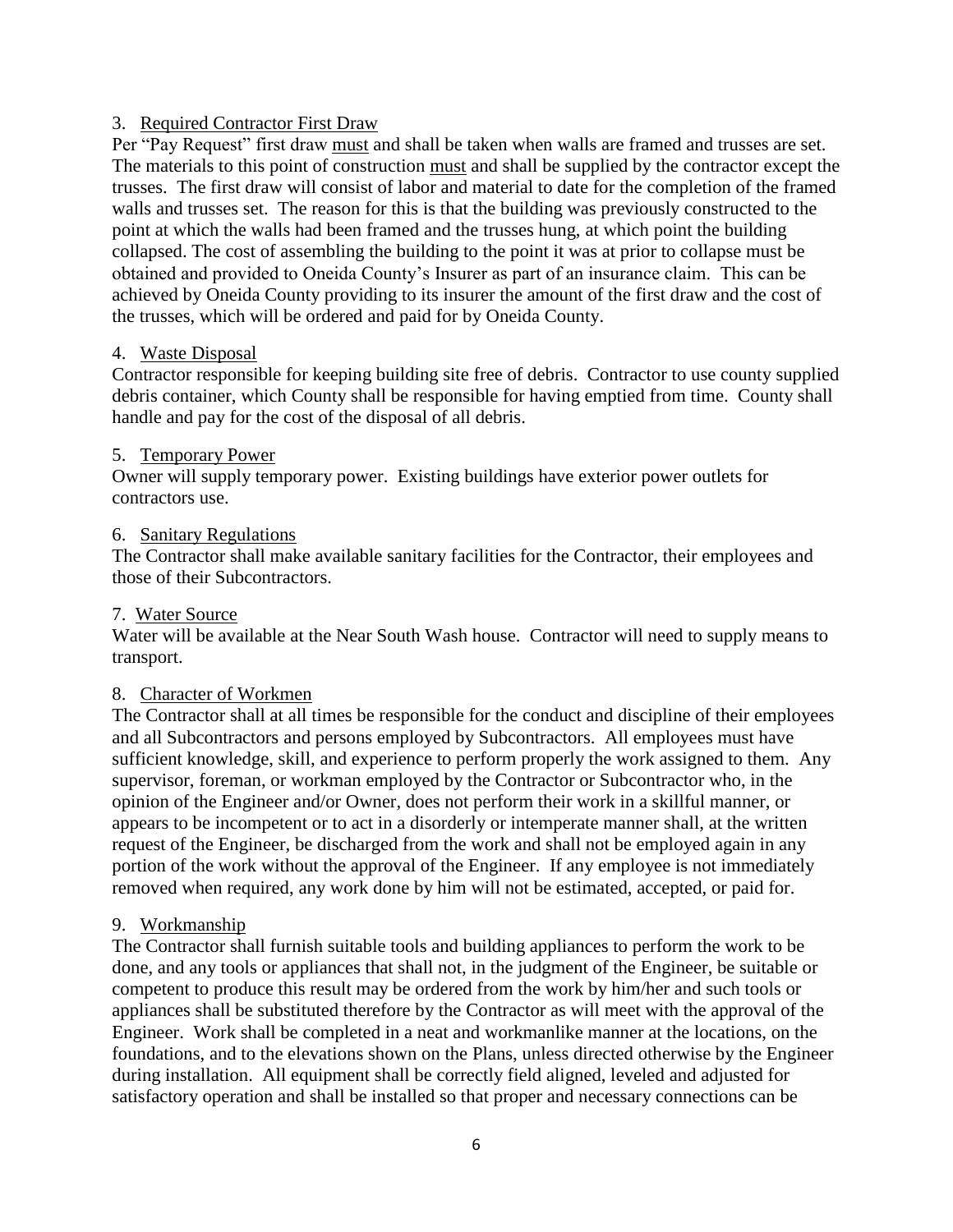#### 3. Required Contractor First Draw

Per "Pay Request" first draw must and shall be taken when walls are framed and trusses are set. The materials to this point of construction must and shall be supplied by the contractor except the trusses. The first draw will consist of labor and material to date for the completion of the framed walls and trusses set. The reason for this is that the building was previously constructed to the point at which the walls had been framed and the trusses hung, at which point the building collapsed. The cost of assembling the building to the point it was at prior to collapse must be obtained and provided to Oneida County's Insurer as part of an insurance claim. This can be achieved by Oneida County providing to its insurer the amount of the first draw and the cost of the trusses, which will be ordered and paid for by Oneida County.

#### 4. Waste Disposal

Contractor responsible for keeping building site free of debris. Contractor to use county supplied debris container, which County shall be responsible for having emptied from time. County shall handle and pay for the cost of the disposal of all debris.

#### 5. Temporary Power

Owner will supply temporary power. Existing buildings have exterior power outlets for contractors use.

#### 6. Sanitary Regulations

The Contractor shall make available sanitary facilities for the Contractor, their employees and those of their Subcontractors.

#### 7. Water Source

Water will be available at the Near South Wash house. Contractor will need to supply means to transport.

#### 8. Character of Workmen

The Contractor shall at all times be responsible for the conduct and discipline of their employees and all Subcontractors and persons employed by Subcontractors. All employees must have sufficient knowledge, skill, and experience to perform properly the work assigned to them. Any supervisor, foreman, or workman employed by the Contractor or Subcontractor who, in the opinion of the Engineer and/or Owner, does not perform their work in a skillful manner, or appears to be incompetent or to act in a disorderly or intemperate manner shall, at the written request of the Engineer, be discharged from the work and shall not be employed again in any portion of the work without the approval of the Engineer. If any employee is not immediately removed when required, any work done by him will not be estimated, accepted, or paid for.

#### 9. Workmanship

The Contractor shall furnish suitable tools and building appliances to perform the work to be done, and any tools or appliances that shall not, in the judgment of the Engineer, be suitable or competent to produce this result may be ordered from the work by him/her and such tools or appliances shall be substituted therefore by the Contractor as will meet with the approval of the Engineer. Work shall be completed in a neat and workmanlike manner at the locations, on the foundations, and to the elevations shown on the Plans, unless directed otherwise by the Engineer during installation. All equipment shall be correctly field aligned, leveled and adjusted for satisfactory operation and shall be installed so that proper and necessary connections can be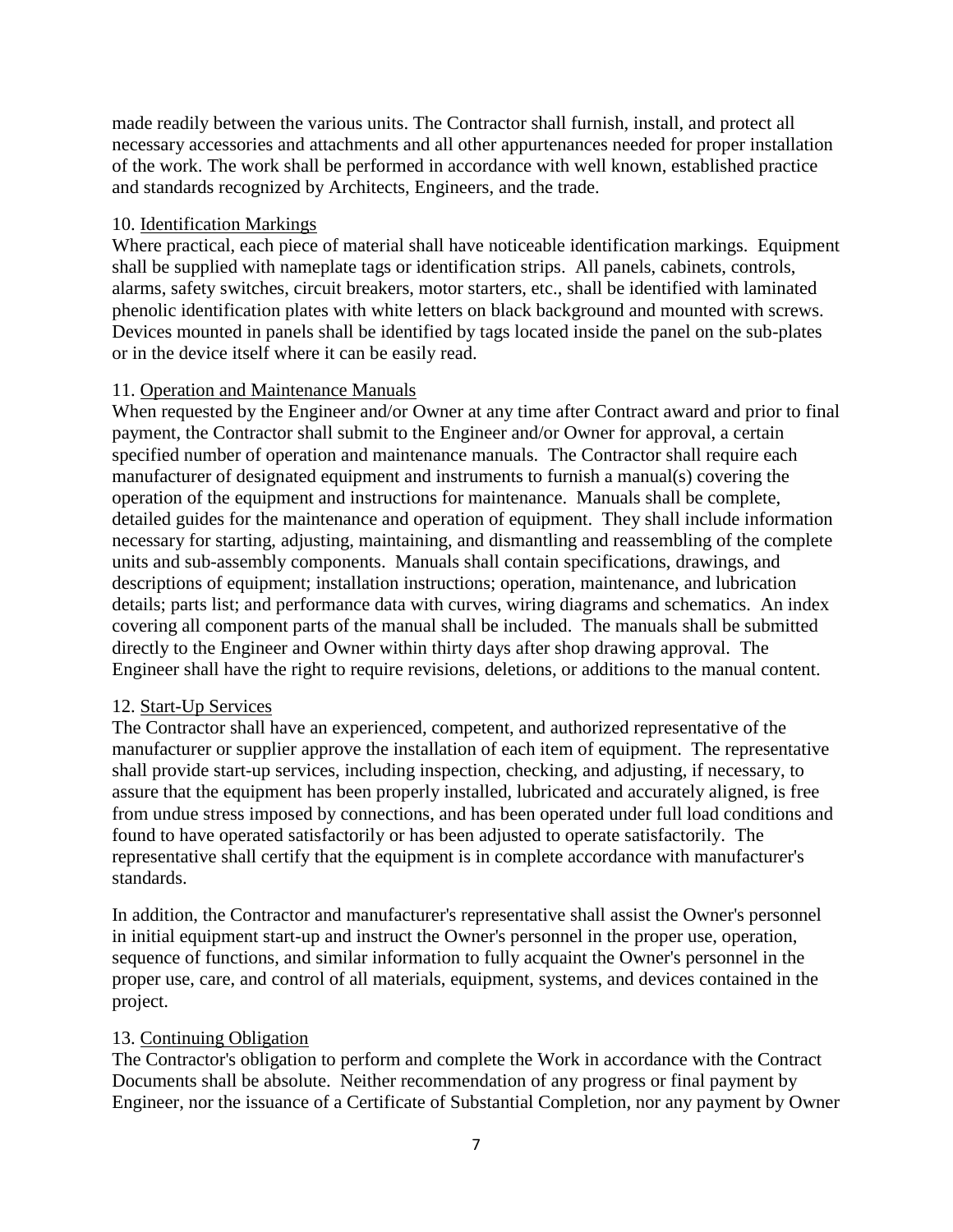made readily between the various units. The Contractor shall furnish, install, and protect all necessary accessories and attachments and all other appurtenances needed for proper installation of the work. The work shall be performed in accordance with well known, established practice and standards recognized by Architects, Engineers, and the trade.

#### 10. Identification Markings

Where practical, each piece of material shall have noticeable identification markings. Equipment shall be supplied with nameplate tags or identification strips. All panels, cabinets, controls, alarms, safety switches, circuit breakers, motor starters, etc., shall be identified with laminated phenolic identification plates with white letters on black background and mounted with screws. Devices mounted in panels shall be identified by tags located inside the panel on the sub-plates or in the device itself where it can be easily read.

#### 11. Operation and Maintenance Manuals

When requested by the Engineer and/or Owner at any time after Contract award and prior to final payment, the Contractor shall submit to the Engineer and/or Owner for approval, a certain specified number of operation and maintenance manuals. The Contractor shall require each manufacturer of designated equipment and instruments to furnish a manual(s) covering the operation of the equipment and instructions for maintenance. Manuals shall be complete, detailed guides for the maintenance and operation of equipment. They shall include information necessary for starting, adjusting, maintaining, and dismantling and reassembling of the complete units and sub-assembly components. Manuals shall contain specifications, drawings, and descriptions of equipment; installation instructions; operation, maintenance, and lubrication details; parts list; and performance data with curves, wiring diagrams and schematics. An index covering all component parts of the manual shall be included. The manuals shall be submitted directly to the Engineer and Owner within thirty days after shop drawing approval. The Engineer shall have the right to require revisions, deletions, or additions to the manual content.

#### 12. Start-Up Services

The Contractor shall have an experienced, competent, and authorized representative of the manufacturer or supplier approve the installation of each item of equipment. The representative shall provide start-up services, including inspection, checking, and adjusting, if necessary, to assure that the equipment has been properly installed, lubricated and accurately aligned, is free from undue stress imposed by connections, and has been operated under full load conditions and found to have operated satisfactorily or has been adjusted to operate satisfactorily. The representative shall certify that the equipment is in complete accordance with manufacturer's standards.

In addition, the Contractor and manufacturer's representative shall assist the Owner's personnel in initial equipment start-up and instruct the Owner's personnel in the proper use, operation, sequence of functions, and similar information to fully acquaint the Owner's personnel in the proper use, care, and control of all materials, equipment, systems, and devices contained in the project.

## 13. Continuing Obligation

The Contractor's obligation to perform and complete the Work in accordance with the Contract Documents shall be absolute. Neither recommendation of any progress or final payment by Engineer, nor the issuance of a Certificate of Substantial Completion, nor any payment by Owner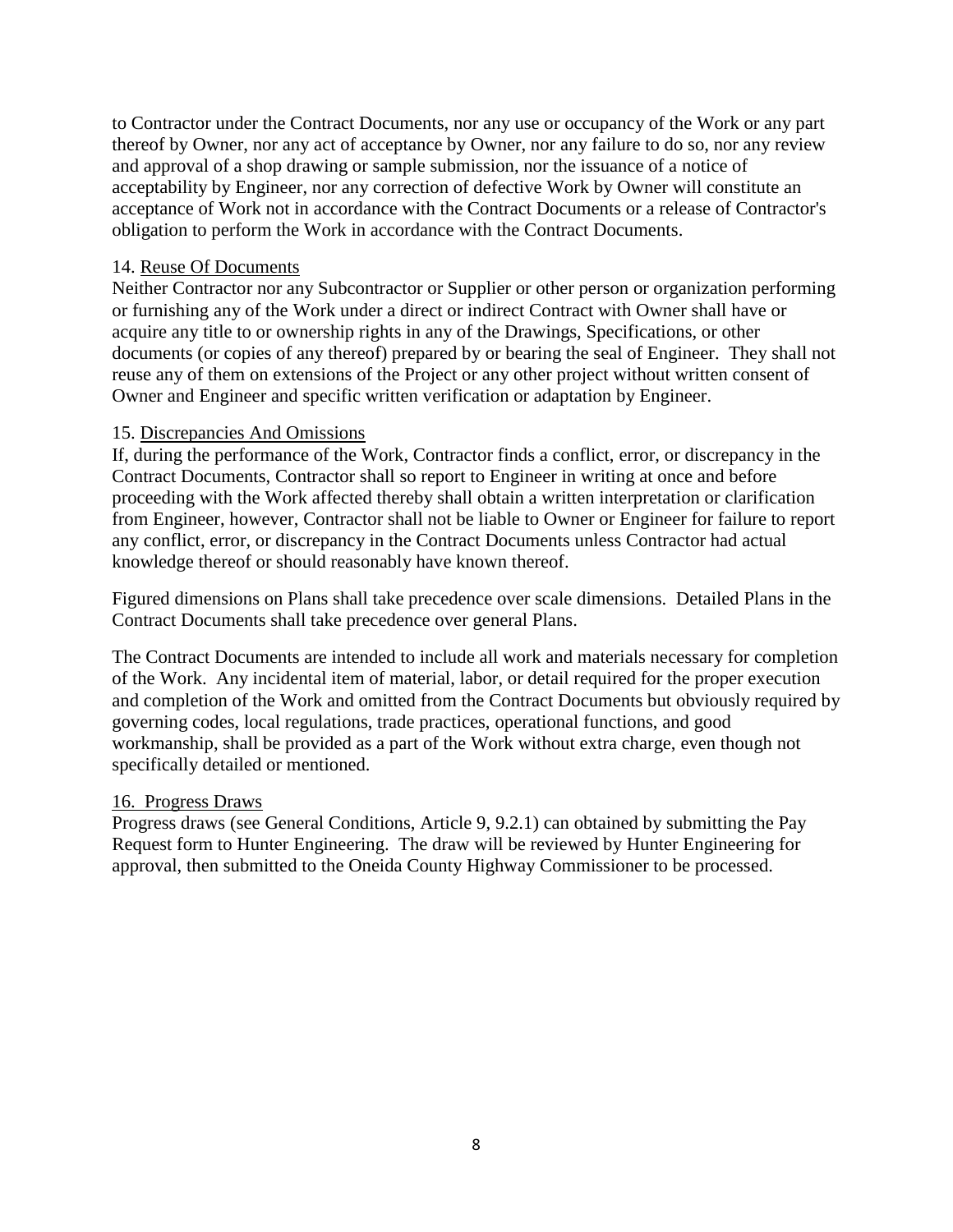to Contractor under the Contract Documents, nor any use or occupancy of the Work or any part thereof by Owner, nor any act of acceptance by Owner, nor any failure to do so, nor any review and approval of a shop drawing or sample submission, nor the issuance of a notice of acceptability by Engineer, nor any correction of defective Work by Owner will constitute an acceptance of Work not in accordance with the Contract Documents or a release of Contractor's obligation to perform the Work in accordance with the Contract Documents.

#### 14. Reuse Of Documents

Neither Contractor nor any Subcontractor or Supplier or other person or organization performing or furnishing any of the Work under a direct or indirect Contract with Owner shall have or acquire any title to or ownership rights in any of the Drawings, Specifications, or other documents (or copies of any thereof) prepared by or bearing the seal of Engineer. They shall not reuse any of them on extensions of the Project or any other project without written consent of Owner and Engineer and specific written verification or adaptation by Engineer.

#### 15. Discrepancies And Omissions

If, during the performance of the Work, Contractor finds a conflict, error, or discrepancy in the Contract Documents, Contractor shall so report to Engineer in writing at once and before proceeding with the Work affected thereby shall obtain a written interpretation or clarification from Engineer, however, Contractor shall not be liable to Owner or Engineer for failure to report any conflict, error, or discrepancy in the Contract Documents unless Contractor had actual knowledge thereof or should reasonably have known thereof.

Figured dimensions on Plans shall take precedence over scale dimensions. Detailed Plans in the Contract Documents shall take precedence over general Plans.

The Contract Documents are intended to include all work and materials necessary for completion of the Work. Any incidental item of material, labor, or detail required for the proper execution and completion of the Work and omitted from the Contract Documents but obviously required by governing codes, local regulations, trade practices, operational functions, and good workmanship, shall be provided as a part of the Work without extra charge, even though not specifically detailed or mentioned.

#### 16. Progress Draws

Progress draws (see General Conditions, Article 9, 9.2.1) can obtained by submitting the Pay Request form to Hunter Engineering. The draw will be reviewed by Hunter Engineering for approval, then submitted to the Oneida County Highway Commissioner to be processed.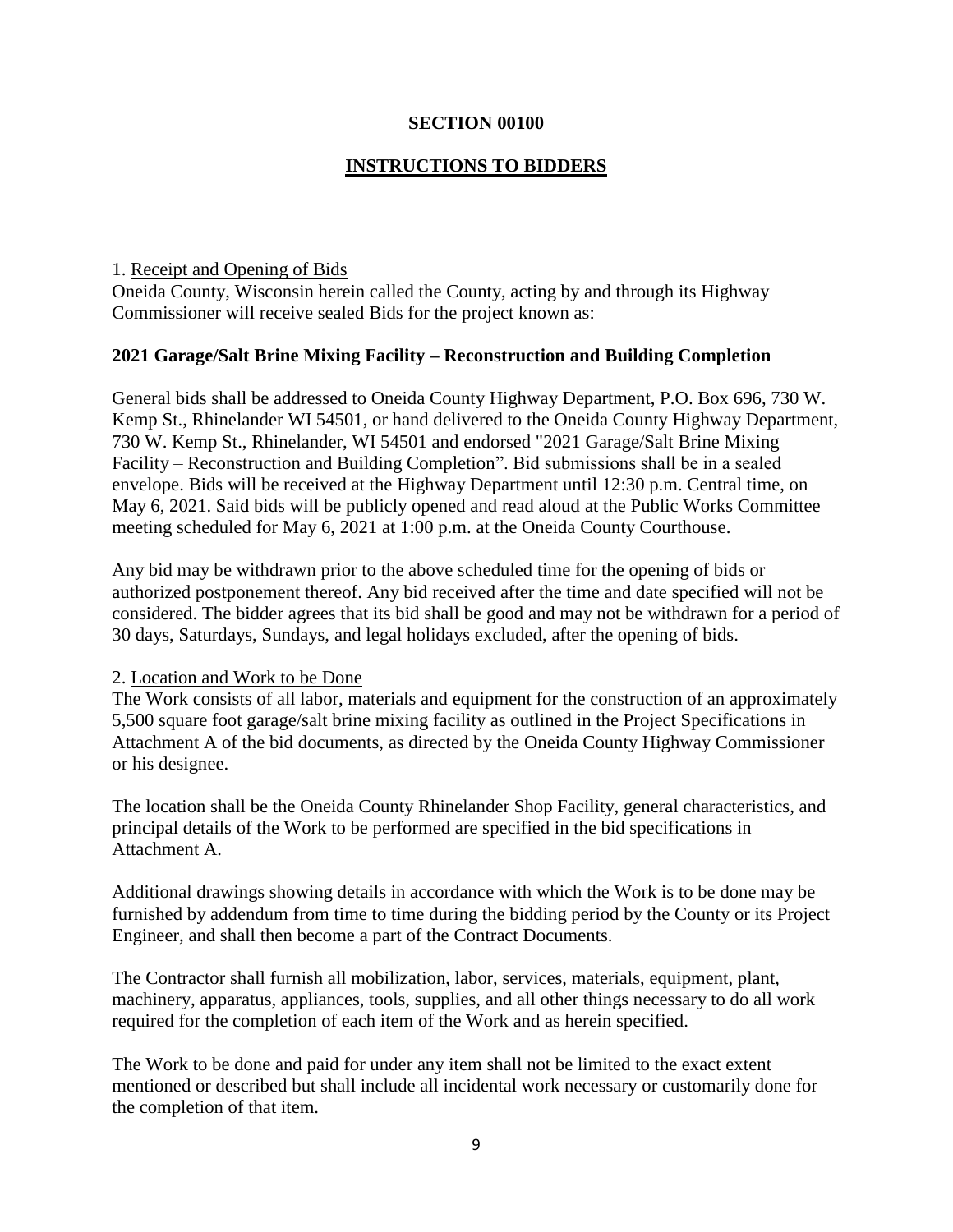#### **SECTION 00100**

#### **INSTRUCTIONS TO BIDDERS**

#### 1. Receipt and Opening of Bids

Oneida County, Wisconsin herein called the County, acting by and through its Highway Commissioner will receive sealed Bids for the project known as:

#### **2021 Garage/Salt Brine Mixing Facility – Reconstruction and Building Completion**

General bids shall be addressed to Oneida County Highway Department, P.O. Box 696, 730 W. Kemp St., Rhinelander WI 54501, or hand delivered to the Oneida County Highway Department, 730 W. Kemp St., Rhinelander, WI 54501 and endorsed "2021 Garage/Salt Brine Mixing Facility – Reconstruction and Building Completion". Bid submissions shall be in a sealed envelope. Bids will be received at the Highway Department until 12:30 p.m. Central time, on May 6, 2021. Said bids will be publicly opened and read aloud at the Public Works Committee meeting scheduled for May 6, 2021 at 1:00 p.m. at the Oneida County Courthouse.

Any bid may be withdrawn prior to the above scheduled time for the opening of bids or authorized postponement thereof. Any bid received after the time and date specified will not be considered. The bidder agrees that its bid shall be good and may not be withdrawn for a period of 30 days, Saturdays, Sundays, and legal holidays excluded, after the opening of bids.

#### 2. Location and Work to be Done

The Work consists of all labor, materials and equipment for the construction of an approximately 5,500 square foot garage/salt brine mixing facility as outlined in the Project Specifications in Attachment A of the bid documents, as directed by the Oneida County Highway Commissioner or his designee.

The location shall be the Oneida County Rhinelander Shop Facility, general characteristics, and principal details of the Work to be performed are specified in the bid specifications in Attachment A.

Additional drawings showing details in accordance with which the Work is to be done may be furnished by addendum from time to time during the bidding period by the County or its Project Engineer, and shall then become a part of the Contract Documents.

The Contractor shall furnish all mobilization, labor, services, materials, equipment, plant, machinery, apparatus, appliances, tools, supplies, and all other things necessary to do all work required for the completion of each item of the Work and as herein specified.

The Work to be done and paid for under any item shall not be limited to the exact extent mentioned or described but shall include all incidental work necessary or customarily done for the completion of that item.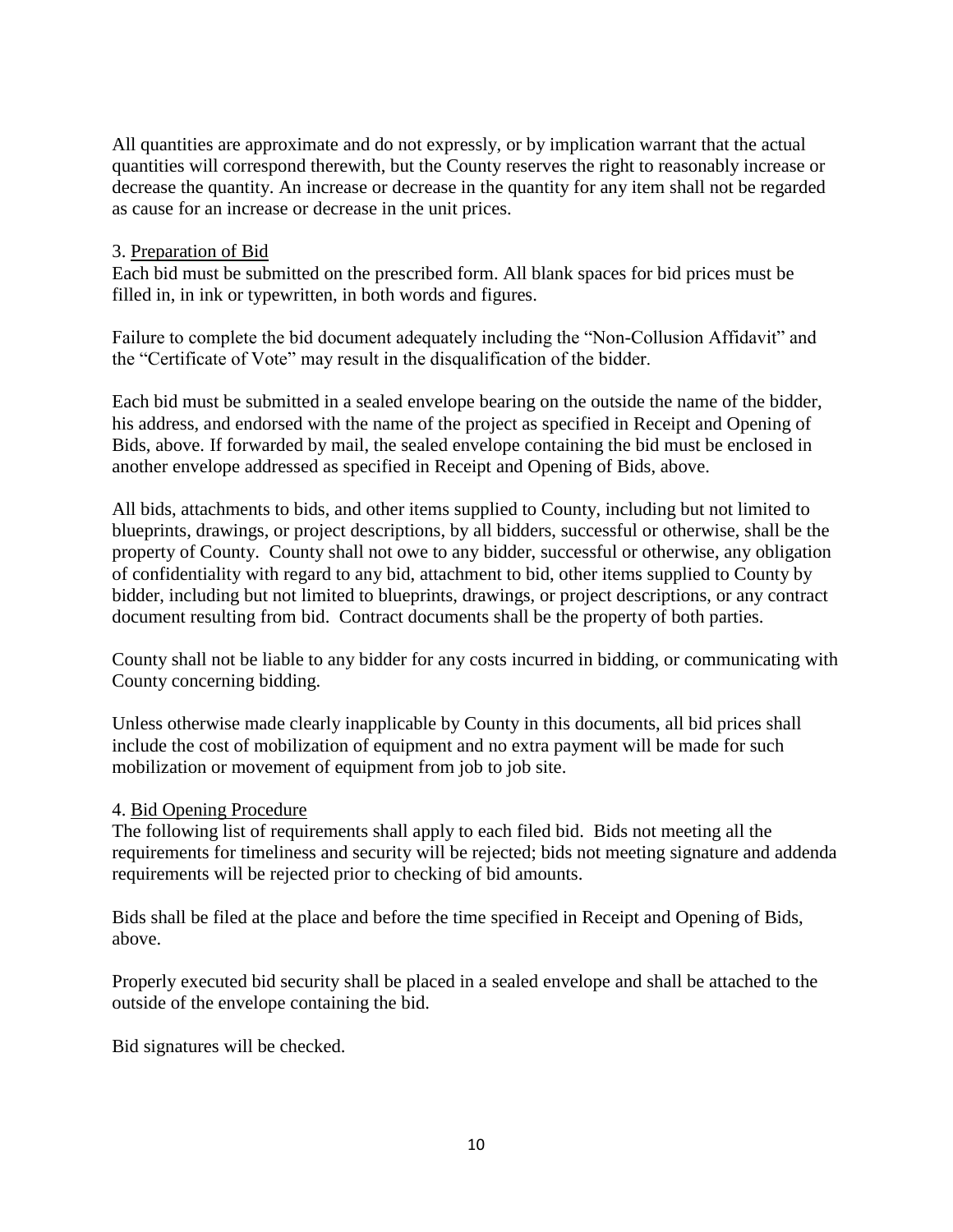All quantities are approximate and do not expressly, or by implication warrant that the actual quantities will correspond therewith, but the County reserves the right to reasonably increase or decrease the quantity. An increase or decrease in the quantity for any item shall not be regarded as cause for an increase or decrease in the unit prices.

#### 3. Preparation of Bid

Each bid must be submitted on the prescribed form. All blank spaces for bid prices must be filled in, in ink or typewritten, in both words and figures.

Failure to complete the bid document adequately including the "Non-Collusion Affidavit" and the "Certificate of Vote" may result in the disqualification of the bidder.

Each bid must be submitted in a sealed envelope bearing on the outside the name of the bidder, his address, and endorsed with the name of the project as specified in Receipt and Opening of Bids, above. If forwarded by mail, the sealed envelope containing the bid must be enclosed in another envelope addressed as specified in Receipt and Opening of Bids, above.

All bids, attachments to bids, and other items supplied to County, including but not limited to blueprints, drawings, or project descriptions, by all bidders, successful or otherwise, shall be the property of County. County shall not owe to any bidder, successful or otherwise, any obligation of confidentiality with regard to any bid, attachment to bid, other items supplied to County by bidder, including but not limited to blueprints, drawings, or project descriptions, or any contract document resulting from bid. Contract documents shall be the property of both parties.

County shall not be liable to any bidder for any costs incurred in bidding, or communicating with County concerning bidding.

Unless otherwise made clearly inapplicable by County in this documents, all bid prices shall include the cost of mobilization of equipment and no extra payment will be made for such mobilization or movement of equipment from job to job site.

#### 4. Bid Opening Procedure

The following list of requirements shall apply to each filed bid. Bids not meeting all the requirements for timeliness and security will be rejected; bids not meeting signature and addenda requirements will be rejected prior to checking of bid amounts.

Bids shall be filed at the place and before the time specified in Receipt and Opening of Bids, above.

Properly executed bid security shall be placed in a sealed envelope and shall be attached to the outside of the envelope containing the bid.

Bid signatures will be checked.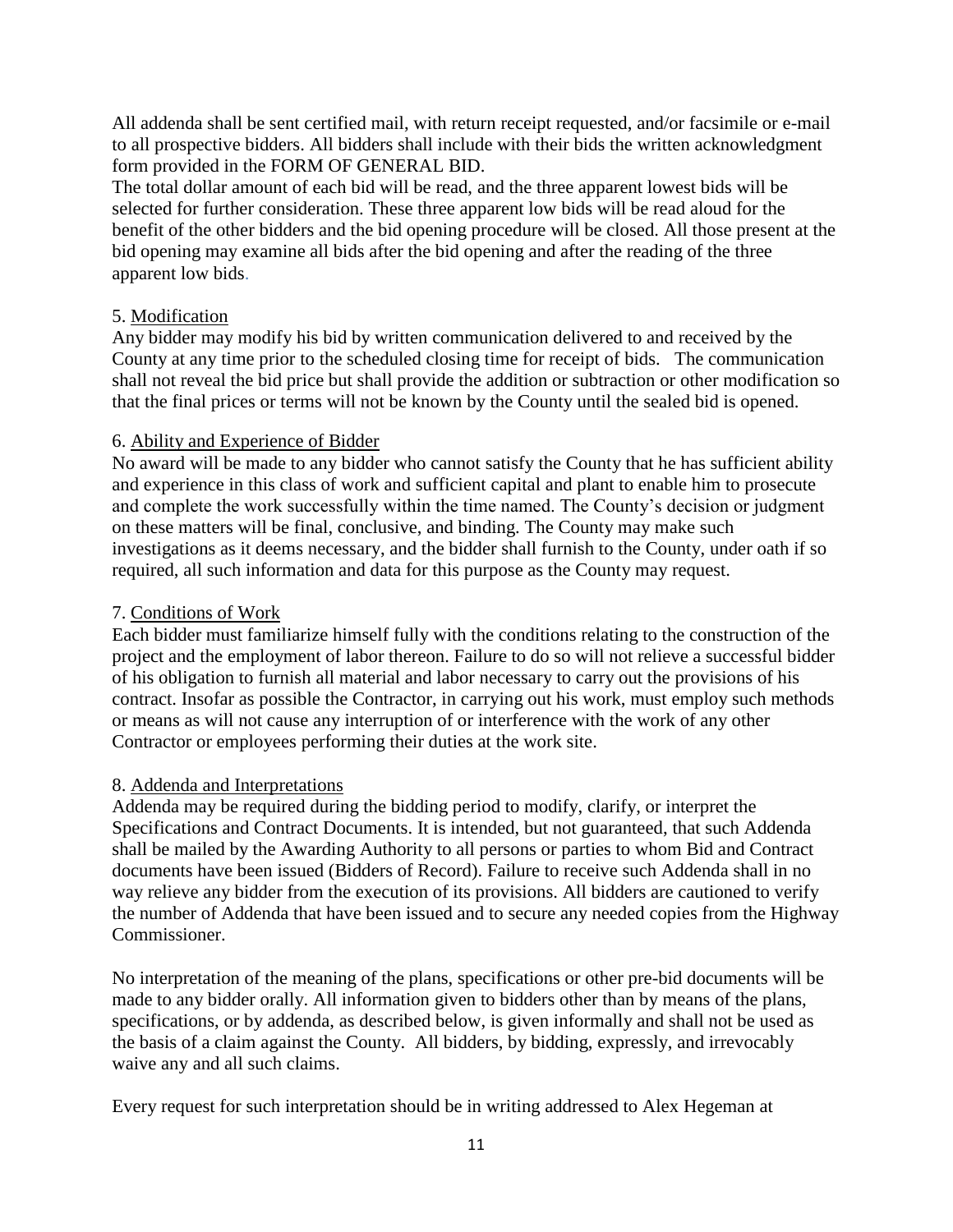All addenda shall be sent certified mail, with return receipt requested, and/or facsimile or e-mail to all prospective bidders. All bidders shall include with their bids the written acknowledgment form provided in the FORM OF GENERAL BID.

The total dollar amount of each bid will be read, and the three apparent lowest bids will be selected for further consideration. These three apparent low bids will be read aloud for the benefit of the other bidders and the bid opening procedure will be closed. All those present at the bid opening may examine all bids after the bid opening and after the reading of the three apparent low bids.

## 5. Modification

Any bidder may modify his bid by written communication delivered to and received by the County at any time prior to the scheduled closing time for receipt of bids. The communication shall not reveal the bid price but shall provide the addition or subtraction or other modification so that the final prices or terms will not be known by the County until the sealed bid is opened.

#### 6. Ability and Experience of Bidder

No award will be made to any bidder who cannot satisfy the County that he has sufficient ability and experience in this class of work and sufficient capital and plant to enable him to prosecute and complete the work successfully within the time named. The County's decision or judgment on these matters will be final, conclusive, and binding. The County may make such investigations as it deems necessary, and the bidder shall furnish to the County, under oath if so required, all such information and data for this purpose as the County may request.

#### 7. Conditions of Work

Each bidder must familiarize himself fully with the conditions relating to the construction of the project and the employment of labor thereon. Failure to do so will not relieve a successful bidder of his obligation to furnish all material and labor necessary to carry out the provisions of his contract. Insofar as possible the Contractor, in carrying out his work, must employ such methods or means as will not cause any interruption of or interference with the work of any other Contractor or employees performing their duties at the work site.

#### 8. Addenda and Interpretations

Addenda may be required during the bidding period to modify, clarify, or interpret the Specifications and Contract Documents. It is intended, but not guaranteed, that such Addenda shall be mailed by the Awarding Authority to all persons or parties to whom Bid and Contract documents have been issued (Bidders of Record). Failure to receive such Addenda shall in no way relieve any bidder from the execution of its provisions. All bidders are cautioned to verify the number of Addenda that have been issued and to secure any needed copies from the Highway Commissioner.

No interpretation of the meaning of the plans, specifications or other pre-bid documents will be made to any bidder orally. All information given to bidders other than by means of the plans, specifications, or by addenda, as described below, is given informally and shall not be used as the basis of a claim against the County. All bidders, by bidding, expressly, and irrevocably waive any and all such claims.

Every request for such interpretation should be in writing addressed to Alex Hegeman at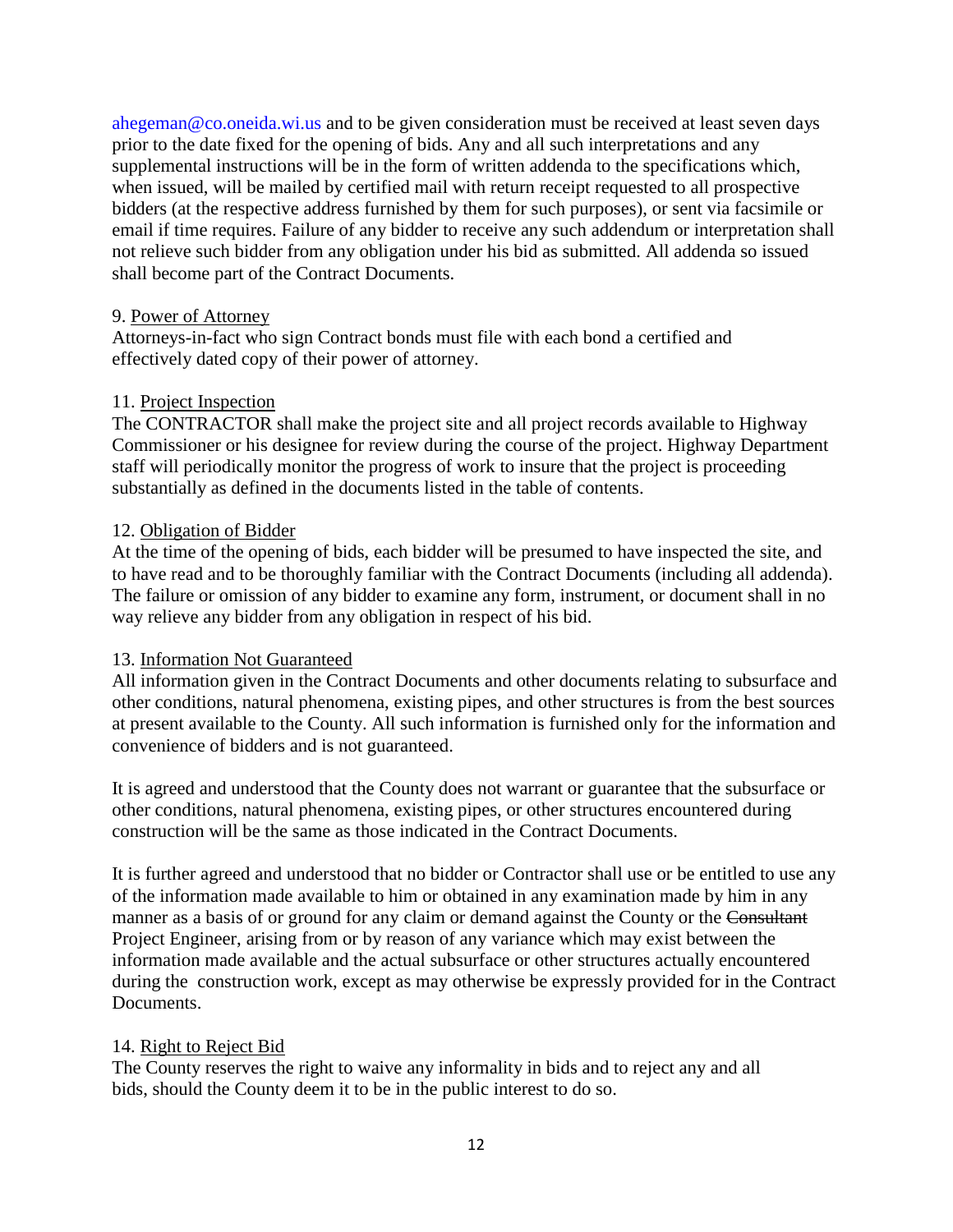ahegeman@co.oneida.wi.us and to be given consideration must be received at least seven days prior to the date fixed for the opening of bids. Any and all such interpretations and any supplemental instructions will be in the form of written addenda to the specifications which, when issued, will be mailed by certified mail with return receipt requested to all prospective bidders (at the respective address furnished by them for such purposes), or sent via facsimile or email if time requires. Failure of any bidder to receive any such addendum or interpretation shall not relieve such bidder from any obligation under his bid as submitted. All addenda so issued shall become part of the Contract Documents.

#### 9. Power of Attorney

Attorneys-in-fact who sign Contract bonds must file with each bond a certified and effectively dated copy of their power of attorney.

#### 11. Project Inspection

The CONTRACTOR shall make the project site and all project records available to Highway Commissioner or his designee for review during the course of the project. Highway Department staff will periodically monitor the progress of work to insure that the project is proceeding substantially as defined in the documents listed in the table of contents.

#### 12. Obligation of Bidder

At the time of the opening of bids, each bidder will be presumed to have inspected the site, and to have read and to be thoroughly familiar with the Contract Documents (including all addenda). The failure or omission of any bidder to examine any form, instrument, or document shall in no way relieve any bidder from any obligation in respect of his bid.

#### 13. Information Not Guaranteed

All information given in the Contract Documents and other documents relating to subsurface and other conditions, natural phenomena, existing pipes, and other structures is from the best sources at present available to the County. All such information is furnished only for the information and convenience of bidders and is not guaranteed.

It is agreed and understood that the County does not warrant or guarantee that the subsurface or other conditions, natural phenomena, existing pipes, or other structures encountered during construction will be the same as those indicated in the Contract Documents.

It is further agreed and understood that no bidder or Contractor shall use or be entitled to use any of the information made available to him or obtained in any examination made by him in any manner as a basis of or ground for any claim or demand against the County or the Consultant Project Engineer, arising from or by reason of any variance which may exist between the information made available and the actual subsurface or other structures actually encountered during the construction work, except as may otherwise be expressly provided for in the Contract Documents.

#### 14. Right to Reject Bid

The County reserves the right to waive any informality in bids and to reject any and all bids, should the County deem it to be in the public interest to do so.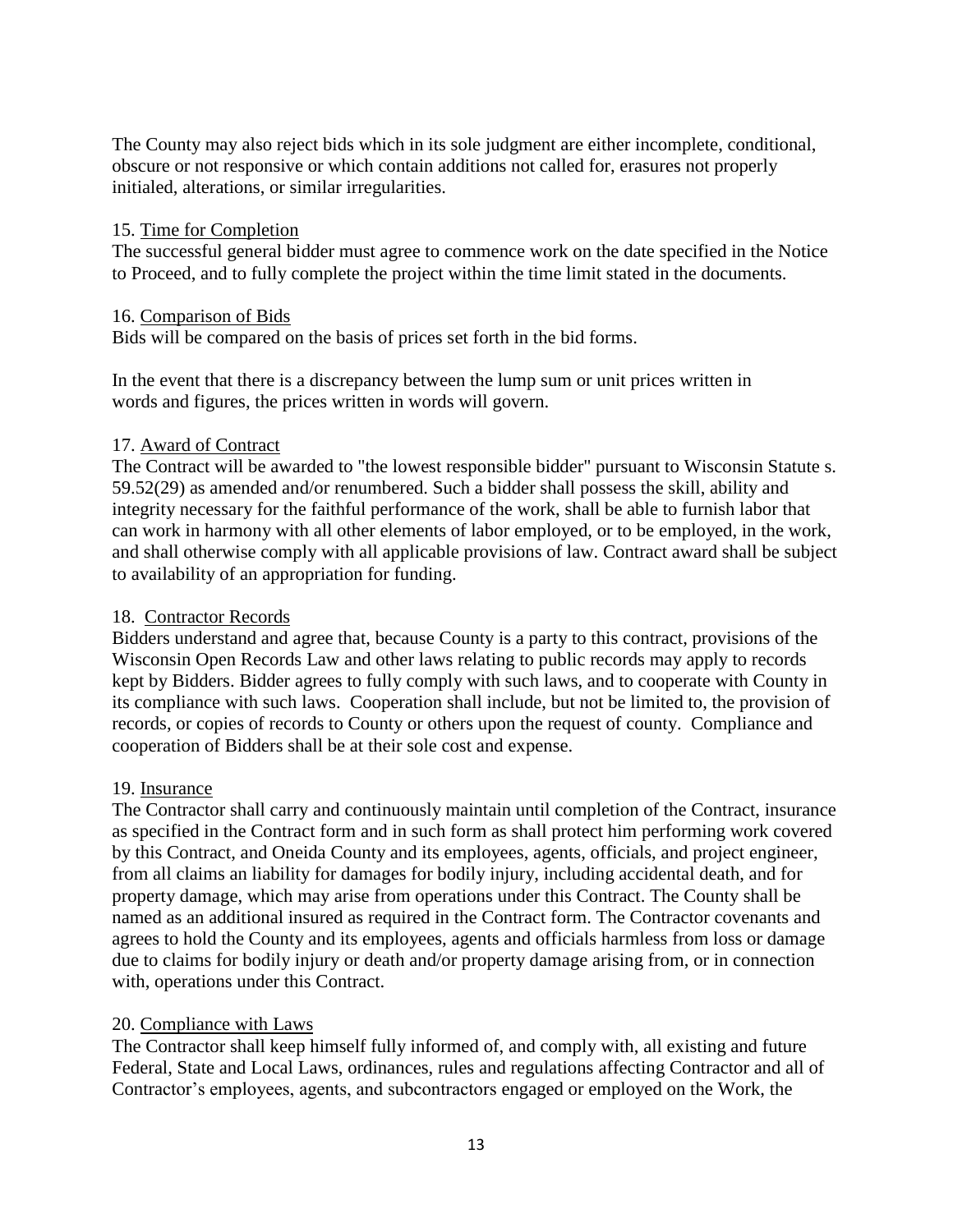The County may also reject bids which in its sole judgment are either incomplete, conditional, obscure or not responsive or which contain additions not called for, erasures not properly initialed, alterations, or similar irregularities.

#### 15. Time for Completion

The successful general bidder must agree to commence work on the date specified in the Notice to Proceed, and to fully complete the project within the time limit stated in the documents.

#### 16. Comparison of Bids

Bids will be compared on the basis of prices set forth in the bid forms.

In the event that there is a discrepancy between the lump sum or unit prices written in words and figures, the prices written in words will govern.

#### 17. Award of Contract

The Contract will be awarded to "the lowest responsible bidder" pursuant to Wisconsin Statute s. 59.52(29) as amended and/or renumbered. Such a bidder shall possess the skill, ability and integrity necessary for the faithful performance of the work, shall be able to furnish labor that can work in harmony with all other elements of labor employed, or to be employed, in the work, and shall otherwise comply with all applicable provisions of law. Contract award shall be subject to availability of an appropriation for funding.

#### 18. Contractor Records

Bidders understand and agree that, because County is a party to this contract, provisions of the Wisconsin Open Records Law and other laws relating to public records may apply to records kept by Bidders. Bidder agrees to fully comply with such laws, and to cooperate with County in its compliance with such laws. Cooperation shall include, but not be limited to, the provision of records, or copies of records to County or others upon the request of county. Compliance and cooperation of Bidders shall be at their sole cost and expense.

#### 19. Insurance

The Contractor shall carry and continuously maintain until completion of the Contract, insurance as specified in the Contract form and in such form as shall protect him performing work covered by this Contract, and Oneida County and its employees, agents, officials, and project engineer, from all claims an liability for damages for bodily injury, including accidental death, and for property damage, which may arise from operations under this Contract. The County shall be named as an additional insured as required in the Contract form. The Contractor covenants and agrees to hold the County and its employees, agents and officials harmless from loss or damage due to claims for bodily injury or death and/or property damage arising from, or in connection with, operations under this Contract.

## 20. Compliance with Laws

The Contractor shall keep himself fully informed of, and comply with, all existing and future Federal, State and Local Laws, ordinances, rules and regulations affecting Contractor and all of Contractor's employees, agents, and subcontractors engaged or employed on the Work, the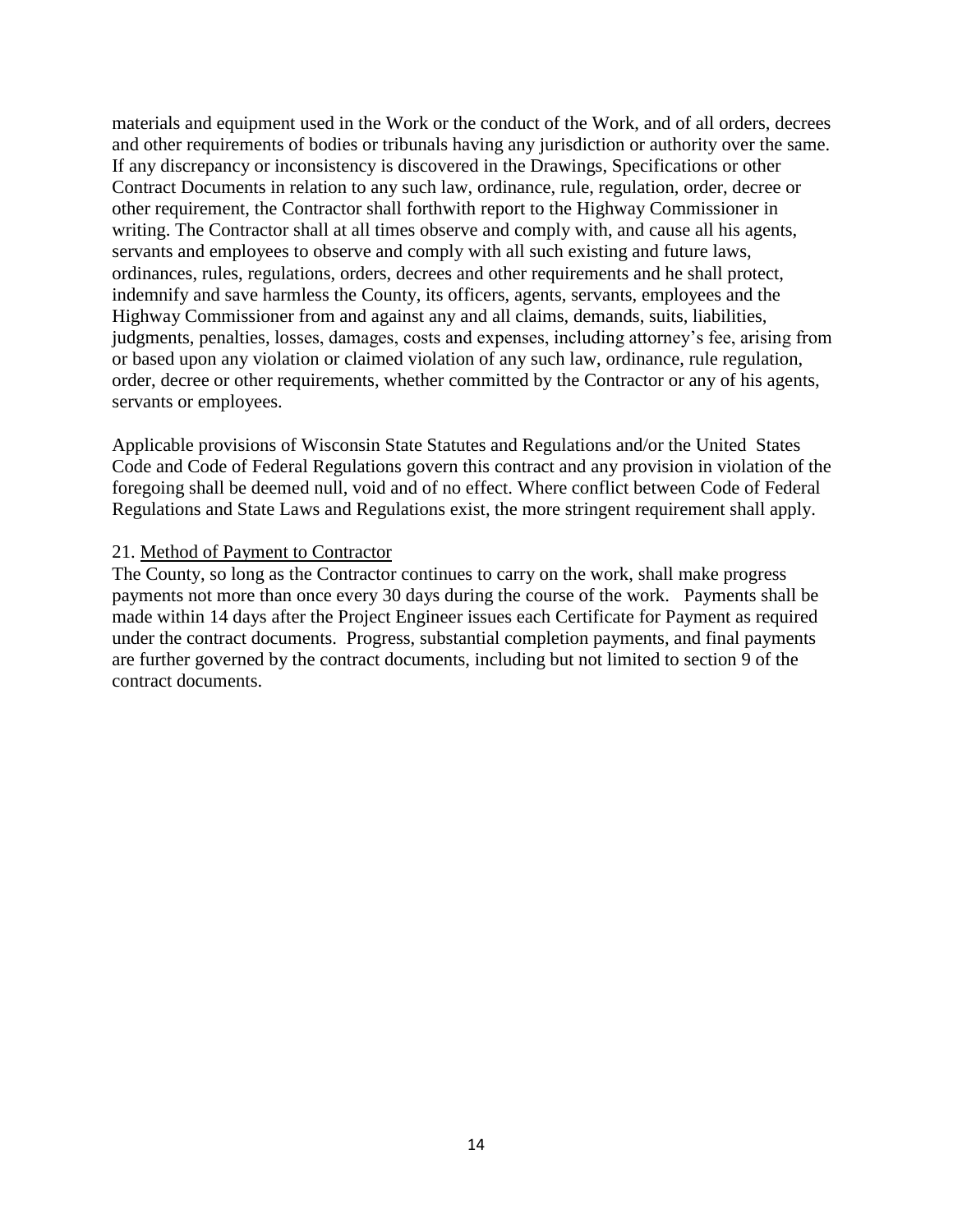materials and equipment used in the Work or the conduct of the Work, and of all orders, decrees and other requirements of bodies or tribunals having any jurisdiction or authority over the same. If any discrepancy or inconsistency is discovered in the Drawings, Specifications or other Contract Documents in relation to any such law, ordinance, rule, regulation, order, decree or other requirement, the Contractor shall forthwith report to the Highway Commissioner in writing. The Contractor shall at all times observe and comply with, and cause all his agents, servants and employees to observe and comply with all such existing and future laws, ordinances, rules, regulations, orders, decrees and other requirements and he shall protect, indemnify and save harmless the County, its officers, agents, servants, employees and the Highway Commissioner from and against any and all claims, demands, suits, liabilities, judgments, penalties, losses, damages, costs and expenses, including attorney's fee, arising from or based upon any violation or claimed violation of any such law, ordinance, rule regulation, order, decree or other requirements, whether committed by the Contractor or any of his agents, servants or employees.

Applicable provisions of Wisconsin State Statutes and Regulations and/or the United States Code and Code of Federal Regulations govern this contract and any provision in violation of the foregoing shall be deemed null, void and of no effect. Where conflict between Code of Federal Regulations and State Laws and Regulations exist, the more stringent requirement shall apply.

#### 21. Method of Payment to Contractor

The County, so long as the Contractor continues to carry on the work, shall make progress payments not more than once every 30 days during the course of the work. Payments shall be made within 14 days after the Project Engineer issues each Certificate for Payment as required under the contract documents. Progress, substantial completion payments, and final payments are further governed by the contract documents, including but not limited to section 9 of the contract documents.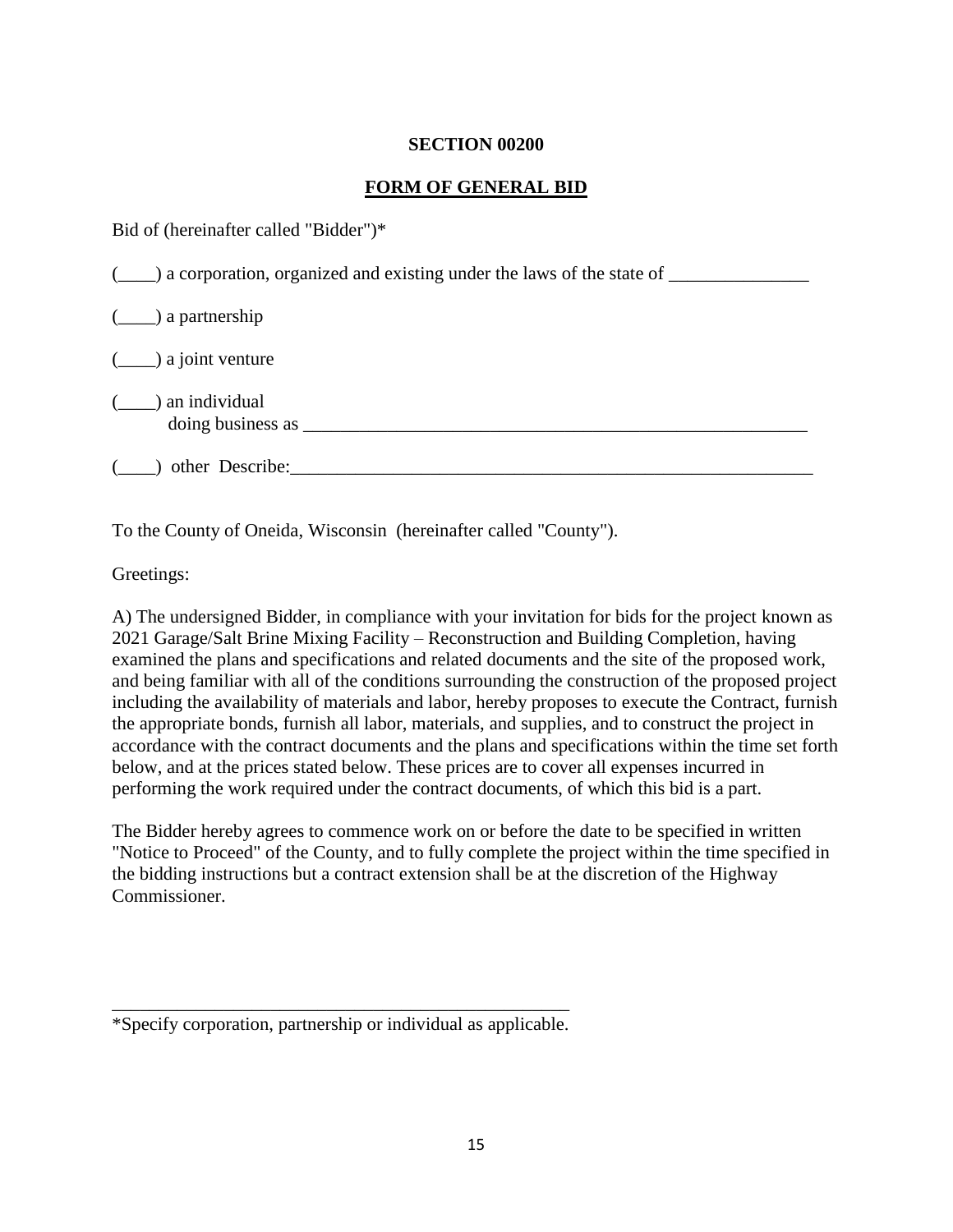#### **SECTION 00200**

#### **FORM OF GENERAL BID**

Bid of (hereinafter called "Bidder")\*

| $(\_\_\_\)$ a corporation, organized and existing under the laws of the state of $\_\_\_\_\_\_\_\$ |  |
|----------------------------------------------------------------------------------------------------|--|
| $(\underline{\hspace{1cm}})$ a partnership                                                         |  |
| $(\underline{\hspace{1cm}})$ a joint venture                                                       |  |
| ) an individual<br>doing business as                                                               |  |
| other Describe:                                                                                    |  |

To the County of Oneida, Wisconsin (hereinafter called "County").

Greetings:

A) The undersigned Bidder, in compliance with your invitation for bids for the project known as 2021 Garage/Salt Brine Mixing Facility – Reconstruction and Building Completion, having examined the plans and specifications and related documents and the site of the proposed work, and being familiar with all of the conditions surrounding the construction of the proposed project including the availability of materials and labor, hereby proposes to execute the Contract, furnish the appropriate bonds, furnish all labor, materials, and supplies, and to construct the project in accordance with the contract documents and the plans and specifications within the time set forth below, and at the prices stated below. These prices are to cover all expenses incurred in performing the work required under the contract documents, of which this bid is a part.

The Bidder hereby agrees to commence work on or before the date to be specified in written "Notice to Proceed" of the County, and to fully complete the project within the time specified in the bidding instructions but a contract extension shall be at the discretion of the Highway Commissioner.

\_\_\_\_\_\_\_\_\_\_\_\_\_\_\_\_\_\_\_\_\_\_\_\_\_\_\_\_\_\_\_\_\_\_\_\_\_\_\_\_\_\_\_\_\_\_\_\_\_ \*Specify corporation, partnership or individual as applicable.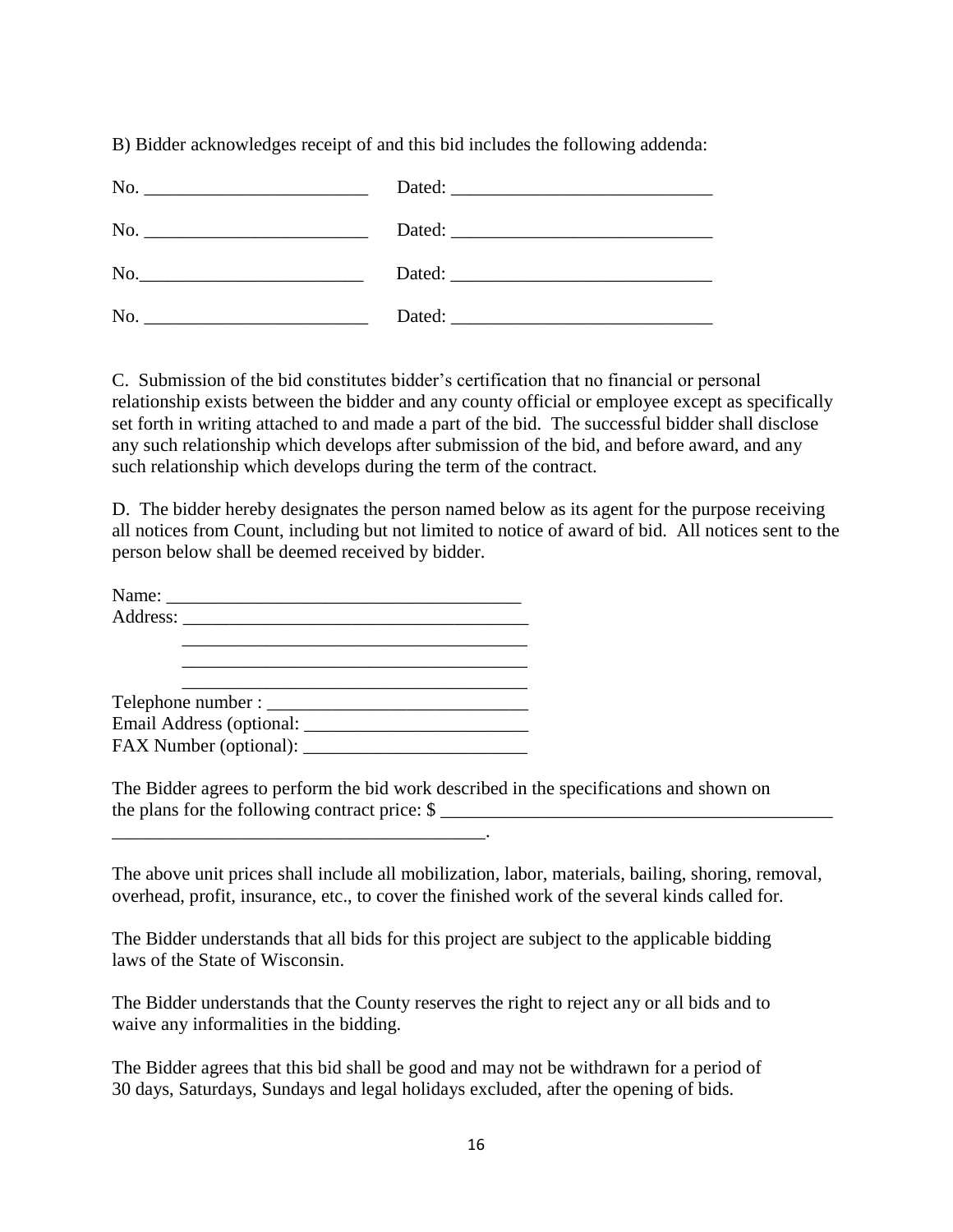B) Bidder acknowledges receipt of and this bid includes the following addenda:

| No. |                      |
|-----|----------------------|
|     | Dated: <u>Dated:</u> |

C. Submission of the bid constitutes bidder's certification that no financial or personal relationship exists between the bidder and any county official or employee except as specifically set forth in writing attached to and made a part of the bid. The successful bidder shall disclose any such relationship which develops after submission of the bid, and before award, and any such relationship which develops during the term of the contract.

D. The bidder hereby designates the person named below as its agent for the purpose receiving all notices from Count, including but not limited to notice of award of bid. All notices sent to the person below shall be deemed received by bidder.

\_\_\_\_\_\_\_\_\_\_\_\_\_\_\_\_\_\_\_\_\_\_\_\_\_\_\_\_\_\_\_\_\_\_\_\_\_\_\_\_.

The Bidder agrees to perform the bid work described in the specifications and shown on the plans for the following contract price:  $\mathcal S$ 

The above unit prices shall include all mobilization, labor, materials, bailing, shoring, removal, overhead, profit, insurance, etc., to cover the finished work of the several kinds called for.

The Bidder understands that all bids for this project are subject to the applicable bidding laws of the State of Wisconsin.

The Bidder understands that the County reserves the right to reject any or all bids and to waive any informalities in the bidding.

The Bidder agrees that this bid shall be good and may not be withdrawn for a period of 30 days, Saturdays, Sundays and legal holidays excluded, after the opening of bids.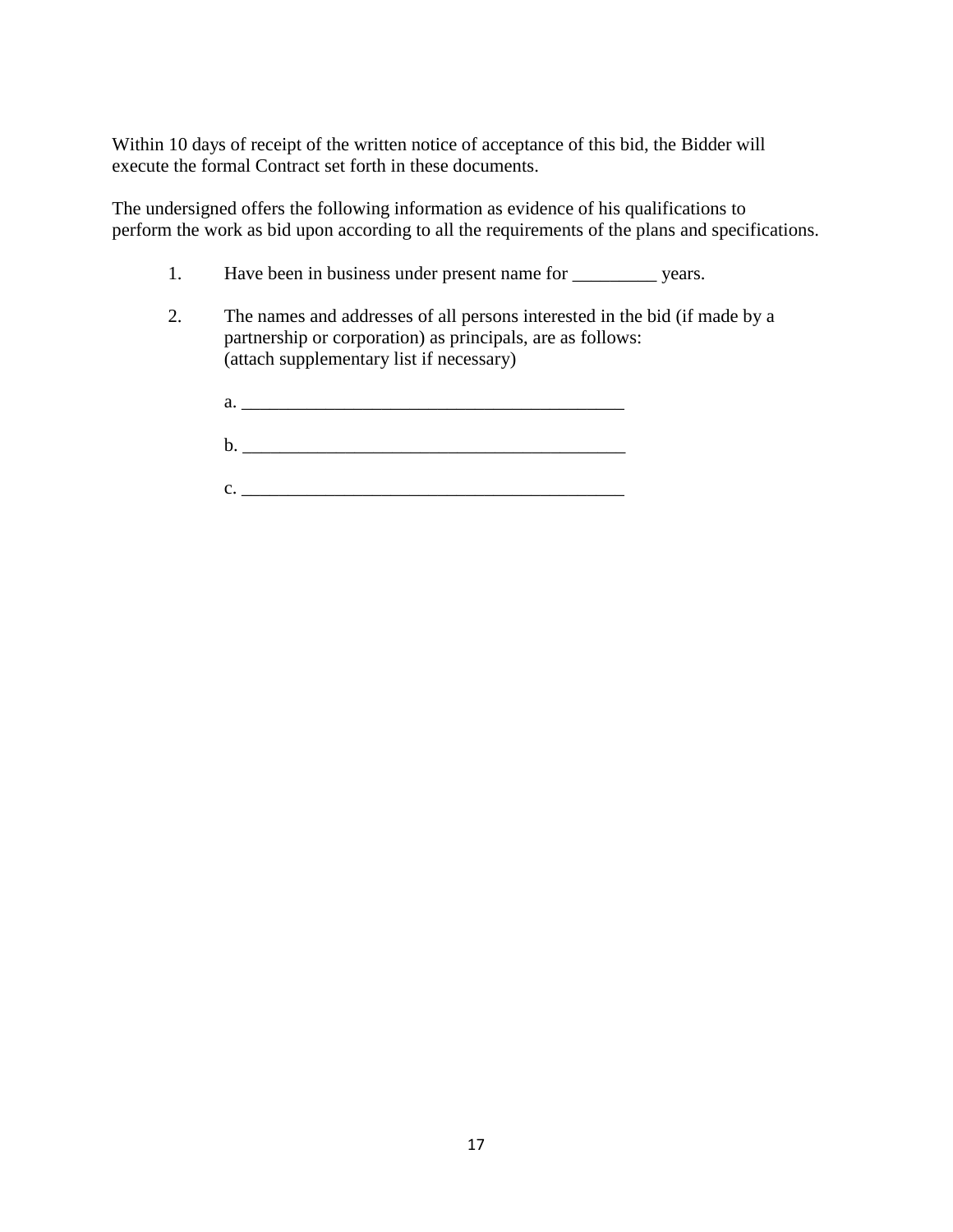Within 10 days of receipt of the written notice of acceptance of this bid, the Bidder will execute the formal Contract set forth in these documents.

The undersigned offers the following information as evidence of his qualifications to perform the work as bid upon according to all the requirements of the plans and specifications.

- 1. Have been in business under present name for \_\_\_\_\_\_\_\_\_\_\_ years.
- 2. The names and addresses of all persons interested in the bid (if made by a partnership or corporation) as principals, are as follows: (attach supplementary list if necessary)
	- $a.$
	- b. \_\_\_\_\_\_\_\_\_\_\_\_\_\_\_\_\_\_\_\_\_\_\_\_\_\_\_\_\_\_\_\_\_\_\_\_\_\_\_\_\_
	- $c.$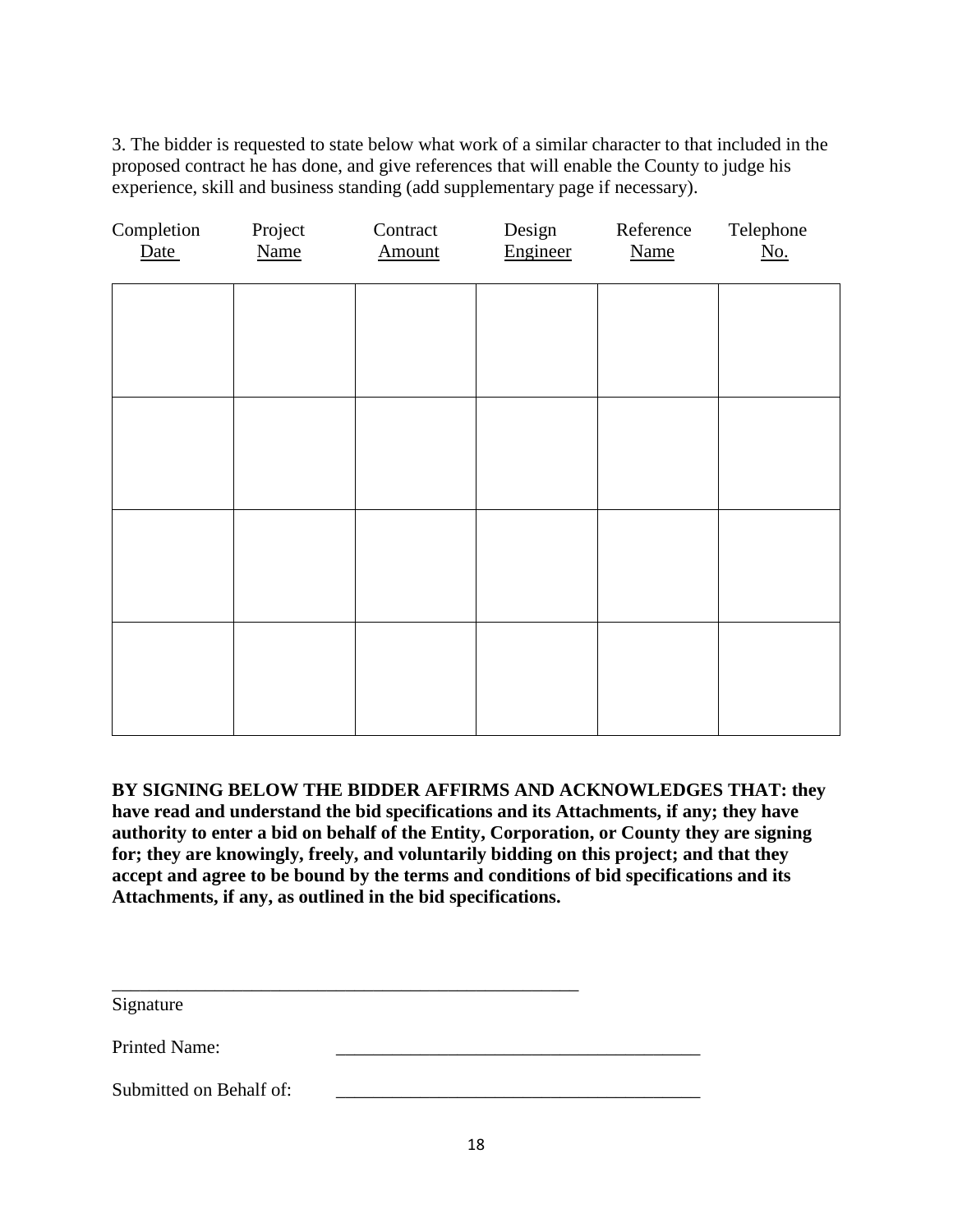3. The bidder is requested to state below what work of a similar character to that included in the proposed contract he has done, and give references that will enable the County to judge his experience, skill and business standing (add supplementary page if necessary).

| Completion<br>Date | Project<br><b>Name</b> | Contract<br>Amount | Design<br>Engineer | Reference<br><b>Name</b> | Telephone<br>$\underline{\text{No}}$ . |
|--------------------|------------------------|--------------------|--------------------|--------------------------|----------------------------------------|
|                    |                        |                    |                    |                          |                                        |
|                    |                        |                    |                    |                          |                                        |
|                    |                        |                    |                    |                          |                                        |
|                    |                        |                    |                    |                          |                                        |
|                    |                        |                    |                    |                          |                                        |
|                    |                        |                    |                    |                          |                                        |
|                    |                        |                    |                    |                          |                                        |
|                    |                        |                    |                    |                          |                                        |

**BY SIGNING BELOW THE BIDDER AFFIRMS AND ACKNOWLEDGES THAT: they have read and understand the bid specifications and its Attachments, if any; they have authority to enter a bid on behalf of the Entity, Corporation, or County they are signing for; they are knowingly, freely, and voluntarily bidding on this project; and that they accept and agree to be bound by the terms and conditions of bid specifications and its Attachments, if any, as outlined in the bid specifications.** 

\_\_\_\_\_\_\_\_\_\_\_\_\_\_\_\_\_\_\_\_\_\_\_\_\_\_\_\_\_\_\_\_\_\_\_\_\_\_\_\_\_\_\_\_\_\_\_\_\_\_

Signature

Printed Name:

Submitted on Behalf of: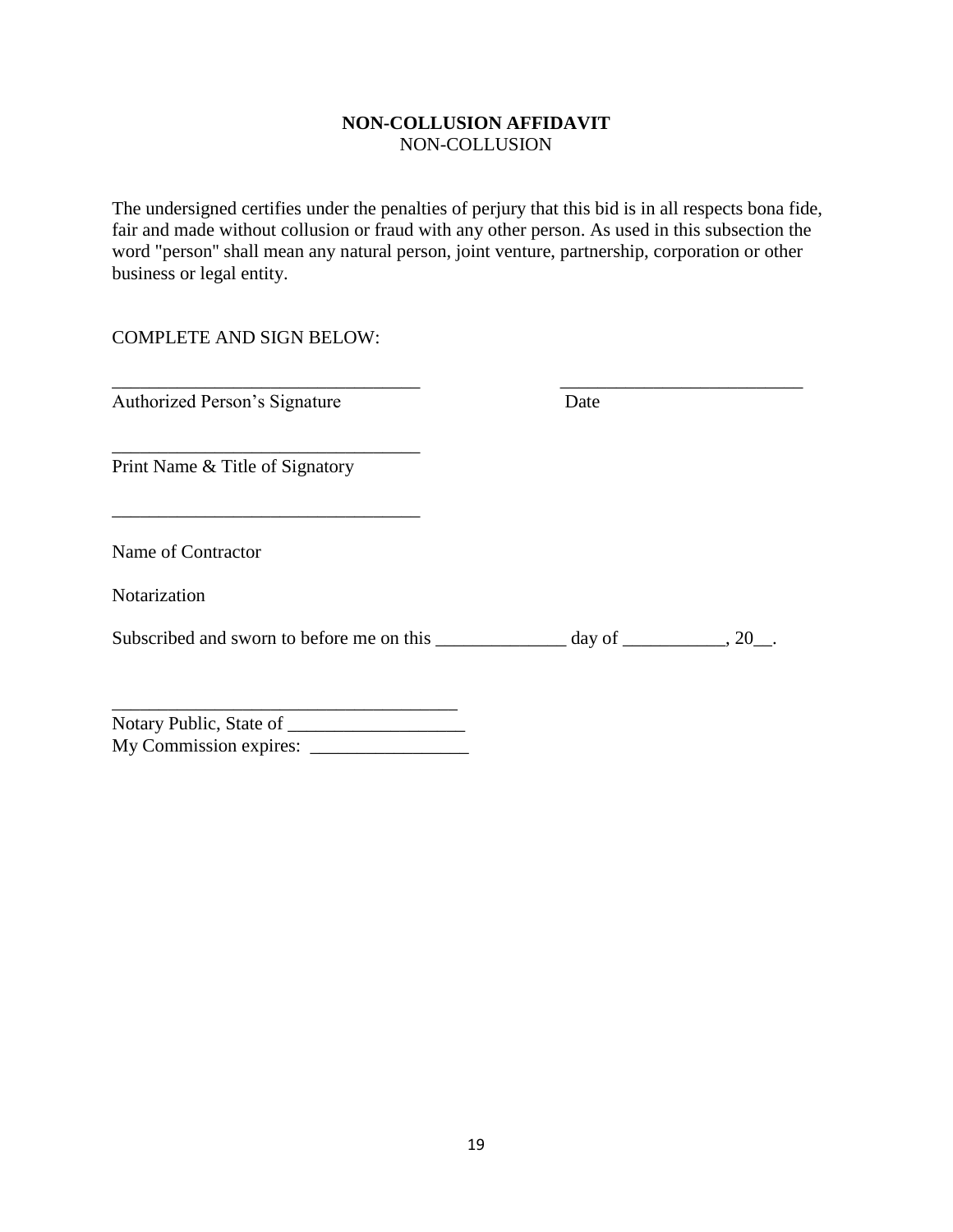#### **NON-COLLUSION AFFIDAVIT** NON-COLLUSION

The undersigned certifies under the penalties of perjury that this bid is in all respects bona fide, fair and made without collusion or fraud with any other person. As used in this subsection the word "person'' shall mean any natural person, joint venture, partnership, corporation or other business or legal entity.

\_\_\_\_\_\_\_\_\_\_\_\_\_\_\_\_\_\_\_\_\_\_\_\_\_\_\_\_\_\_\_\_\_ \_\_\_\_\_\_\_\_\_\_\_\_\_\_\_\_\_\_\_\_\_\_\_\_\_\_

#### COMPLETE AND SIGN BELOW:

Authorized Person's Signature Date

Print Name & Title of Signatory

\_\_\_\_\_\_\_\_\_\_\_\_\_\_\_\_\_\_\_\_\_\_\_\_\_\_\_\_\_\_\_\_\_

\_\_\_\_\_\_\_\_\_\_\_\_\_\_\_\_\_\_\_\_\_\_\_\_\_\_\_\_\_\_\_\_\_

Name of Contractor

Notarization

| Subscribed and sworn to before me on this | day of |  |
|-------------------------------------------|--------|--|
|                                           |        |  |

| Notary Public, State of |  |
|-------------------------|--|
| My Commission expires:  |  |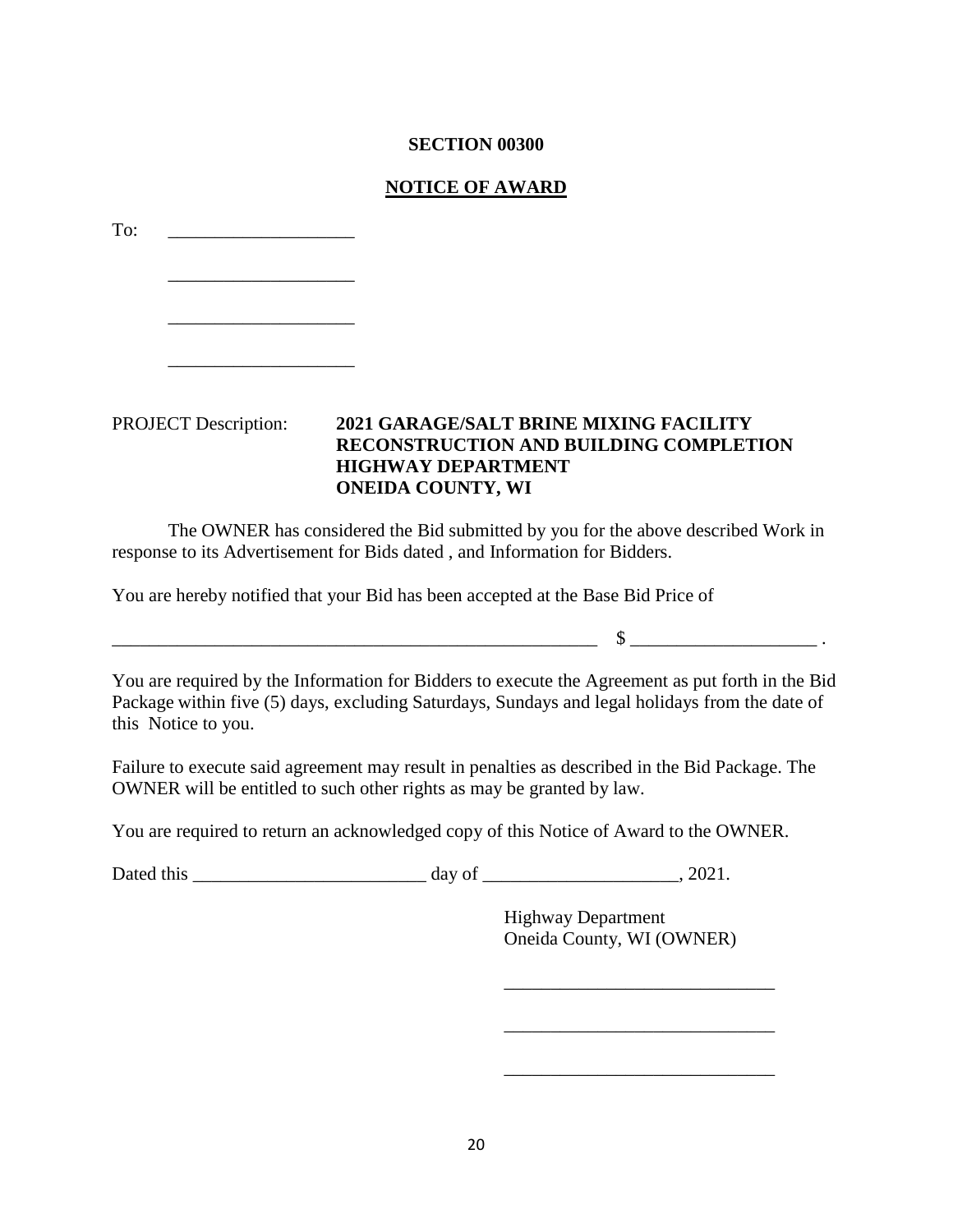#### **SECTION 00300**

#### **NOTICE OF AWARD**

| To:                         |                                                                                                                                                                 |
|-----------------------------|-----------------------------------------------------------------------------------------------------------------------------------------------------------------|
|                             |                                                                                                                                                                 |
|                             |                                                                                                                                                                 |
| <b>PROJECT</b> Description: | <b>2021 GARAGE/SALT BRINE MIXING FACILITY</b><br><b>RECONSTRUCTION AND BUILDING COMPLETION</b><br><b>HIGHWAY DEPARTMENT</b><br><b>ONEIDA COUNTY, WI</b>         |
|                             | The OWNER has considered the Bid submitted by you for the above described Work in<br>response to its Advertisement for Bids dated, and Information for Bidders. |
|                             | You are hereby notified that your Bid has been accepted at the Base Bid Price of                                                                                |
|                             |                                                                                                                                                                 |
|                             |                                                                                                                                                                 |

You are required by the Information for Bidders to execute the Agreement as put forth in the Bid Package within five (5) days, excluding Saturdays, Sundays and legal holidays from the date of this Notice to you.

Failure to execute said agreement may result in penalties as described in the Bid Package. The OWNER will be entitled to such other rights as may be granted by law.

You are required to return an acknowledged copy of this Notice of Award to the OWNER.

Dated this \_\_\_\_\_\_\_\_\_\_\_\_\_\_\_\_\_\_\_\_\_\_\_\_\_ day of \_\_\_\_\_\_\_\_\_\_\_\_\_\_\_\_\_\_\_\_\_, 2021.

Highway Department Oneida County, WI (OWNER)

\_\_\_\_\_\_\_\_\_\_\_\_\_\_\_\_\_\_\_\_\_\_\_\_\_\_\_\_\_

\_\_\_\_\_\_\_\_\_\_\_\_\_\_\_\_\_\_\_\_\_\_\_\_\_\_\_\_\_

 $\mathcal{L}_\text{max}$  and  $\mathcal{L}_\text{max}$  and  $\mathcal{L}_\text{max}$  and  $\mathcal{L}_\text{max}$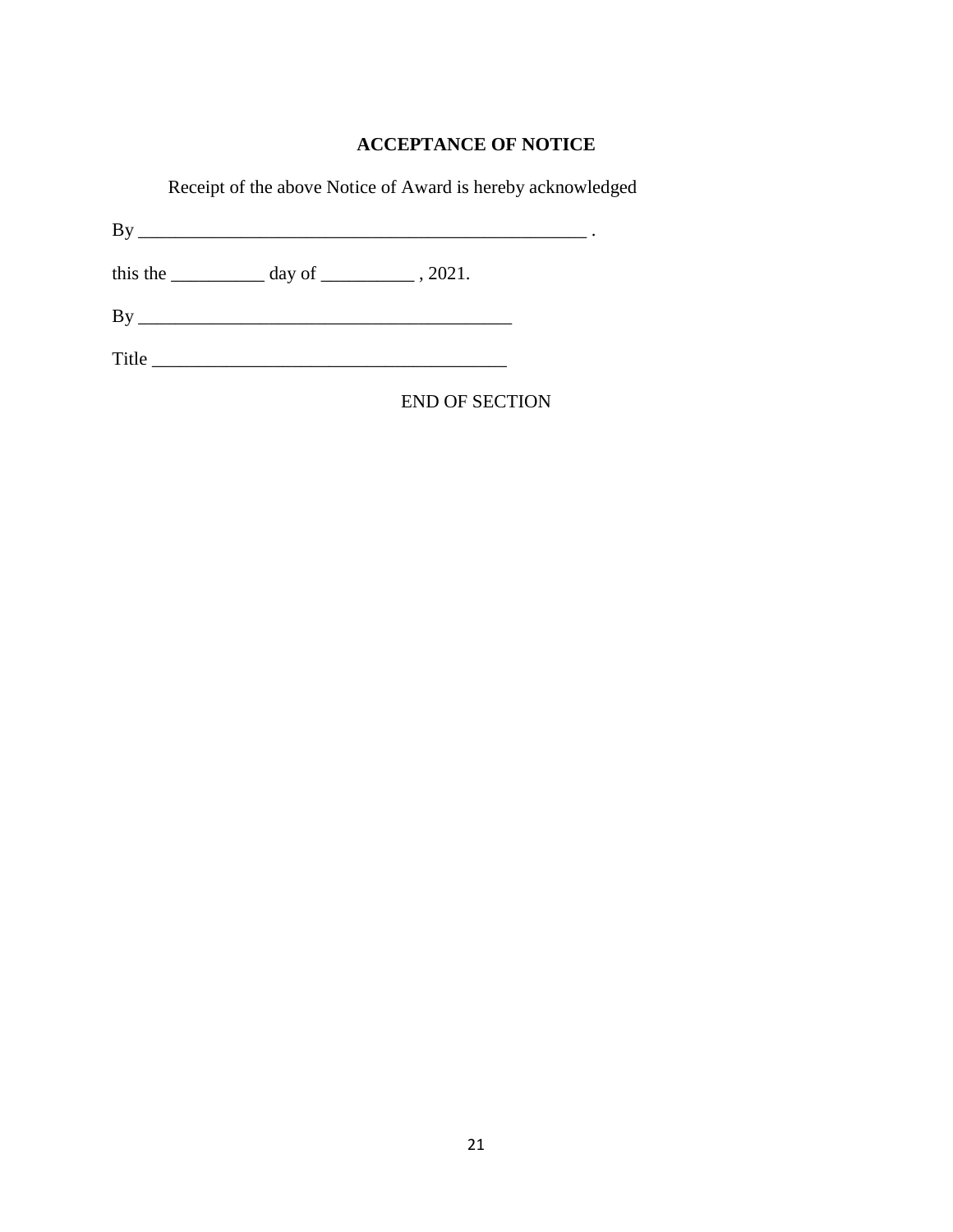## **ACCEPTANCE OF NOTICE**

Receipt of the above Notice of Award is hereby acknowledged

By \_\_\_\_\_\_\_\_\_\_\_\_\_\_\_\_\_\_\_\_\_\_\_\_\_\_\_\_\_\_\_\_\_\_\_\_\_\_\_\_\_\_\_\_\_\_\_\_ .

this the  $\frac{1}{2}$  day of  $\frac{1}{2}$ , 2021.

By \_\_\_\_\_\_\_\_\_\_\_\_\_\_\_\_\_\_\_\_\_\_\_\_\_\_\_\_\_\_\_\_\_\_\_\_\_\_\_\_

Title \_\_\_\_\_\_\_\_\_\_\_\_\_\_\_\_\_\_\_\_\_\_\_\_\_\_\_\_\_\_\_\_\_\_\_\_\_\_

END OF SECTION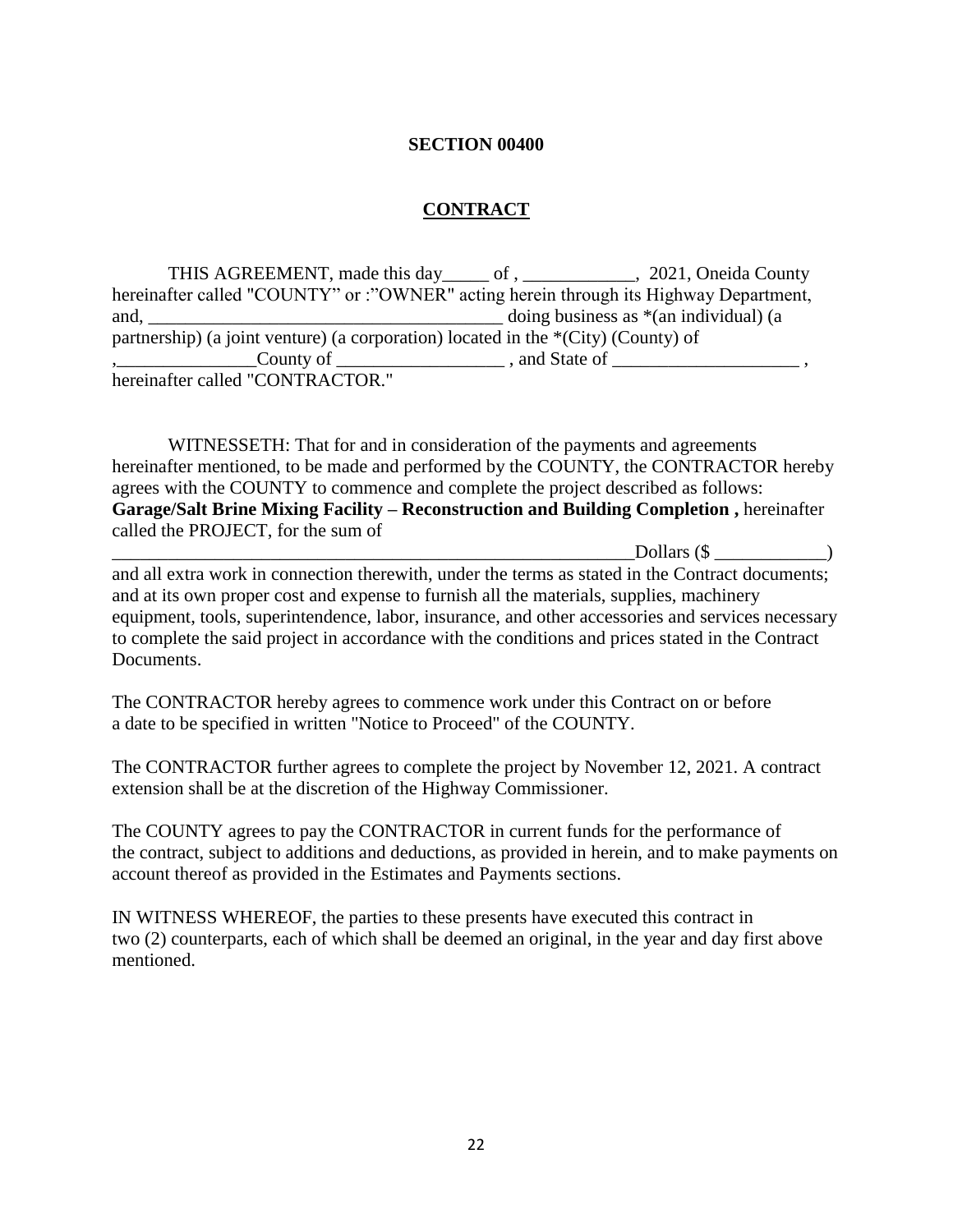#### **SECTION 00400**

#### **CONTRACT**

THIS AGREEMENT, made this day of, 2021, Oneida County hereinafter called "COUNTY" or :"OWNER" acting herein through its Highway Department, and, \_\_\_\_\_\_\_\_\_\_\_\_\_\_\_\_\_\_\_\_\_\_\_\_\_\_\_\_\_\_\_\_\_\_\_\_\_\_ doing business as \*(an individual) (a partnership) (a joint venture) (a corporation) located in the \*(City) (County) of ,\_\_\_\_\_\_\_\_\_\_\_\_\_\_\_County of \_\_\_\_\_\_\_\_\_\_\_\_\_\_\_\_\_\_ , and State of \_\_\_\_\_\_\_\_\_\_\_\_\_\_\_\_\_\_\_\_ , hereinafter called "CONTRACTOR."

WITNESSETH: That for and in consideration of the payments and agreements hereinafter mentioned, to be made and performed by the COUNTY, the CONTRACTOR hereby agrees with the COUNTY to commence and complete the project described as follows: **Garage/Salt Brine Mixing Facility – Reconstruction and Building Completion ,** hereinafter called the PROJECT, for the sum of

 $\Delta$  Dollars (\$  $\Delta$ and all extra work in connection therewith, under the terms as stated in the Contract documents; and at its own proper cost and expense to furnish all the materials, supplies, machinery equipment, tools, superintendence, labor, insurance, and other accessories and services necessary to complete the said project in accordance with the conditions and prices stated in the Contract Documents.

The CONTRACTOR hereby agrees to commence work under this Contract on or before a date to be specified in written "Notice to Proceed" of the COUNTY.

The CONTRACTOR further agrees to complete the project by November 12, 2021. A contract extension shall be at the discretion of the Highway Commissioner.

The COUNTY agrees to pay the CONTRACTOR in current funds for the performance of the contract, subject to additions and deductions, as provided in herein, and to make payments on account thereof as provided in the Estimates and Payments sections.

IN WITNESS WHEREOF, the parties to these presents have executed this contract in two (2) counterparts, each of which shall be deemed an original, in the year and day first above mentioned.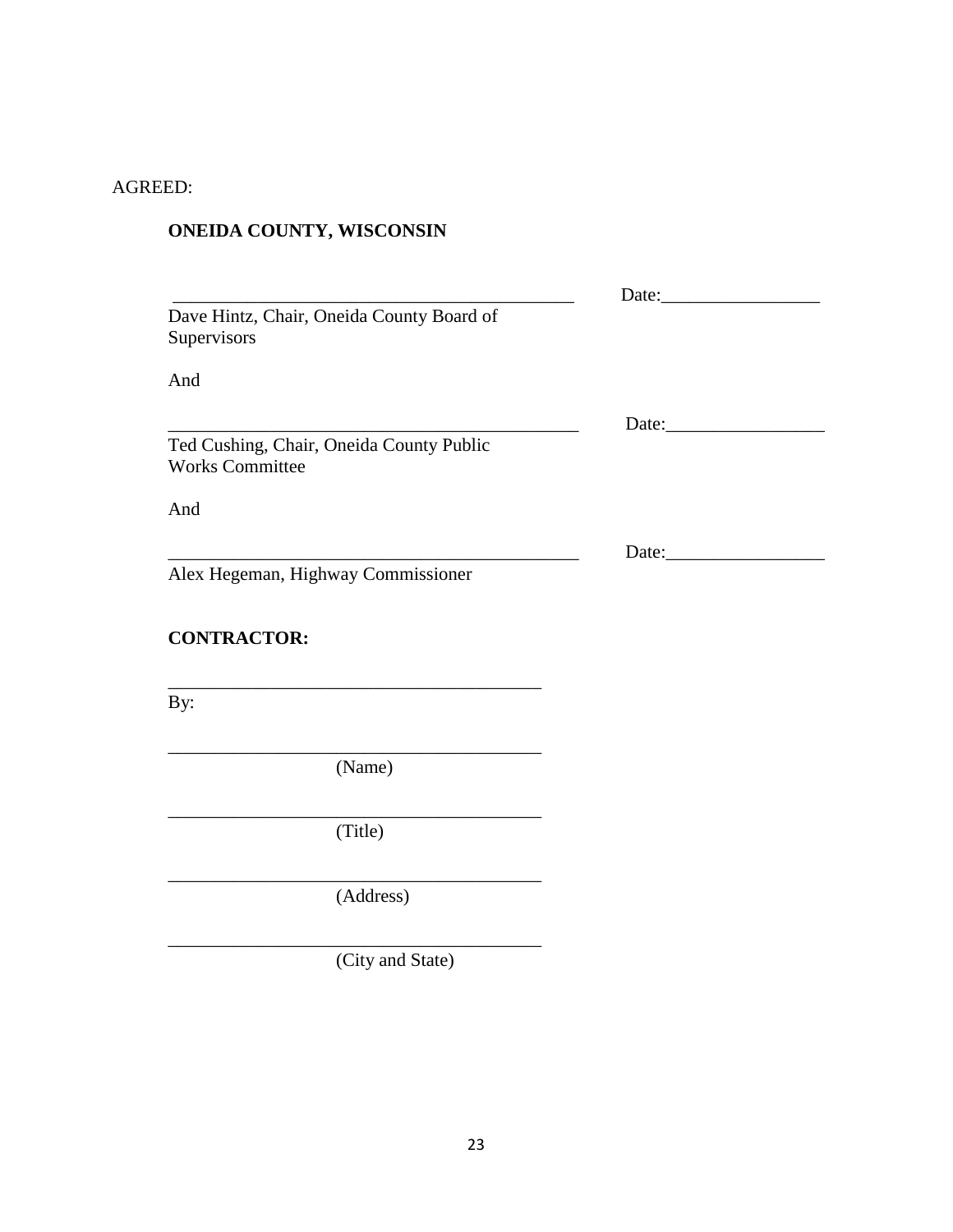## AGREED:

# **ONEIDA COUNTY, WISCONSIN**

| Dave Hintz, Chair, Oneida County Board of<br>Supervisors |                    |
|----------------------------------------------------------|--------------------|
| And                                                      |                    |
| Ted Cushing, Chair, Oneida County Public                 | Date: <u>Date:</u> |
| <b>Works Committee</b><br>And                            |                    |
|                                                          | Date:              |
| Alex Hegeman, Highway Commissioner                       |                    |
| <b>CONTRACTOR:</b>                                       |                    |
| By:                                                      |                    |
| (Name)                                                   |                    |
| (Title)                                                  |                    |
| (Address)                                                |                    |
| (City and State)                                         |                    |
|                                                          |                    |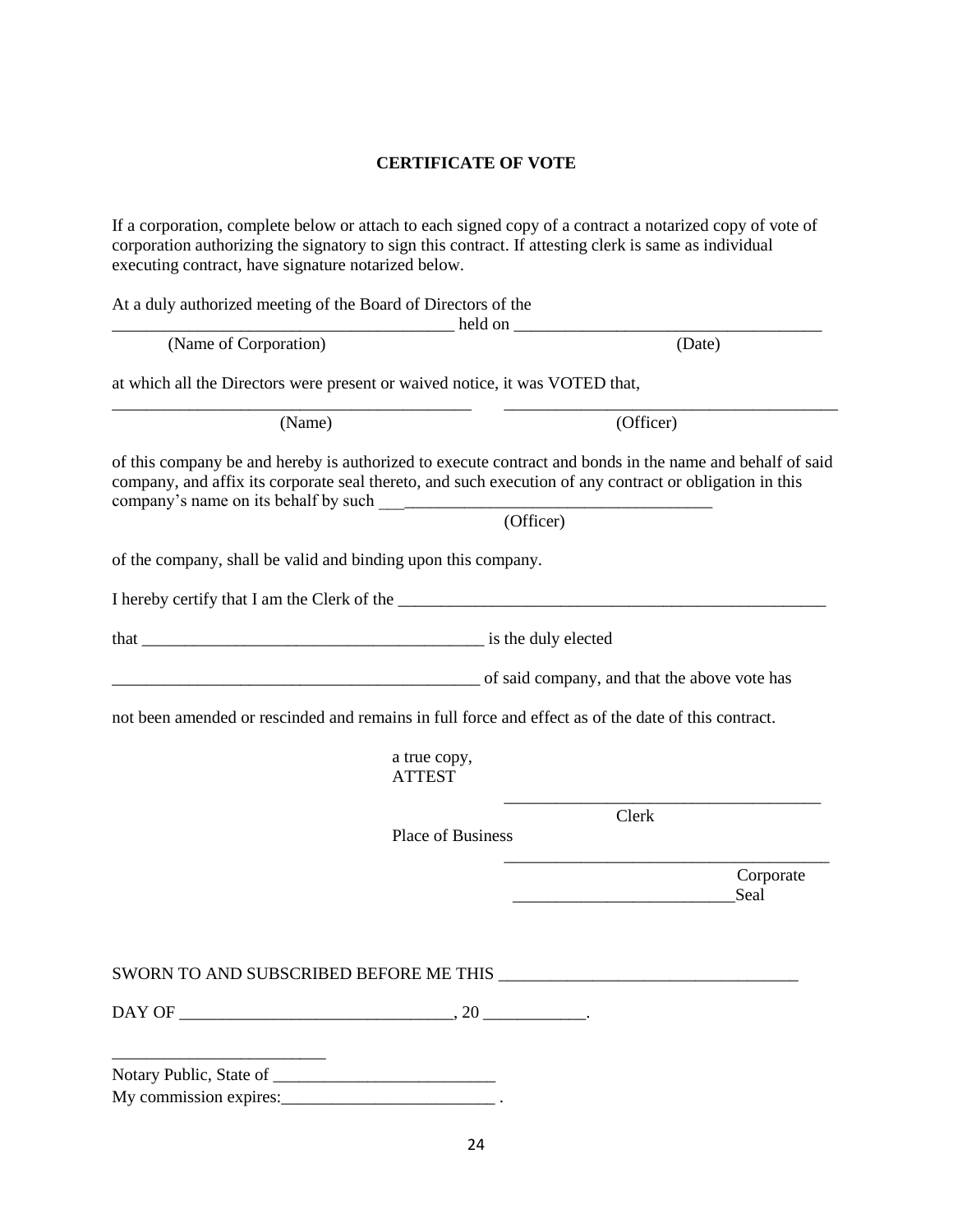#### **CERTIFICATE OF VOTE**

If a corporation, complete below or attach to each signed copy of a contract a notarized copy of vote of corporation authorizing the signatory to sign this contract. If attesting clerk is same as individual executing contract, have signature notarized below.

At a duly authorized meeting of the Board of Directors of the

\_\_\_\_\_\_\_\_\_\_\_\_\_\_\_\_\_\_\_\_\_\_\_\_\_\_\_\_\_\_\_\_\_\_\_\_\_\_\_\_ held on \_\_\_\_\_\_\_\_\_\_\_\_\_\_\_\_\_\_\_\_\_\_\_\_\_\_\_\_\_\_\_\_\_\_\_\_ (Name of Corporation) (Date) at which all the Directors were present or waived notice, it was VOTED that, \_\_\_\_\_\_\_\_\_\_\_\_\_\_\_\_\_\_\_\_\_\_\_\_\_\_\_\_\_\_\_\_\_\_\_\_\_\_\_\_\_\_ \_\_\_\_\_\_\_\_\_\_\_\_\_\_\_\_\_\_\_\_\_\_\_\_\_\_\_\_\_\_\_\_\_\_\_\_\_\_\_ (Name) (Officer) of this company be and hereby is authorized to execute contract and bonds in the name and behalf of said company, and affix its corporate seal thereto, and such execution of any contract or obligation in this company's name on its behalf by such \_\_\_\_\_\_\_\_\_\_\_\_\_\_\_\_\_\_\_\_\_\_\_\_\_\_\_\_\_\_\_\_\_\_\_\_\_\_\_ (Officer) of the company, shall be valid and binding upon this company. I hereby certify that I am the Clerk of the \_\_\_\_\_\_\_\_\_\_\_\_\_\_\_\_\_\_\_\_\_\_\_\_\_\_\_\_\_\_\_\_\_\_\_\_\_\_\_\_\_\_\_\_\_\_\_\_\_\_ that \_\_\_\_\_\_\_\_\_\_\_\_\_\_\_\_\_\_\_\_\_\_\_\_\_\_\_\_\_\_\_\_\_\_\_\_\_\_\_\_ is the duly elected \_\_\_\_\_\_\_\_\_\_\_\_\_\_\_\_\_\_\_\_\_\_\_\_\_\_\_\_\_\_\_\_\_\_\_\_\_\_\_\_\_\_\_ of said company, and that the above vote has not been amended or rescinded and remains in full force and effect as of the date of this contract. a true copy, ATTEST \_\_\_\_\_\_\_\_\_\_\_\_\_\_\_\_\_\_\_\_\_\_\_\_\_\_\_\_\_\_\_\_\_\_\_\_\_ Clerk Place of Business \_\_\_\_\_\_\_\_\_\_\_\_\_\_\_\_\_\_\_\_\_\_\_\_\_\_\_\_\_\_\_\_\_\_\_\_\_\_ Corporate Seal SWORN TO AND SUBSCRIBED BEFORE ME THIS \_\_\_\_\_\_\_\_\_\_\_\_\_\_\_\_\_\_\_\_\_\_\_\_\_\_\_\_\_\_\_\_\_\_\_

 $DAY$  OF  $\longrightarrow$   $, 20$ 

Notary Public, State of \_\_\_\_\_\_\_\_\_\_\_\_\_\_\_\_\_\_\_\_\_\_\_\_\_\_ My commission expires:

\_\_\_\_\_\_\_\_\_\_\_\_\_\_\_\_\_\_\_\_\_\_\_\_\_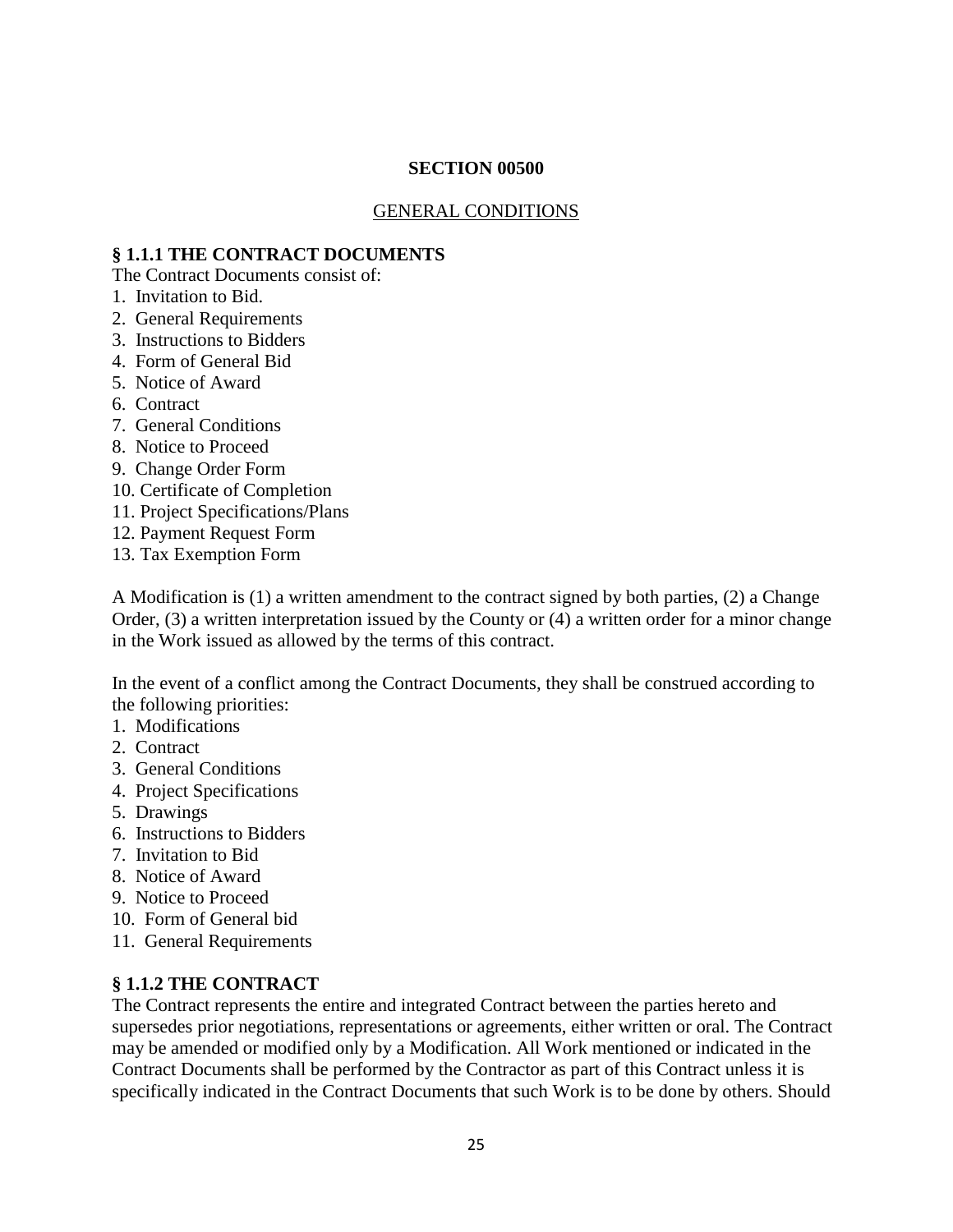#### **SECTION 00500**

#### GENERAL CONDITIONS

#### **§ 1.1.1 THE CONTRACT DOCUMENTS**

The Contract Documents consist of:

- 1. Invitation to Bid.
- 2. General Requirements
- 3. Instructions to Bidders
- 4. Form of General Bid
- 5. Notice of Award
- 6. Contract
- 7. General Conditions
- 8. Notice to Proceed
- 9. Change Order Form
- 10. Certificate of Completion
- 11. Project Specifications/Plans
- 12. Payment Request Form
- 13. Tax Exemption Form

A Modification is (1) a written amendment to the contract signed by both parties, (2) a Change Order, (3) a written interpretation issued by the County or (4) a written order for a minor change in the Work issued as allowed by the terms of this contract.

In the event of a conflict among the Contract Documents, they shall be construed according to the following priorities:

- 1. Modifications
- 2. Contract
- 3. General Conditions
- 4. Project Specifications
- 5. Drawings
- 6. Instructions to Bidders
- 7. Invitation to Bid
- 8. Notice of Award
- 9. Notice to Proceed
- 10. Form of General bid
- 11. General Requirements

#### **§ 1.1.2 THE CONTRACT**

The Contract represents the entire and integrated Contract between the parties hereto and supersedes prior negotiations, representations or agreements, either written or oral. The Contract may be amended or modified only by a Modification. All Work mentioned or indicated in the Contract Documents shall be performed by the Contractor as part of this Contract unless it is specifically indicated in the Contract Documents that such Work is to be done by others. Should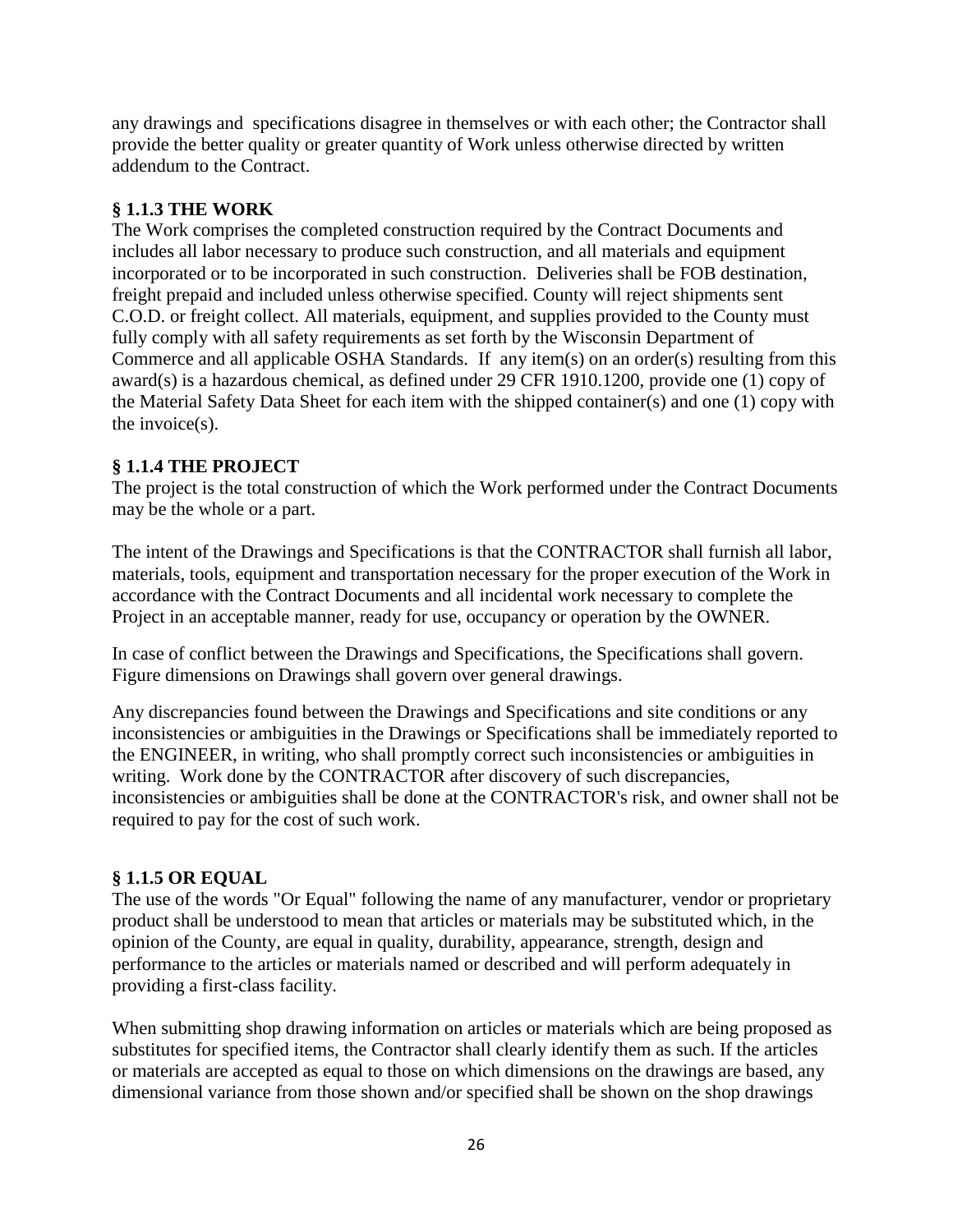any drawings and specifications disagree in themselves or with each other; the Contractor shall provide the better quality or greater quantity of Work unless otherwise directed by written addendum to the Contract.

## **§ 1.1.3 THE WORK**

The Work comprises the completed construction required by the Contract Documents and includes all labor necessary to produce such construction, and all materials and equipment incorporated or to be incorporated in such construction. Deliveries shall be FOB destination, freight prepaid and included unless otherwise specified. County will reject shipments sent C.O.D. or freight collect. All materials, equipment, and supplies provided to the County must fully comply with all safety requirements as set forth by the Wisconsin Department of Commerce and all applicable OSHA Standards. If any item(s) on an order(s) resulting from this award(s) is a hazardous chemical, as defined under 29 CFR 1910.1200, provide one (1) copy of the Material Safety Data Sheet for each item with the shipped container(s) and one (1) copy with the invoice(s).

## **§ 1.1.4 THE PROJECT**

The project is the total construction of which the Work performed under the Contract Documents may be the whole or a part.

The intent of the Drawings and Specifications is that the CONTRACTOR shall furnish all labor, materials, tools, equipment and transportation necessary for the proper execution of the Work in accordance with the Contract Documents and all incidental work necessary to complete the Project in an acceptable manner, ready for use, occupancy or operation by the OWNER.

In case of conflict between the Drawings and Specifications, the Specifications shall govern. Figure dimensions on Drawings shall govern over general drawings.

Any discrepancies found between the Drawings and Specifications and site conditions or any inconsistencies or ambiguities in the Drawings or Specifications shall be immediately reported to the ENGINEER, in writing, who shall promptly correct such inconsistencies or ambiguities in writing. Work done by the CONTRACTOR after discovery of such discrepancies, inconsistencies or ambiguities shall be done at the CONTRACTOR's risk, and owner shall not be required to pay for the cost of such work.

## **§ 1.1.5 OR EQUAL**

The use of the words "Or Equal" following the name of any manufacturer, vendor or proprietary product shall be understood to mean that articles or materials may be substituted which, in the opinion of the County, are equal in quality, durability, appearance, strength, design and performance to the articles or materials named or described and will perform adequately in providing a first-class facility.

When submitting shop drawing information on articles or materials which are being proposed as substitutes for specified items, the Contractor shall clearly identify them as such. If the articles or materials are accepted as equal to those on which dimensions on the drawings are based, any dimensional variance from those shown and/or specified shall be shown on the shop drawings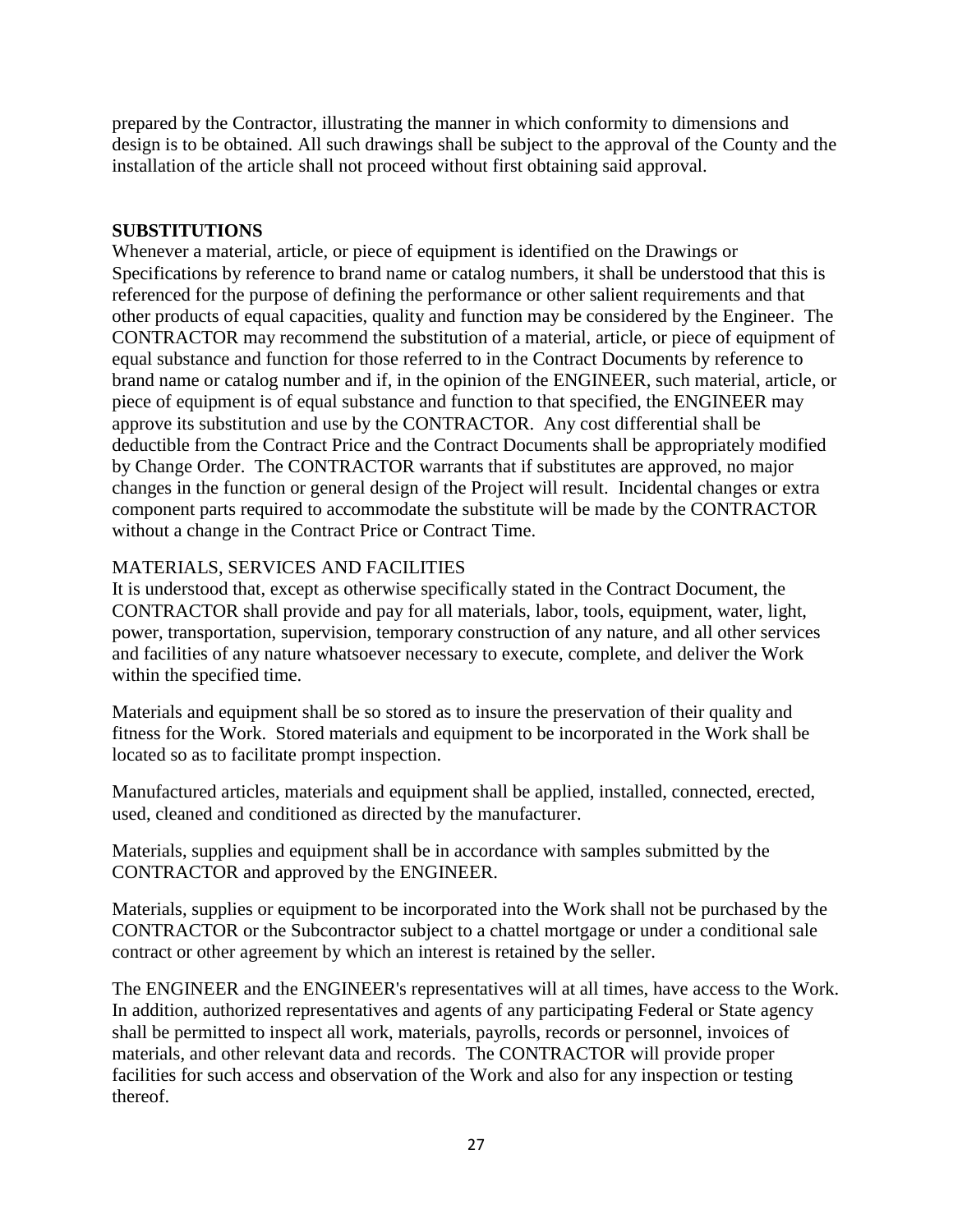prepared by the Contractor, illustrating the manner in which conformity to dimensions and design is to be obtained. All such drawings shall be subject to the approval of the County and the installation of the article shall not proceed without first obtaining said approval.

#### **SUBSTITUTIONS**

Whenever a material, article, or piece of equipment is identified on the Drawings or Specifications by reference to brand name or catalog numbers, it shall be understood that this is referenced for the purpose of defining the performance or other salient requirements and that other products of equal capacities, quality and function may be considered by the Engineer. The CONTRACTOR may recommend the substitution of a material, article, or piece of equipment of equal substance and function for those referred to in the Contract Documents by reference to brand name or catalog number and if, in the opinion of the ENGINEER, such material, article, or piece of equipment is of equal substance and function to that specified, the ENGINEER may approve its substitution and use by the CONTRACTOR. Any cost differential shall be deductible from the Contract Price and the Contract Documents shall be appropriately modified by Change Order. The CONTRACTOR warrants that if substitutes are approved, no major changes in the function or general design of the Project will result. Incidental changes or extra component parts required to accommodate the substitute will be made by the CONTRACTOR without a change in the Contract Price or Contract Time.

## MATERIALS, SERVICES AND FACILITIES

It is understood that, except as otherwise specifically stated in the Contract Document, the CONTRACTOR shall provide and pay for all materials, labor, tools, equipment, water, light, power, transportation, supervision, temporary construction of any nature, and all other services and facilities of any nature whatsoever necessary to execute, complete, and deliver the Work within the specified time.

Materials and equipment shall be so stored as to insure the preservation of their quality and fitness for the Work. Stored materials and equipment to be incorporated in the Work shall be located so as to facilitate prompt inspection.

Manufactured articles, materials and equipment shall be applied, installed, connected, erected, used, cleaned and conditioned as directed by the manufacturer.

Materials, supplies and equipment shall be in accordance with samples submitted by the CONTRACTOR and approved by the ENGINEER.

Materials, supplies or equipment to be incorporated into the Work shall not be purchased by the CONTRACTOR or the Subcontractor subject to a chattel mortgage or under a conditional sale contract or other agreement by which an interest is retained by the seller.

The ENGINEER and the ENGINEER's representatives will at all times, have access to the Work. In addition, authorized representatives and agents of any participating Federal or State agency shall be permitted to inspect all work, materials, payrolls, records or personnel, invoices of materials, and other relevant data and records. The CONTRACTOR will provide proper facilities for such access and observation of the Work and also for any inspection or testing thereof.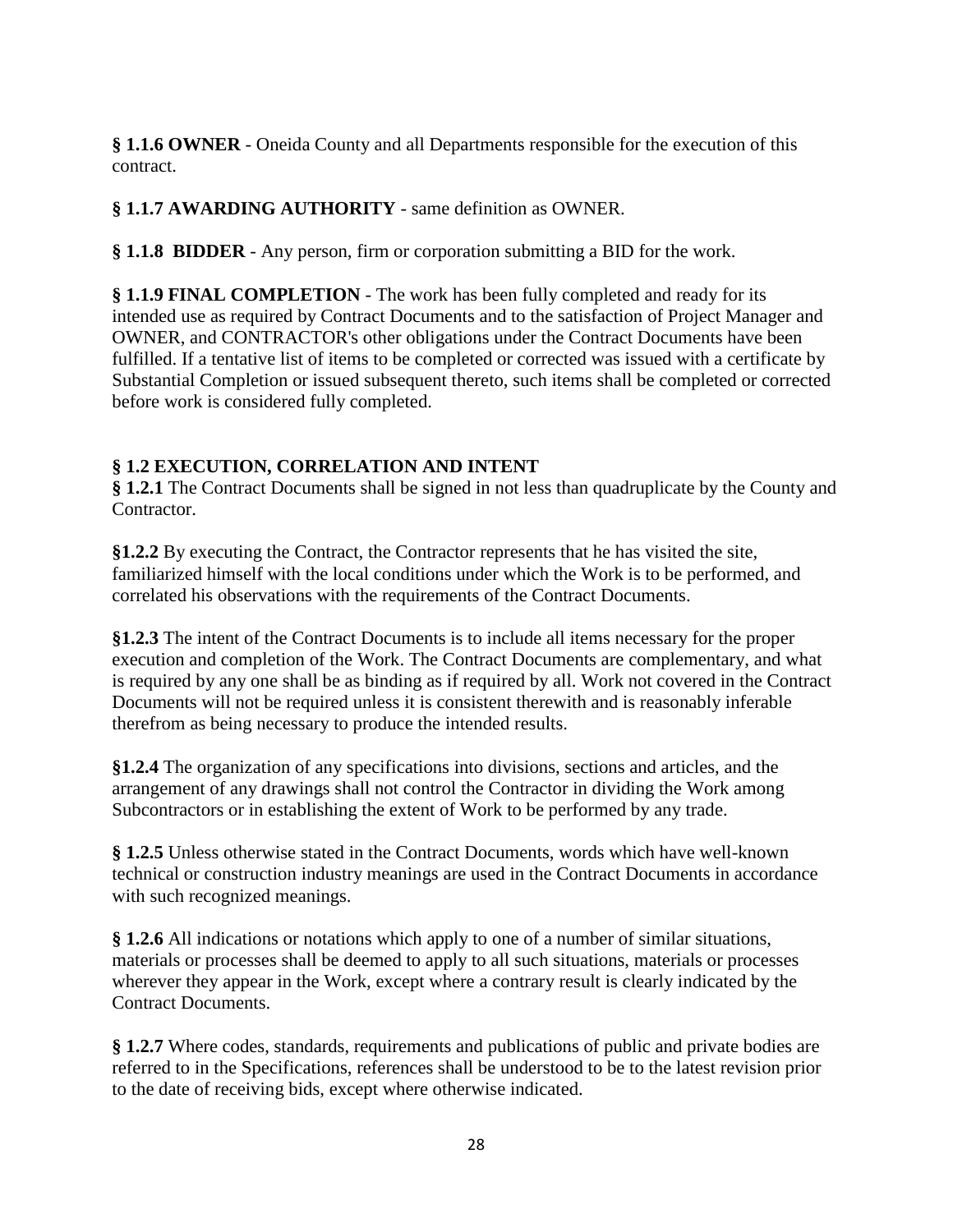**§ 1.1.6 OWNER** - Oneida County and all Departments responsible for the execution of this contract.

## **§ 1.1.7 AWARDING AUTHORITY** - same definition as OWNER.

**§ 1.1.8 BIDDER** - Any person, firm or corporation submitting a BID for the work.

**§ 1.1.9 FINAL COMPLETION** - The work has been fully completed and ready for its intended use as required by Contract Documents and to the satisfaction of Project Manager and OWNER, and CONTRACTOR's other obligations under the Contract Documents have been fulfilled. If a tentative list of items to be completed or corrected was issued with a certificate by Substantial Completion or issued subsequent thereto, such items shall be completed or corrected before work is considered fully completed.

## **§ 1.2 EXECUTION, CORRELATION AND INTENT**

**§ 1.2.1** The Contract Documents shall be signed in not less than quadruplicate by the County and Contractor.

**§1.2.2** By executing the Contract, the Contractor represents that he has visited the site, familiarized himself with the local conditions under which the Work is to be performed, and correlated his observations with the requirements of the Contract Documents.

**§1.2.3** The intent of the Contract Documents is to include all items necessary for the proper execution and completion of the Work. The Contract Documents are complementary, and what is required by any one shall be as binding as if required by all. Work not covered in the Contract Documents will not be required unless it is consistent therewith and is reasonably inferable therefrom as being necessary to produce the intended results.

**§1.2.4** The organization of any specifications into divisions, sections and articles, and the arrangement of any drawings shall not control the Contractor in dividing the Work among Subcontractors or in establishing the extent of Work to be performed by any trade.

**§ 1.2.5** Unless otherwise stated in the Contract Documents, words which have well-known technical or construction industry meanings are used in the Contract Documents in accordance with such recognized meanings.

**§ 1.2.6** All indications or notations which apply to one of a number of similar situations, materials or processes shall be deemed to apply to all such situations, materials or processes wherever they appear in the Work, except where a contrary result is clearly indicated by the Contract Documents.

**§ 1.2.7** Where codes, standards, requirements and publications of public and private bodies are referred to in the Specifications, references shall be understood to be to the latest revision prior to the date of receiving bids, except where otherwise indicated.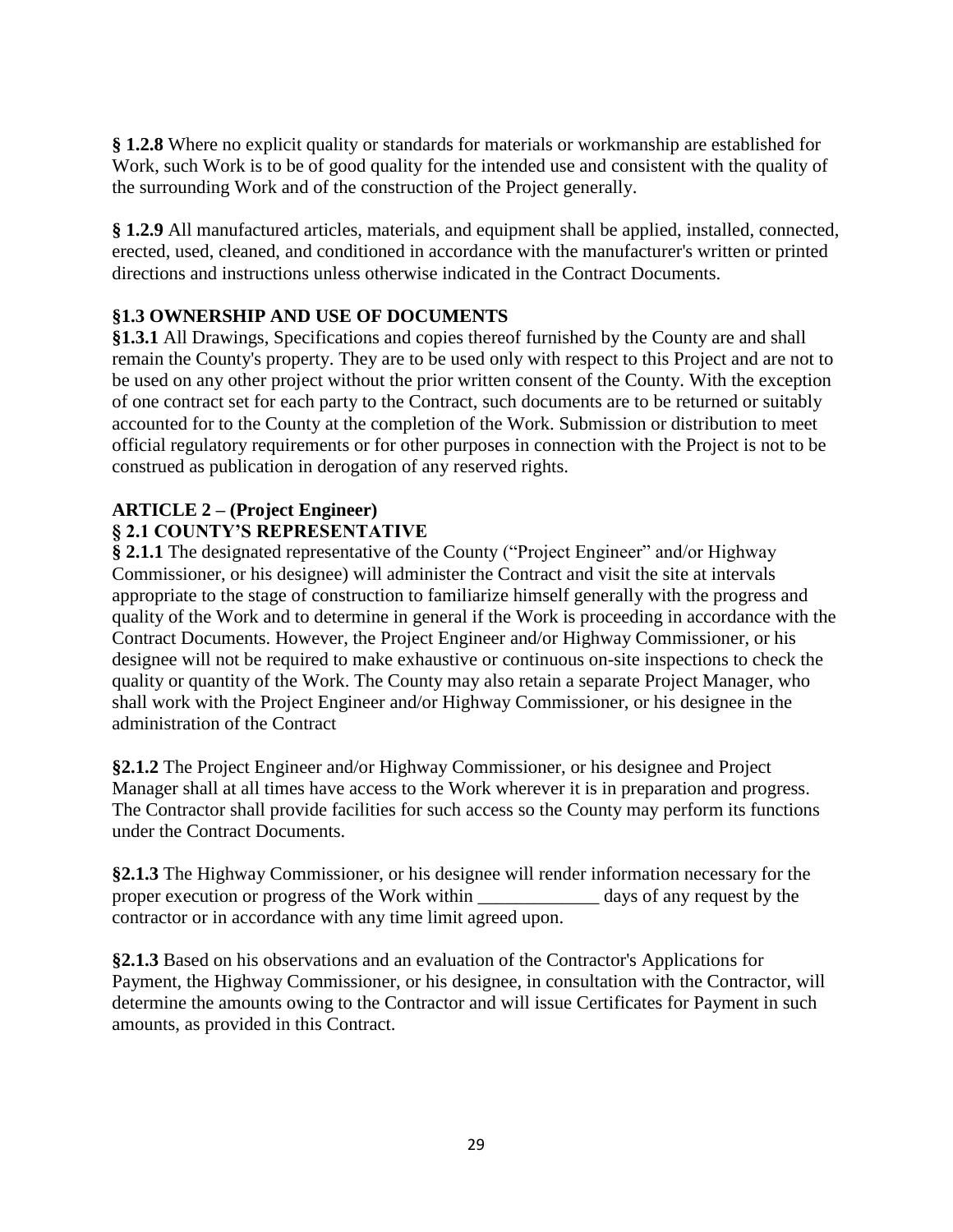**§ 1.2.8** Where no explicit quality or standards for materials or workmanship are established for Work, such Work is to be of good quality for the intended use and consistent with the quality of the surrounding Work and of the construction of the Project generally.

**§ 1.2.9** All manufactured articles, materials, and equipment shall be applied, installed, connected, erected, used, cleaned, and conditioned in accordance with the manufacturer's written or printed directions and instructions unless otherwise indicated in the Contract Documents.

## **§1.3 OWNERSHIP AND USE OF DOCUMENTS**

**§1.3.1** All Drawings, Specifications and copies thereof furnished by the County are and shall remain the County's property. They are to be used only with respect to this Project and are not to be used on any other project without the prior written consent of the County. With the exception of one contract set for each party to the Contract, such documents are to be returned or suitably accounted for to the County at the completion of the Work. Submission or distribution to meet official regulatory requirements or for other purposes in connection with the Project is not to be construed as publication in derogation of any reserved rights.

#### **ARTICLE 2 – (Project Engineer) § 2.1 COUNTY'S REPRESENTATIVE**

**§ 2.1.1** The designated representative of the County ("Project Engineer" and/or Highway Commissioner, or his designee) will administer the Contract and visit the site at intervals appropriate to the stage of construction to familiarize himself generally with the progress and quality of the Work and to determine in general if the Work is proceeding in accordance with the Contract Documents. However, the Project Engineer and/or Highway Commissioner, or his designee will not be required to make exhaustive or continuous on-site inspections to check the quality or quantity of the Work. The County may also retain a separate Project Manager, who shall work with the Project Engineer and/or Highway Commissioner, or his designee in the administration of the Contract

**§2.1.2** The Project Engineer and/or Highway Commissioner, or his designee and Project Manager shall at all times have access to the Work wherever it is in preparation and progress. The Contractor shall provide facilities for such access so the County may perform its functions under the Contract Documents.

**§2.1.3** The Highway Commissioner, or his designee will render information necessary for the proper execution or progress of the Work within \_\_\_\_\_\_\_\_\_\_\_\_\_ days of any request by the contractor or in accordance with any time limit agreed upon.

**§2.1.3** Based on his observations and an evaluation of the Contractor's Applications for Payment, the Highway Commissioner, or his designee, in consultation with the Contractor, will determine the amounts owing to the Contractor and will issue Certificates for Payment in such amounts, as provided in this Contract.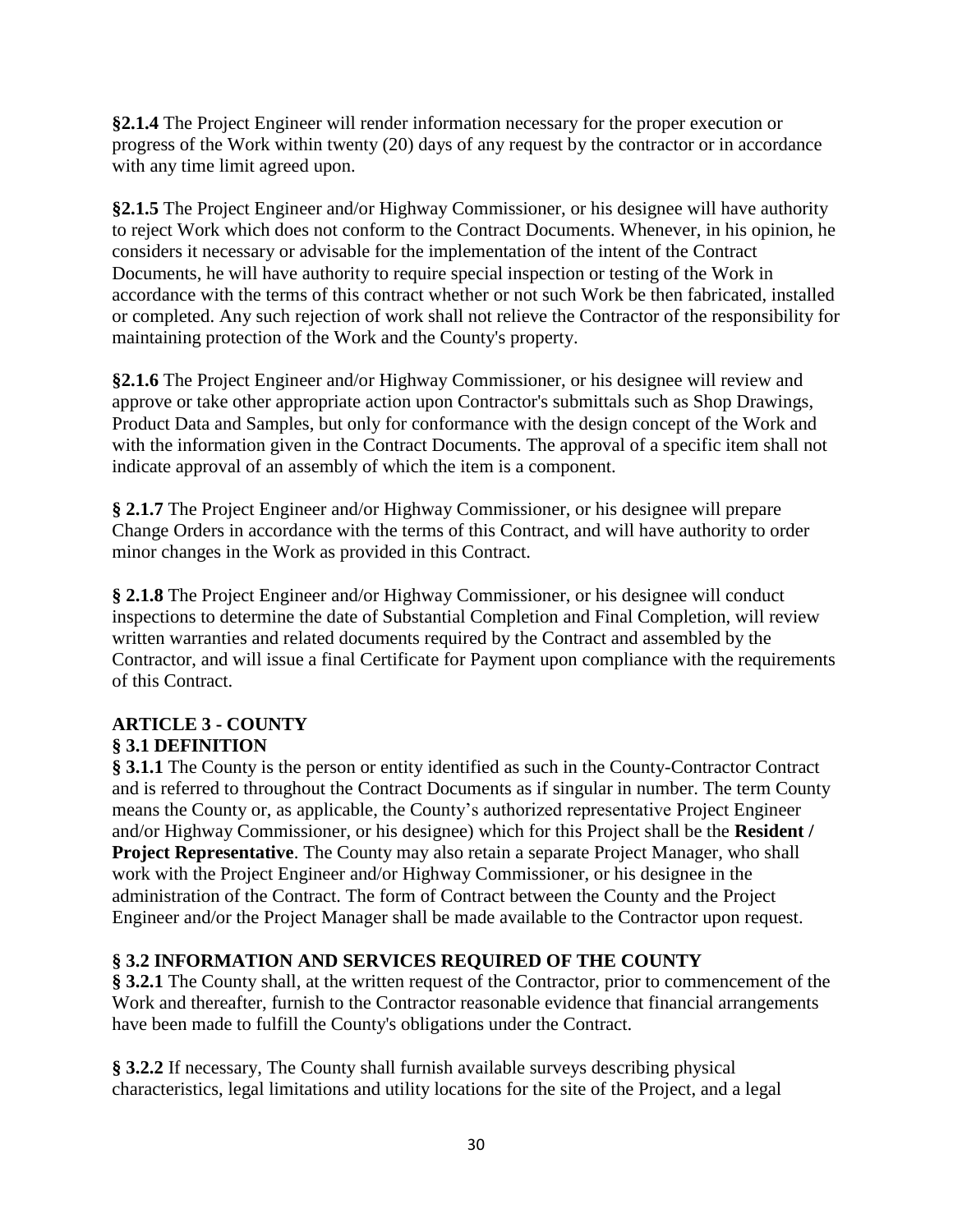**§2.1.4** The Project Engineer will render information necessary for the proper execution or progress of the Work within twenty (20) days of any request by the contractor or in accordance with any time limit agreed upon.

**§2.1.5** The Project Engineer and/or Highway Commissioner, or his designee will have authority to reject Work which does not conform to the Contract Documents. Whenever, in his opinion, he considers it necessary or advisable for the implementation of the intent of the Contract Documents, he will have authority to require special inspection or testing of the Work in accordance with the terms of this contract whether or not such Work be then fabricated, installed or completed. Any such rejection of work shall not relieve the Contractor of the responsibility for maintaining protection of the Work and the County's property.

**§2.1.6** The Project Engineer and/or Highway Commissioner, or his designee will review and approve or take other appropriate action upon Contractor's submittals such as Shop Drawings, Product Data and Samples, but only for conformance with the design concept of the Work and with the information given in the Contract Documents. The approval of a specific item shall not indicate approval of an assembly of which the item is a component.

**§ 2.1.7** The Project Engineer and/or Highway Commissioner, or his designee will prepare Change Orders in accordance with the terms of this Contract, and will have authority to order minor changes in the Work as provided in this Contract.

**§ 2.1.8** The Project Engineer and/or Highway Commissioner, or his designee will conduct inspections to determine the date of Substantial Completion and Final Completion, will review written warranties and related documents required by the Contract and assembled by the Contractor, and will issue a final Certificate for Payment upon compliance with the requirements of this Contract.

## **ARTICLE 3 - COUNTY § 3.1 DEFINITION**

**§ 3.1.1** The County is the person or entity identified as such in the County-Contractor Contract and is referred to throughout the Contract Documents as if singular in number. The term County means the County or, as applicable, the County's authorized representative Project Engineer and/or Highway Commissioner, or his designee) which for this Project shall be the **Resident / Project Representative**. The County may also retain a separate Project Manager, who shall work with the Project Engineer and/or Highway Commissioner, or his designee in the administration of the Contract. The form of Contract between the County and the Project Engineer and/or the Project Manager shall be made available to the Contractor upon request.

## **§ 3.2 INFORMATION AND SERVICES REQUIRED OF THE COUNTY**

**§ 3.2.1** The County shall, at the written request of the Contractor, prior to commencement of the Work and thereafter, furnish to the Contractor reasonable evidence that financial arrangements have been made to fulfill the County's obligations under the Contract.

**§ 3.2.2** If necessary, The County shall furnish available surveys describing physical characteristics, legal limitations and utility locations for the site of the Project, and a legal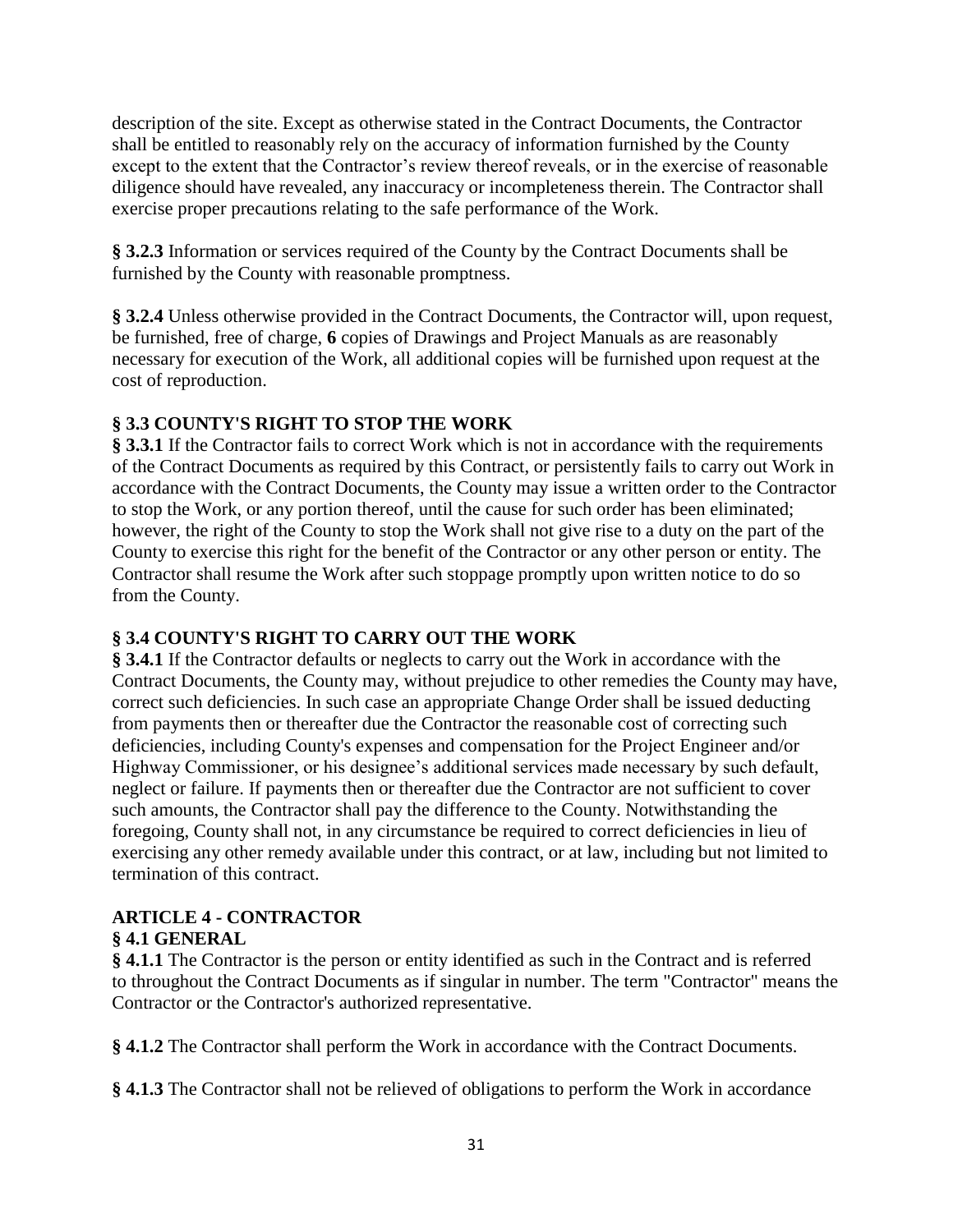description of the site. Except as otherwise stated in the Contract Documents, the Contractor shall be entitled to reasonably rely on the accuracy of information furnished by the County except to the extent that the Contractor's review thereof reveals, or in the exercise of reasonable diligence should have revealed, any inaccuracy or incompleteness therein. The Contractor shall exercise proper precautions relating to the safe performance of the Work.

**§ 3.2.3** Information or services required of the County by the Contract Documents shall be furnished by the County with reasonable promptness.

**§ 3.2.4** Unless otherwise provided in the Contract Documents, the Contractor will, upon request, be furnished, free of charge, **6** copies of Drawings and Project Manuals as are reasonably necessary for execution of the Work, all additional copies will be furnished upon request at the cost of reproduction.

## **§ 3.3 COUNTY'S RIGHT TO STOP THE WORK**

**§ 3.3.1** If the Contractor fails to correct Work which is not in accordance with the requirements of the Contract Documents as required by this Contract, or persistently fails to carry out Work in accordance with the Contract Documents, the County may issue a written order to the Contractor to stop the Work, or any portion thereof, until the cause for such order has been eliminated; however, the right of the County to stop the Work shall not give rise to a duty on the part of the County to exercise this right for the benefit of the Contractor or any other person or entity. The Contractor shall resume the Work after such stoppage promptly upon written notice to do so from the County.

## **§ 3.4 COUNTY'S RIGHT TO CARRY OUT THE WORK**

**§ 3.4.1** If the Contractor defaults or neglects to carry out the Work in accordance with the Contract Documents, the County may, without prejudice to other remedies the County may have, correct such deficiencies. In such case an appropriate Change Order shall be issued deducting from payments then or thereafter due the Contractor the reasonable cost of correcting such deficiencies, including County's expenses and compensation for the Project Engineer and/or Highway Commissioner, or his designee's additional services made necessary by such default, neglect or failure. If payments then or thereafter due the Contractor are not sufficient to cover such amounts, the Contractor shall pay the difference to the County. Notwithstanding the foregoing, County shall not, in any circumstance be required to correct deficiencies in lieu of exercising any other remedy available under this contract, or at law, including but not limited to termination of this contract.

## **ARTICLE 4 - CONTRACTOR**

## **§ 4.1 GENERAL**

**§ 4.1.1** The Contractor is the person or entity identified as such in the Contract and is referred to throughout the Contract Documents as if singular in number. The term "Contractor" means the Contractor or the Contractor's authorized representative.

**§ 4.1.2** The Contractor shall perform the Work in accordance with the Contract Documents.

**§ 4.1.3** The Contractor shall not be relieved of obligations to perform the Work in accordance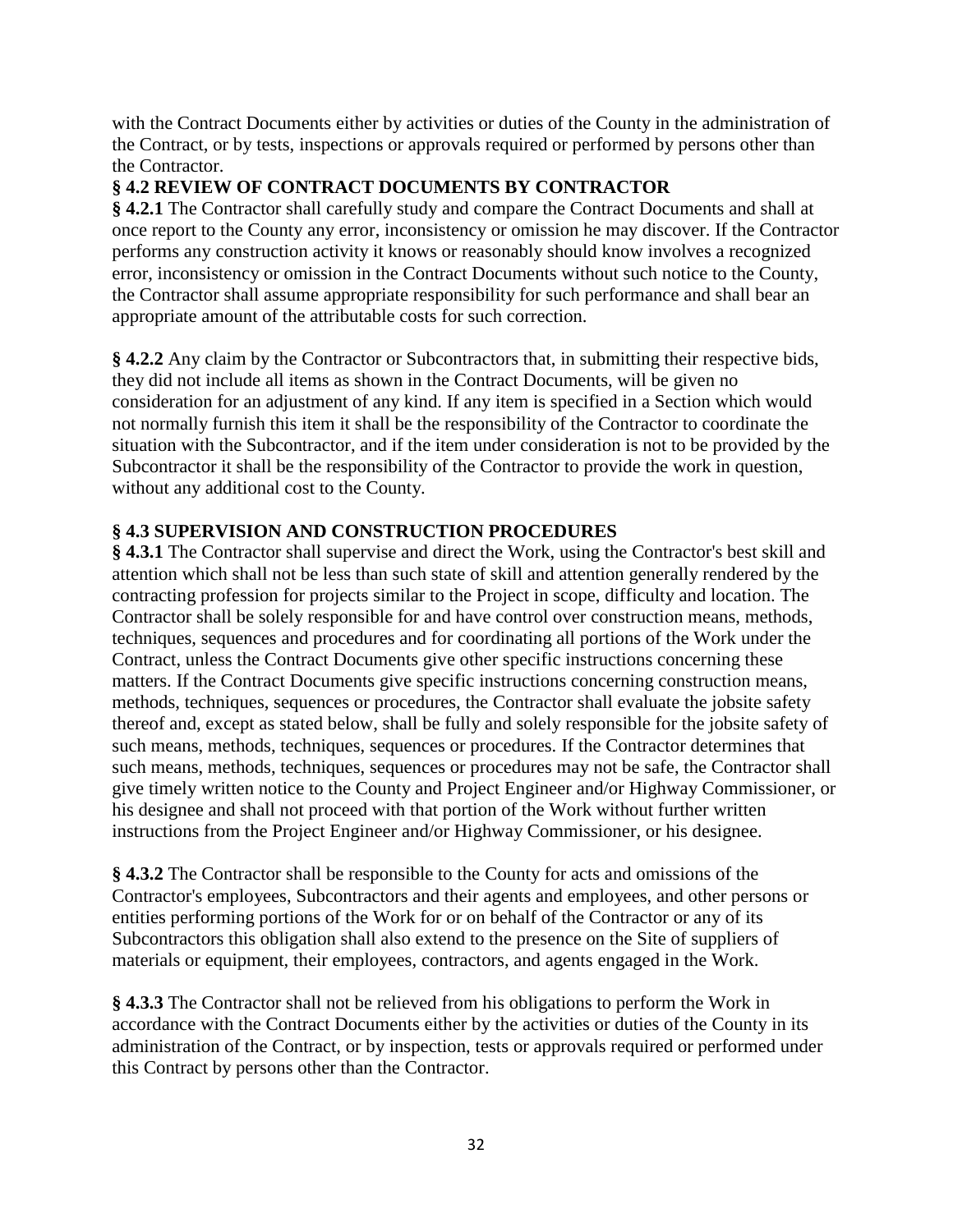with the Contract Documents either by activities or duties of the County in the administration of the Contract, or by tests, inspections or approvals required or performed by persons other than the Contractor.

## **§ 4.2 REVIEW OF CONTRACT DOCUMENTS BY CONTRACTOR**

**§ 4.2.1** The Contractor shall carefully study and compare the Contract Documents and shall at once report to the County any error, inconsistency or omission he may discover. If the Contractor performs any construction activity it knows or reasonably should know involves a recognized error, inconsistency or omission in the Contract Documents without such notice to the County, the Contractor shall assume appropriate responsibility for such performance and shall bear an appropriate amount of the attributable costs for such correction.

**§ 4.2.2** Any claim by the Contractor or Subcontractors that, in submitting their respective bids, they did not include all items as shown in the Contract Documents, will be given no consideration for an adjustment of any kind. If any item is specified in a Section which would not normally furnish this item it shall be the responsibility of the Contractor to coordinate the situation with the Subcontractor, and if the item under consideration is not to be provided by the Subcontractor it shall be the responsibility of the Contractor to provide the work in question, without any additional cost to the County.

## **§ 4.3 SUPERVISION AND CONSTRUCTION PROCEDURES**

**§ 4.3.1** The Contractor shall supervise and direct the Work, using the Contractor's best skill and attention which shall not be less than such state of skill and attention generally rendered by the contracting profession for projects similar to the Project in scope, difficulty and location. The Contractor shall be solely responsible for and have control over construction means, methods, techniques, sequences and procedures and for coordinating all portions of the Work under the Contract, unless the Contract Documents give other specific instructions concerning these matters. If the Contract Documents give specific instructions concerning construction means, methods, techniques, sequences or procedures, the Contractor shall evaluate the jobsite safety thereof and, except as stated below, shall be fully and solely responsible for the jobsite safety of such means, methods, techniques, sequences or procedures. If the Contractor determines that such means, methods, techniques, sequences or procedures may not be safe, the Contractor shall give timely written notice to the County and Project Engineer and/or Highway Commissioner, or his designee and shall not proceed with that portion of the Work without further written instructions from the Project Engineer and/or Highway Commissioner, or his designee.

**§ 4.3.2** The Contractor shall be responsible to the County for acts and omissions of the Contractor's employees, Subcontractors and their agents and employees, and other persons or entities performing portions of the Work for or on behalf of the Contractor or any of its Subcontractors this obligation shall also extend to the presence on the Site of suppliers of materials or equipment, their employees, contractors, and agents engaged in the Work.

**§ 4.3.3** The Contractor shall not be relieved from his obligations to perform the Work in accordance with the Contract Documents either by the activities or duties of the County in its administration of the Contract, or by inspection, tests or approvals required or performed under this Contract by persons other than the Contractor.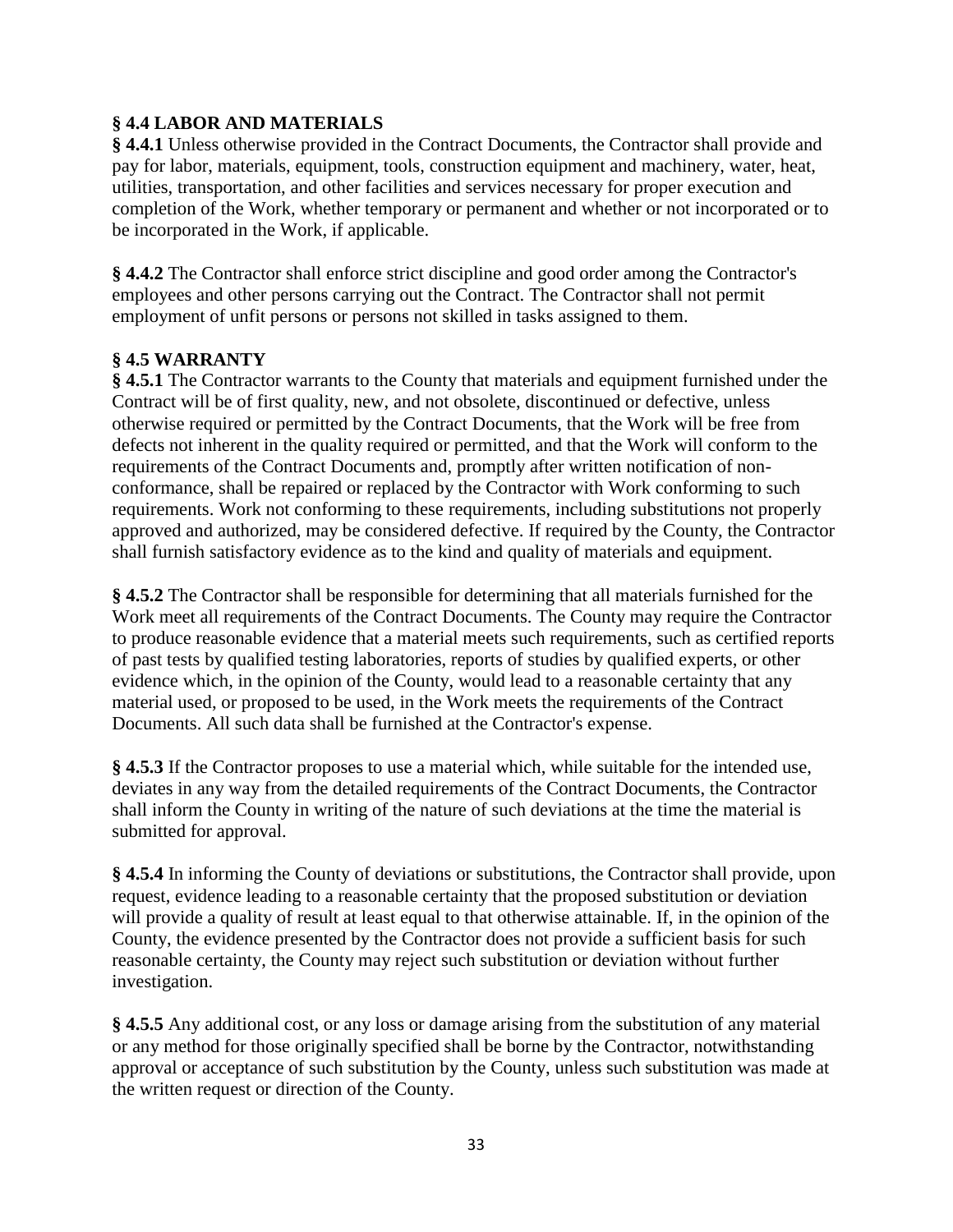## **§ 4.4 LABOR AND MATERIALS**

**§ 4.4.1** Unless otherwise provided in the Contract Documents, the Contractor shall provide and pay for labor, materials, equipment, tools, construction equipment and machinery, water, heat, utilities, transportation, and other facilities and services necessary for proper execution and completion of the Work, whether temporary or permanent and whether or not incorporated or to be incorporated in the Work, if applicable.

**§ 4.4.2** The Contractor shall enforce strict discipline and good order among the Contractor's employees and other persons carrying out the Contract. The Contractor shall not permit employment of unfit persons or persons not skilled in tasks assigned to them.

## **§ 4.5 WARRANTY**

**§ 4.5.1** The Contractor warrants to the County that materials and equipment furnished under the Contract will be of first quality, new, and not obsolete, discontinued or defective, unless otherwise required or permitted by the Contract Documents, that the Work will be free from defects not inherent in the quality required or permitted, and that the Work will conform to the requirements of the Contract Documents and, promptly after written notification of nonconformance, shall be repaired or replaced by the Contractor with Work conforming to such requirements. Work not conforming to these requirements, including substitutions not properly approved and authorized, may be considered defective. If required by the County, the Contractor shall furnish satisfactory evidence as to the kind and quality of materials and equipment.

**§ 4.5.2** The Contractor shall be responsible for determining that all materials furnished for the Work meet all requirements of the Contract Documents. The County may require the Contractor to produce reasonable evidence that a material meets such requirements, such as certified reports of past tests by qualified testing laboratories, reports of studies by qualified experts, or other evidence which, in the opinion of the County, would lead to a reasonable certainty that any material used, or proposed to be used, in the Work meets the requirements of the Contract Documents. All such data shall be furnished at the Contractor's expense.

**§ 4.5.3** If the Contractor proposes to use a material which, while suitable for the intended use, deviates in any way from the detailed requirements of the Contract Documents, the Contractor shall inform the County in writing of the nature of such deviations at the time the material is submitted for approval.

**§ 4.5.4** In informing the County of deviations or substitutions, the Contractor shall provide, upon request, evidence leading to a reasonable certainty that the proposed substitution or deviation will provide a quality of result at least equal to that otherwise attainable. If, in the opinion of the County, the evidence presented by the Contractor does not provide a sufficient basis for such reasonable certainty, the County may reject such substitution or deviation without further investigation.

**§ 4.5.5** Any additional cost, or any loss or damage arising from the substitution of any material or any method for those originally specified shall be borne by the Contractor, notwithstanding approval or acceptance of such substitution by the County, unless such substitution was made at the written request or direction of the County.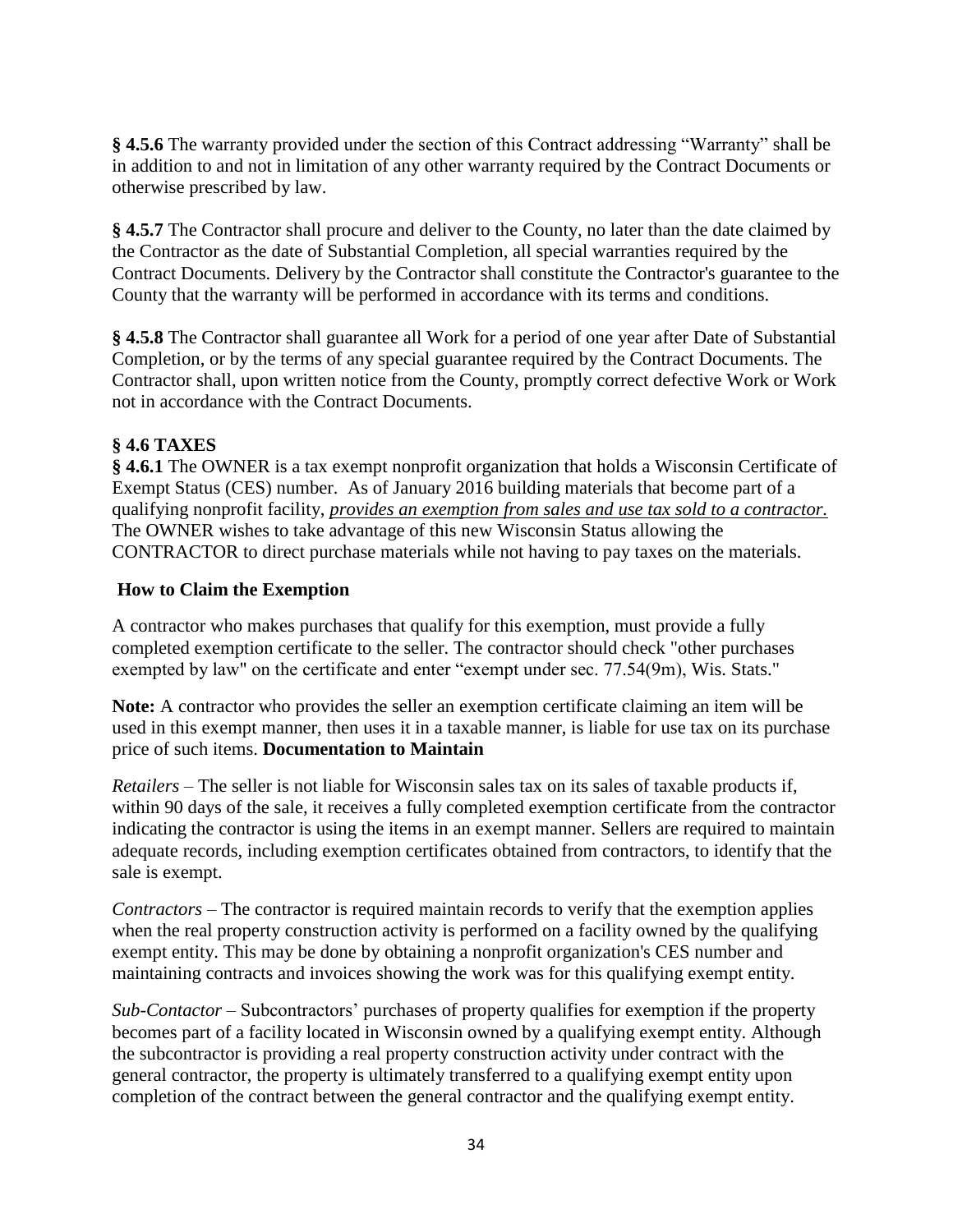**§ 4.5.6** The warranty provided under the section of this Contract addressing "Warranty" shall be in addition to and not in limitation of any other warranty required by the Contract Documents or otherwise prescribed by law.

**§ 4.5.7** The Contractor shall procure and deliver to the County, no later than the date claimed by the Contractor as the date of Substantial Completion, all special warranties required by the Contract Documents. Delivery by the Contractor shall constitute the Contractor's guarantee to the County that the warranty will be performed in accordance with its terms and conditions.

**§ 4.5.8** The Contractor shall guarantee all Work for a period of one year after Date of Substantial Completion, or by the terms of any special guarantee required by the Contract Documents. The Contractor shall, upon written notice from the County, promptly correct defective Work or Work not in accordance with the Contract Documents.

## **§ 4.6 TAXES**

**§ 4.6.1** The OWNER is a tax exempt nonprofit organization that holds a Wisconsin Certificate of Exempt Status (CES) number. As of January 2016 building materials that become part of a qualifying nonprofit facility, *provides an exemption from sales and use tax sold to a contractor.* The OWNER wishes to take advantage of this new Wisconsin Status allowing the CONTRACTOR to direct purchase materials while not having to pay taxes on the materials.

#### **How to Claim the Exemption**

A contractor who makes purchases that qualify for this exemption, must provide a fully completed exemption certificate to the seller. The contractor should check "other purchases exempted by law" on the certificate and enter "exempt under sec. 77.54(9m), Wis. Stats."

**Note:** A contractor who provides the seller an exemption certificate claiming an item will be used in this exempt manner, then uses it in a taxable manner, is liable for use tax on its purchase price of such items. **Documentation to Maintain**

*Retailers* – The seller is not liable for Wisconsin sales tax on its sales of taxable products if, within 90 days of the sale, it receives a fully completed exemption certificate from the contractor indicating the contractor is using the items in an exempt manner. Sellers are required to maintain adequate records, including exemption certificates obtained from contractors, to identify that the sale is exempt.

*Contractors* – The contractor is required maintain records to verify that the exemption applies when the real property construction activity is performed on a facility owned by the qualifying exempt entity. This may be done by obtaining a nonprofit organization's CES number and maintaining contracts and invoices showing the work was for this qualifying exempt entity.

*Sub-Contactor* – Subcontractors' purchases of property qualifies for exemption if the property becomes part of a facility located in Wisconsin owned by a qualifying exempt entity. Although the subcontractor is providing a real property construction activity under contract with the general contractor, the property is ultimately transferred to a qualifying exempt entity upon completion of the contract between the general contractor and the qualifying exempt entity.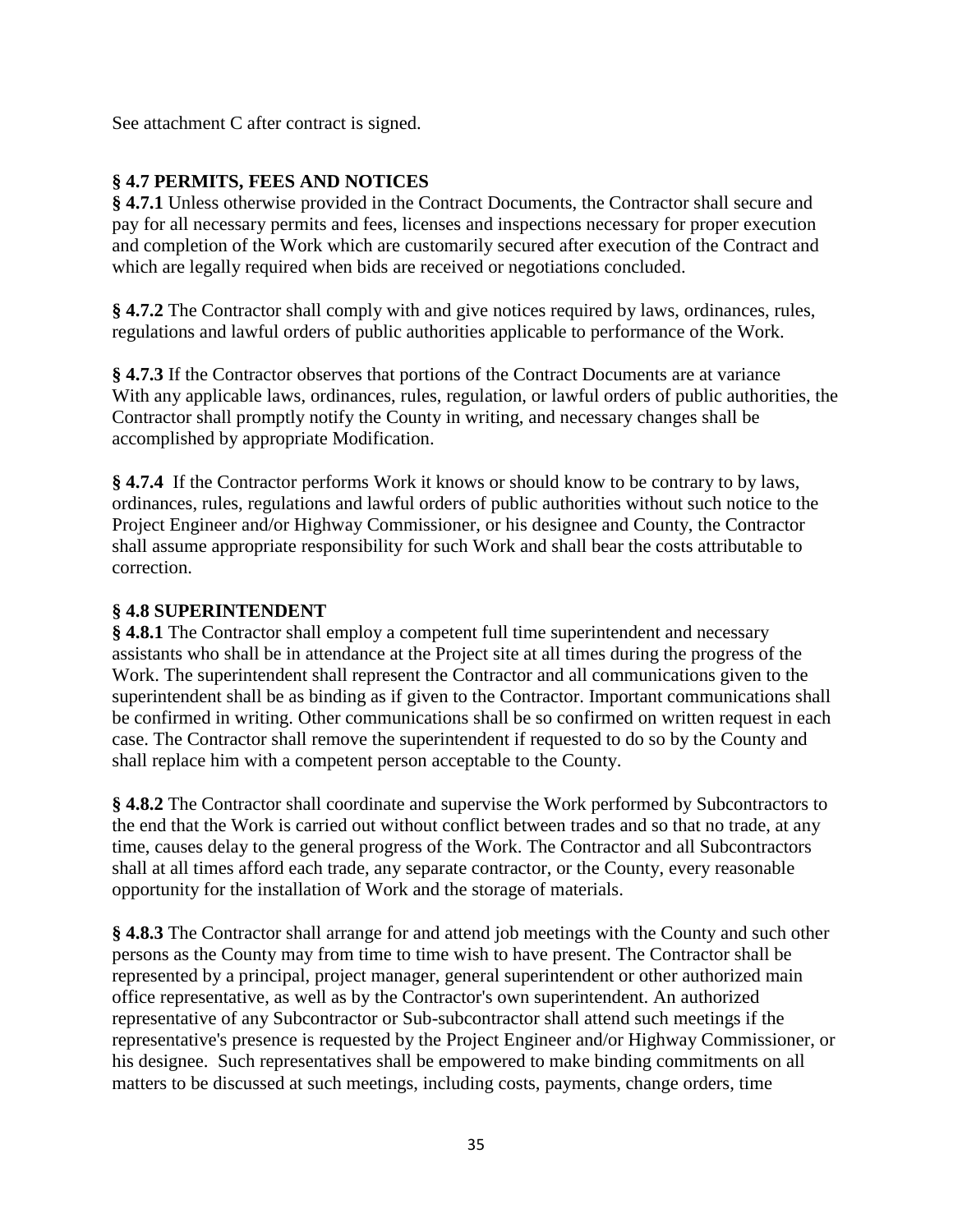See attachment C after contract is signed.

# **§ 4.7 PERMITS, FEES AND NOTICES**

**§ 4.7.1** Unless otherwise provided in the Contract Documents, the Contractor shall secure and pay for all necessary permits and fees, licenses and inspections necessary for proper execution and completion of the Work which are customarily secured after execution of the Contract and which are legally required when bids are received or negotiations concluded.

**§ 4.7.2** The Contractor shall comply with and give notices required by laws, ordinances, rules, regulations and lawful orders of public authorities applicable to performance of the Work.

**§ 4.7.3** If the Contractor observes that portions of the Contract Documents are at variance With any applicable laws, ordinances, rules, regulation, or lawful orders of public authorities, the Contractor shall promptly notify the County in writing, and necessary changes shall be accomplished by appropriate Modification.

**§ 4.7.4** If the Contractor performs Work it knows or should know to be contrary to by laws, ordinances, rules, regulations and lawful orders of public authorities without such notice to the Project Engineer and/or Highway Commissioner, or his designee and County, the Contractor shall assume appropriate responsibility for such Work and shall bear the costs attributable to correction.

## **§ 4.8 SUPERINTENDENT**

**§ 4.8.1** The Contractor shall employ a competent full time superintendent and necessary assistants who shall be in attendance at the Project site at all times during the progress of the Work. The superintendent shall represent the Contractor and all communications given to the superintendent shall be as binding as if given to the Contractor. Important communications shall be confirmed in writing. Other communications shall be so confirmed on written request in each case. The Contractor shall remove the superintendent if requested to do so by the County and shall replace him with a competent person acceptable to the County.

**§ 4.8.2** The Contractor shall coordinate and supervise the Work performed by Subcontractors to the end that the Work is carried out without conflict between trades and so that no trade, at any time, causes delay to the general progress of the Work. The Contractor and all Subcontractors shall at all times afford each trade, any separate contractor, or the County, every reasonable opportunity for the installation of Work and the storage of materials.

**§ 4.8.3** The Contractor shall arrange for and attend job meetings with the County and such other persons as the County may from time to time wish to have present. The Contractor shall be represented by a principal, project manager, general superintendent or other authorized main office representative, as well as by the Contractor's own superintendent. An authorized representative of any Subcontractor or Sub-subcontractor shall attend such meetings if the representative's presence is requested by the Project Engineer and/or Highway Commissioner, or his designee. Such representatives shall be empowered to make binding commitments on all matters to be discussed at such meetings, including costs, payments, change orders, time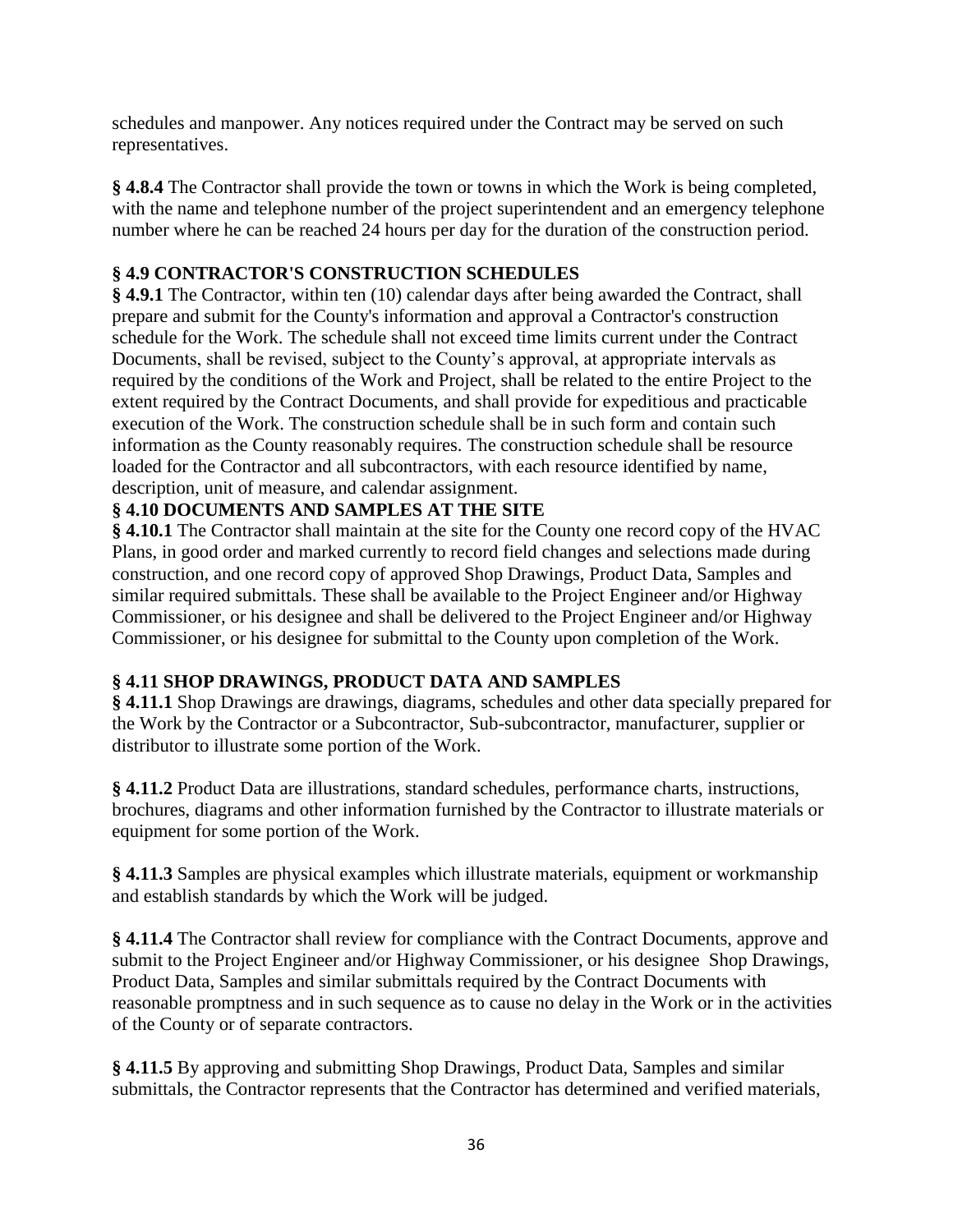schedules and manpower. Any notices required under the Contract may be served on such representatives.

**§ 4.8.4** The Contractor shall provide the town or towns in which the Work is being completed, with the name and telephone number of the project superintendent and an emergency telephone number where he can be reached 24 hours per day for the duration of the construction period.

## **§ 4.9 CONTRACTOR'S CONSTRUCTION SCHEDULES**

**§ 4.9.1** The Contractor, within ten (10) calendar days after being awarded the Contract, shall prepare and submit for the County's information and approval a Contractor's construction schedule for the Work. The schedule shall not exceed time limits current under the Contract Documents, shall be revised, subject to the County's approval, at appropriate intervals as required by the conditions of the Work and Project, shall be related to the entire Project to the extent required by the Contract Documents, and shall provide for expeditious and practicable execution of the Work. The construction schedule shall be in such form and contain such information as the County reasonably requires. The construction schedule shall be resource loaded for the Contractor and all subcontractors, with each resource identified by name, description, unit of measure, and calendar assignment.

## **§ 4.10 DOCUMENTS AND SAMPLES AT THE SITE**

**§ 4.10.1** The Contractor shall maintain at the site for the County one record copy of the HVAC Plans, in good order and marked currently to record field changes and selections made during construction, and one record copy of approved Shop Drawings, Product Data, Samples and similar required submittals. These shall be available to the Project Engineer and/or Highway Commissioner, or his designee and shall be delivered to the Project Engineer and/or Highway Commissioner, or his designee for submittal to the County upon completion of the Work.

## **§ 4.11 SHOP DRAWINGS, PRODUCT DATA AND SAMPLES**

**§ 4.11.1** Shop Drawings are drawings, diagrams, schedules and other data specially prepared for the Work by the Contractor or a Subcontractor, Sub-subcontractor, manufacturer, supplier or distributor to illustrate some portion of the Work.

**§ 4.11.2** Product Data are illustrations, standard schedules, performance charts, instructions, brochures, diagrams and other information furnished by the Contractor to illustrate materials or equipment for some portion of the Work.

**§ 4.11.3** Samples are physical examples which illustrate materials, equipment or workmanship and establish standards by which the Work will be judged.

**§ 4.11.4** The Contractor shall review for compliance with the Contract Documents, approve and submit to the Project Engineer and/or Highway Commissioner, or his designee Shop Drawings, Product Data, Samples and similar submittals required by the Contract Documents with reasonable promptness and in such sequence as to cause no delay in the Work or in the activities of the County or of separate contractors.

**§ 4.11.5** By approving and submitting Shop Drawings, Product Data, Samples and similar submittals, the Contractor represents that the Contractor has determined and verified materials,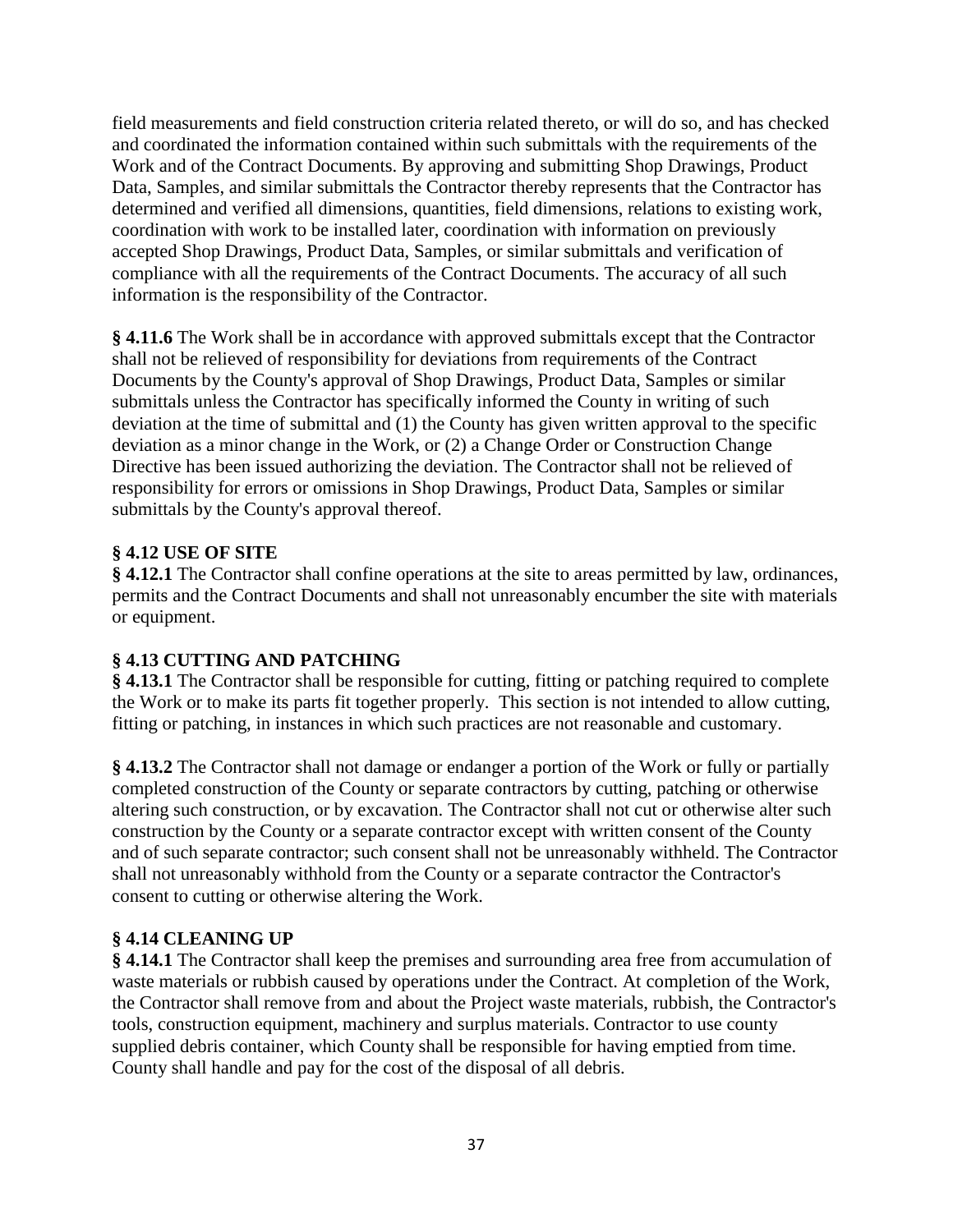field measurements and field construction criteria related thereto, or will do so, and has checked and coordinated the information contained within such submittals with the requirements of the Work and of the Contract Documents. By approving and submitting Shop Drawings, Product Data, Samples, and similar submittals the Contractor thereby represents that the Contractor has determined and verified all dimensions, quantities, field dimensions, relations to existing work, coordination with work to be installed later, coordination with information on previously accepted Shop Drawings, Product Data, Samples, or similar submittals and verification of compliance with all the requirements of the Contract Documents. The accuracy of all such information is the responsibility of the Contractor.

**§ 4.11.6** The Work shall be in accordance with approved submittals except that the Contractor shall not be relieved of responsibility for deviations from requirements of the Contract Documents by the County's approval of Shop Drawings, Product Data, Samples or similar submittals unless the Contractor has specifically informed the County in writing of such deviation at the time of submittal and (1) the County has given written approval to the specific deviation as a minor change in the Work, or (2) a Change Order or Construction Change Directive has been issued authorizing the deviation. The Contractor shall not be relieved of responsibility for errors or omissions in Shop Drawings, Product Data, Samples or similar submittals by the County's approval thereof.

## **§ 4.12 USE OF SITE**

**§ 4.12.1** The Contractor shall confine operations at the site to areas permitted by law, ordinances, permits and the Contract Documents and shall not unreasonably encumber the site with materials or equipment.

## **§ 4.13 CUTTING AND PATCHING**

**§ 4.13.1** The Contractor shall be responsible for cutting, fitting or patching required to complete the Work or to make its parts fit together properly. This section is not intended to allow cutting, fitting or patching, in instances in which such practices are not reasonable and customary.

**§ 4.13.2** The Contractor shall not damage or endanger a portion of the Work or fully or partially completed construction of the County or separate contractors by cutting, patching or otherwise altering such construction, or by excavation. The Contractor shall not cut or otherwise alter such construction by the County or a separate contractor except with written consent of the County and of such separate contractor; such consent shall not be unreasonably withheld. The Contractor shall not unreasonably withhold from the County or a separate contractor the Contractor's consent to cutting or otherwise altering the Work.

## **§ 4.14 CLEANING UP**

**§ 4.14.1** The Contractor shall keep the premises and surrounding area free from accumulation of waste materials or rubbish caused by operations under the Contract. At completion of the Work, the Contractor shall remove from and about the Project waste materials, rubbish, the Contractor's tools, construction equipment, machinery and surplus materials. Contractor to use county supplied debris container, which County shall be responsible for having emptied from time. County shall handle and pay for the cost of the disposal of all debris.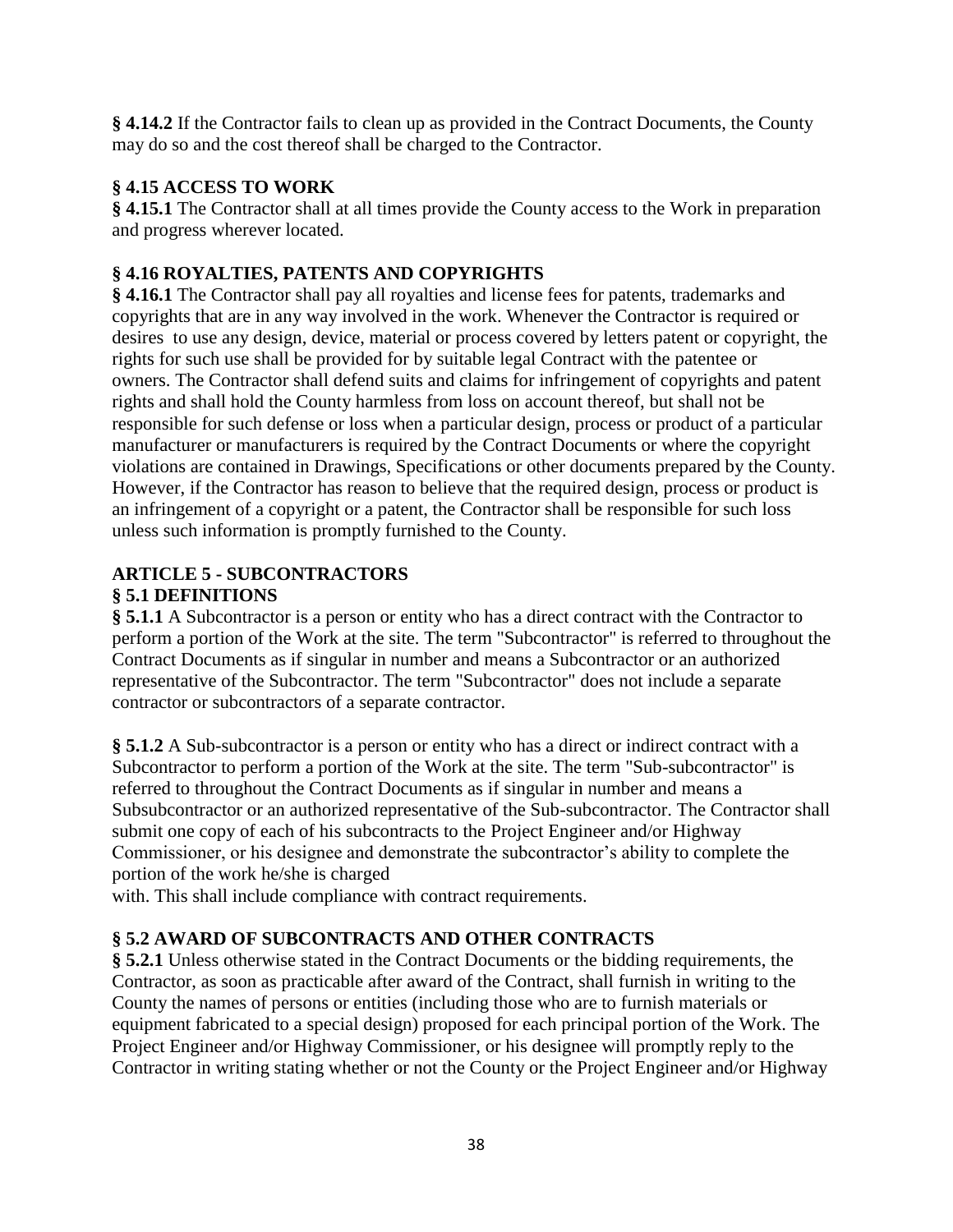**§ 4.14.2** If the Contractor fails to clean up as provided in the Contract Documents, the County may do so and the cost thereof shall be charged to the Contractor.

## **§ 4.15 ACCESS TO WORK**

**§ 4.15.1** The Contractor shall at all times provide the County access to the Work in preparation and progress wherever located.

# **§ 4.16 ROYALTIES, PATENTS AND COPYRIGHTS**

**§ 4.16.1** The Contractor shall pay all royalties and license fees for patents, trademarks and copyrights that are in any way involved in the work. Whenever the Contractor is required or desires to use any design, device, material or process covered by letters patent or copyright, the rights for such use shall be provided for by suitable legal Contract with the patentee or owners. The Contractor shall defend suits and claims for infringement of copyrights and patent rights and shall hold the County harmless from loss on account thereof, but shall not be responsible for such defense or loss when a particular design, process or product of a particular manufacturer or manufacturers is required by the Contract Documents or where the copyright violations are contained in Drawings, Specifications or other documents prepared by the County. However, if the Contractor has reason to believe that the required design, process or product is an infringement of a copyright or a patent, the Contractor shall be responsible for such loss unless such information is promptly furnished to the County.

## **ARTICLE 5 - SUBCONTRACTORS § 5.1 DEFINITIONS**

**§ 5.1.1** A Subcontractor is a person or entity who has a direct contract with the Contractor to perform a portion of the Work at the site. The term "Subcontractor" is referred to throughout the Contract Documents as if singular in number and means a Subcontractor or an authorized representative of the Subcontractor. The term "Subcontractor" does not include a separate contractor or subcontractors of a separate contractor.

**§ 5.1.2** A Sub-subcontractor is a person or entity who has a direct or indirect contract with a Subcontractor to perform a portion of the Work at the site. The term "Sub-subcontractor" is referred to throughout the Contract Documents as if singular in number and means a Subsubcontractor or an authorized representative of the Sub-subcontractor. The Contractor shall submit one copy of each of his subcontracts to the Project Engineer and/or Highway Commissioner, or his designee and demonstrate the subcontractor's ability to complete the portion of the work he/she is charged

with. This shall include compliance with contract requirements.

## **§ 5.2 AWARD OF SUBCONTRACTS AND OTHER CONTRACTS**

**§ 5.2.1** Unless otherwise stated in the Contract Documents or the bidding requirements, the Contractor, as soon as practicable after award of the Contract, shall furnish in writing to the County the names of persons or entities (including those who are to furnish materials or equipment fabricated to a special design) proposed for each principal portion of the Work. The Project Engineer and/or Highway Commissioner, or his designee will promptly reply to the Contractor in writing stating whether or not the County or the Project Engineer and/or Highway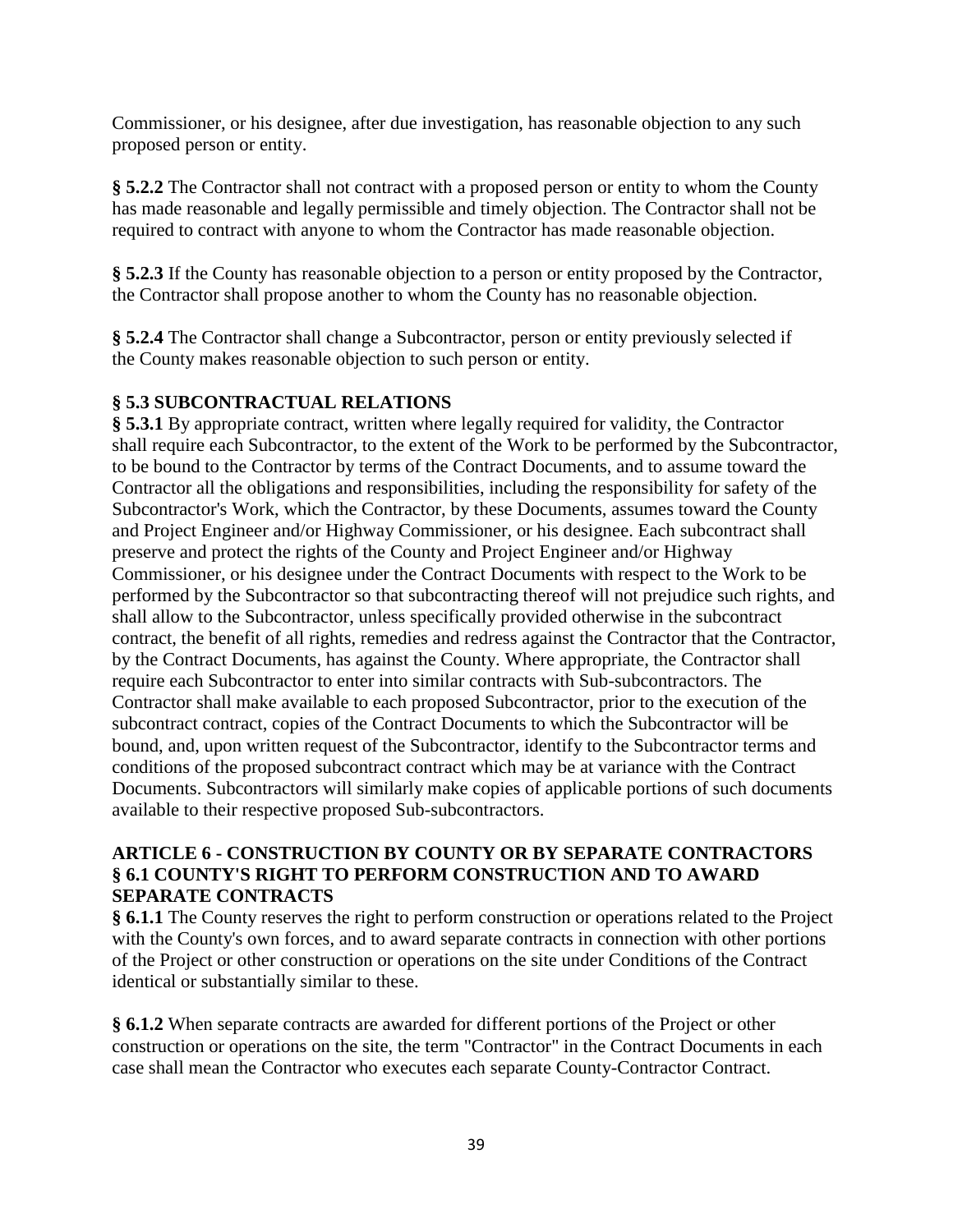Commissioner, or his designee, after due investigation, has reasonable objection to any such proposed person or entity.

**§ 5.2.2** The Contractor shall not contract with a proposed person or entity to whom the County has made reasonable and legally permissible and timely objection. The Contractor shall not be required to contract with anyone to whom the Contractor has made reasonable objection.

**§ 5.2.3** If the County has reasonable objection to a person or entity proposed by the Contractor, the Contractor shall propose another to whom the County has no reasonable objection.

**§ 5.2.4** The Contractor shall change a Subcontractor, person or entity previously selected if the County makes reasonable objection to such person or entity.

## **§ 5.3 SUBCONTRACTUAL RELATIONS**

**§ 5.3.1** By appropriate contract, written where legally required for validity, the Contractor shall require each Subcontractor, to the extent of the Work to be performed by the Subcontractor, to be bound to the Contractor by terms of the Contract Documents, and to assume toward the Contractor all the obligations and responsibilities, including the responsibility for safety of the Subcontractor's Work, which the Contractor, by these Documents, assumes toward the County and Project Engineer and/or Highway Commissioner, or his designee. Each subcontract shall preserve and protect the rights of the County and Project Engineer and/or Highway Commissioner, or his designee under the Contract Documents with respect to the Work to be performed by the Subcontractor so that subcontracting thereof will not prejudice such rights, and shall allow to the Subcontractor, unless specifically provided otherwise in the subcontract contract, the benefit of all rights, remedies and redress against the Contractor that the Contractor, by the Contract Documents, has against the County. Where appropriate, the Contractor shall require each Subcontractor to enter into similar contracts with Sub-subcontractors. The Contractor shall make available to each proposed Subcontractor, prior to the execution of the subcontract contract, copies of the Contract Documents to which the Subcontractor will be bound, and, upon written request of the Subcontractor, identify to the Subcontractor terms and conditions of the proposed subcontract contract which may be at variance with the Contract Documents. Subcontractors will similarly make copies of applicable portions of such documents available to their respective proposed Sub-subcontractors.

#### **ARTICLE 6 - CONSTRUCTION BY COUNTY OR BY SEPARATE CONTRACTORS § 6.1 COUNTY'S RIGHT TO PERFORM CONSTRUCTION AND TO AWARD SEPARATE CONTRACTS**

**§ 6.1.1** The County reserves the right to perform construction or operations related to the Project with the County's own forces, and to award separate contracts in connection with other portions of the Project or other construction or operations on the site under Conditions of the Contract identical or substantially similar to these.

**§ 6.1.2** When separate contracts are awarded for different portions of the Project or other construction or operations on the site, the term "Contractor" in the Contract Documents in each case shall mean the Contractor who executes each separate County-Contractor Contract.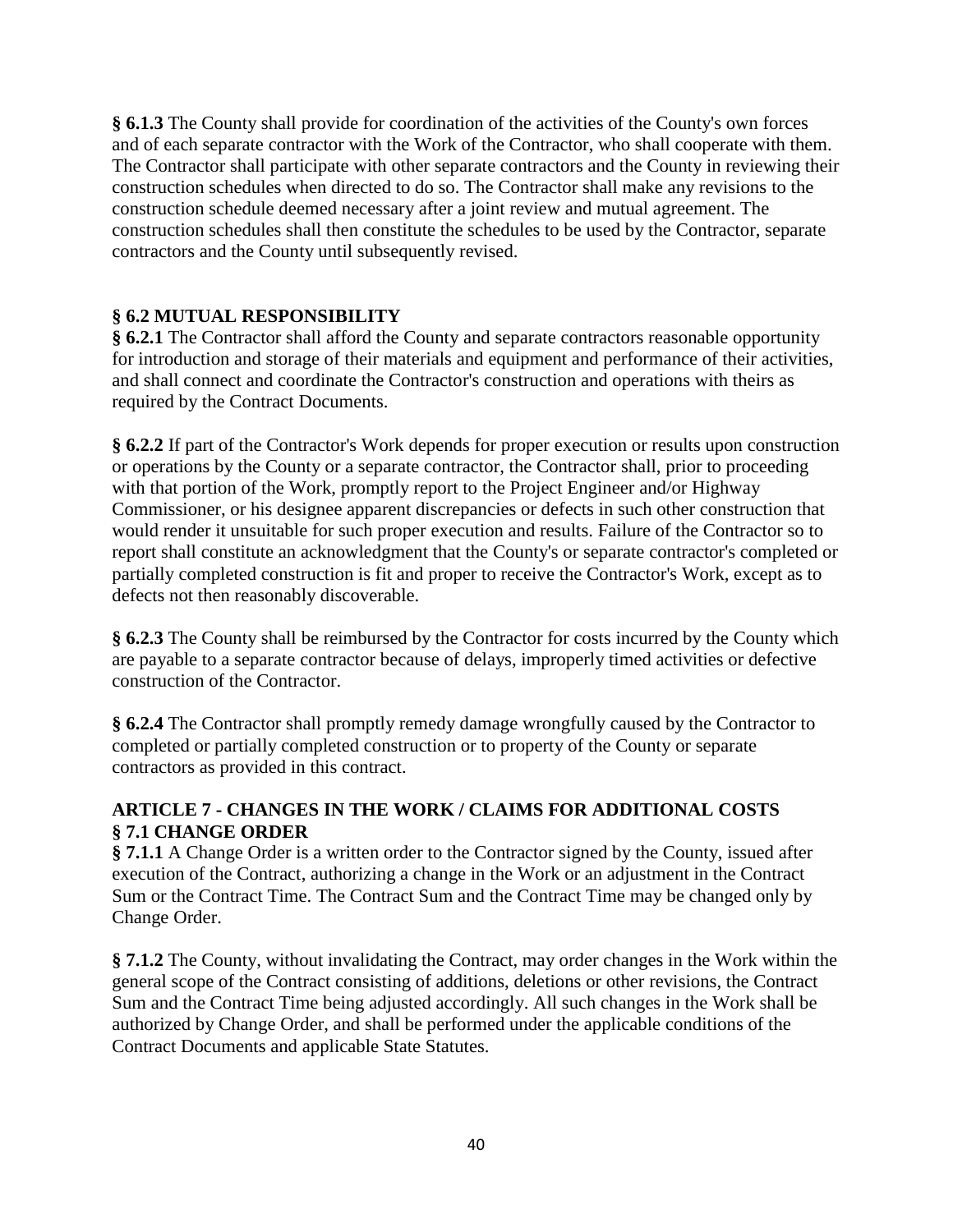**§ 6.1.3** The County shall provide for coordination of the activities of the County's own forces and of each separate contractor with the Work of the Contractor, who shall cooperate with them. The Contractor shall participate with other separate contractors and the County in reviewing their construction schedules when directed to do so. The Contractor shall make any revisions to the construction schedule deemed necessary after a joint review and mutual agreement. The construction schedules shall then constitute the schedules to be used by the Contractor, separate contractors and the County until subsequently revised.

## **§ 6.2 MUTUAL RESPONSIBILITY**

**§ 6.2.1** The Contractor shall afford the County and separate contractors reasonable opportunity for introduction and storage of their materials and equipment and performance of their activities, and shall connect and coordinate the Contractor's construction and operations with theirs as required by the Contract Documents.

**§ 6.2.2** If part of the Contractor's Work depends for proper execution or results upon construction or operations by the County or a separate contractor, the Contractor shall, prior to proceeding with that portion of the Work, promptly report to the Project Engineer and/or Highway Commissioner, or his designee apparent discrepancies or defects in such other construction that would render it unsuitable for such proper execution and results. Failure of the Contractor so to report shall constitute an acknowledgment that the County's or separate contractor's completed or partially completed construction is fit and proper to receive the Contractor's Work, except as to defects not then reasonably discoverable.

**§ 6.2.3** The County shall be reimbursed by the Contractor for costs incurred by the County which are payable to a separate contractor because of delays, improperly timed activities or defective construction of the Contractor.

**§ 6.2.4** The Contractor shall promptly remedy damage wrongfully caused by the Contractor to completed or partially completed construction or to property of the County or separate contractors as provided in this contract.

## **ARTICLE 7 - CHANGES IN THE WORK / CLAIMS FOR ADDITIONAL COSTS § 7.1 CHANGE ORDER**

**§ 7.1.1** A Change Order is a written order to the Contractor signed by the County, issued after execution of the Contract, authorizing a change in the Work or an adjustment in the Contract Sum or the Contract Time. The Contract Sum and the Contract Time may be changed only by Change Order.

**§ 7.1.2** The County, without invalidating the Contract, may order changes in the Work within the general scope of the Contract consisting of additions, deletions or other revisions, the Contract Sum and the Contract Time being adjusted accordingly. All such changes in the Work shall be authorized by Change Order, and shall be performed under the applicable conditions of the Contract Documents and applicable State Statutes.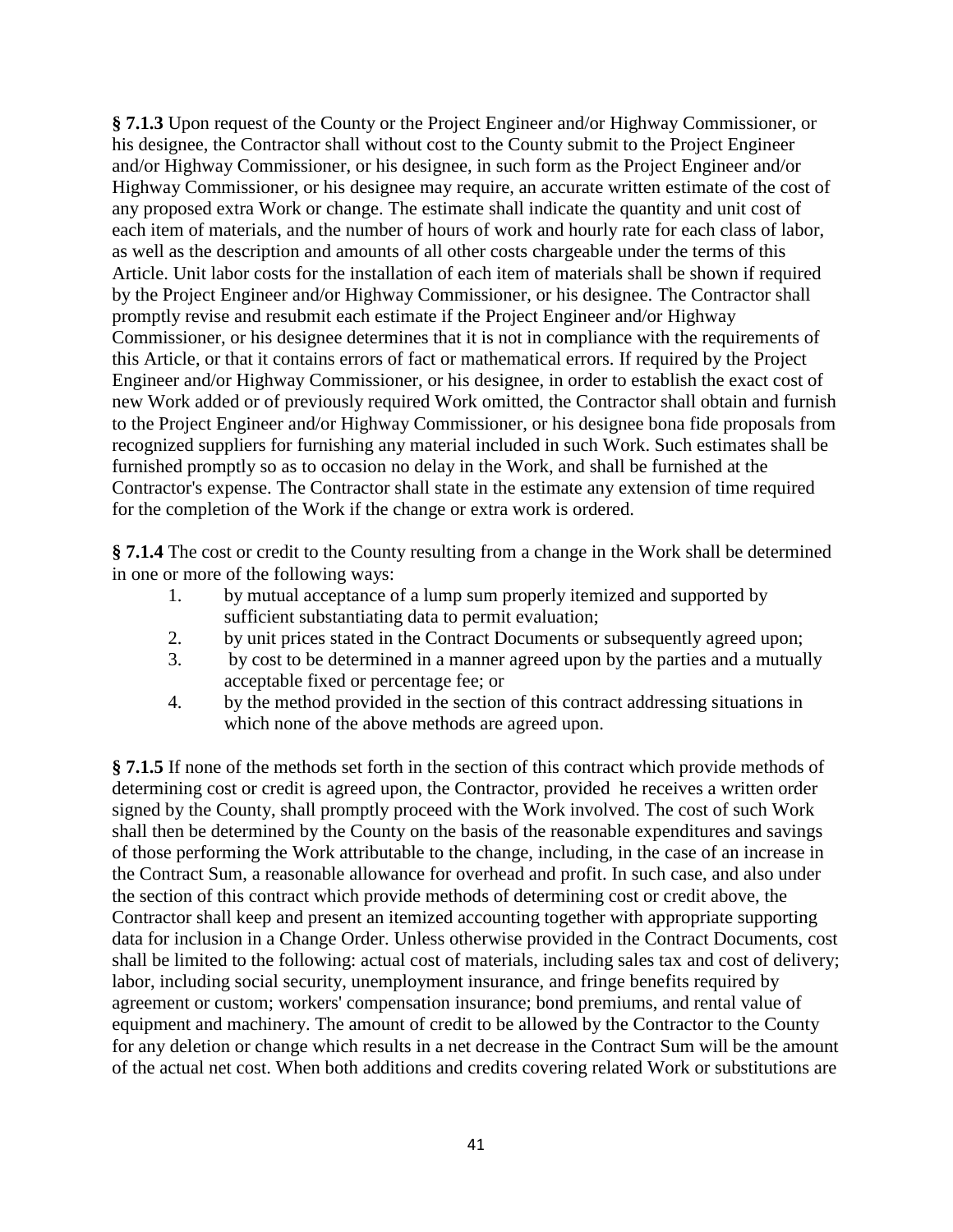**§ 7.1.3** Upon request of the County or the Project Engineer and/or Highway Commissioner, or his designee, the Contractor shall without cost to the County submit to the Project Engineer and/or Highway Commissioner, or his designee, in such form as the Project Engineer and/or Highway Commissioner, or his designee may require, an accurate written estimate of the cost of any proposed extra Work or change. The estimate shall indicate the quantity and unit cost of each item of materials, and the number of hours of work and hourly rate for each class of labor, as well as the description and amounts of all other costs chargeable under the terms of this Article. Unit labor costs for the installation of each item of materials shall be shown if required by the Project Engineer and/or Highway Commissioner, or his designee. The Contractor shall promptly revise and resubmit each estimate if the Project Engineer and/or Highway Commissioner, or his designee determines that it is not in compliance with the requirements of this Article, or that it contains errors of fact or mathematical errors. If required by the Project Engineer and/or Highway Commissioner, or his designee, in order to establish the exact cost of new Work added or of previously required Work omitted, the Contractor shall obtain and furnish to the Project Engineer and/or Highway Commissioner, or his designee bona fide proposals from recognized suppliers for furnishing any material included in such Work. Such estimates shall be furnished promptly so as to occasion no delay in the Work, and shall be furnished at the Contractor's expense. The Contractor shall state in the estimate any extension of time required for the completion of the Work if the change or extra work is ordered.

**§ 7.1.4** The cost or credit to the County resulting from a change in the Work shall be determined in one or more of the following ways:

- 1. by mutual acceptance of a lump sum properly itemized and supported by sufficient substantiating data to permit evaluation;
- 2. by unit prices stated in the Contract Documents or subsequently agreed upon;
- 3. by cost to be determined in a manner agreed upon by the parties and a mutually acceptable fixed or percentage fee; or
- 4. by the method provided in the section of this contract addressing situations in which none of the above methods are agreed upon.

**§ 7.1.5** If none of the methods set forth in the section of this contract which provide methods of determining cost or credit is agreed upon, the Contractor, provided he receives a written order signed by the County, shall promptly proceed with the Work involved. The cost of such Work shall then be determined by the County on the basis of the reasonable expenditures and savings of those performing the Work attributable to the change, including, in the case of an increase in the Contract Sum, a reasonable allowance for overhead and profit. In such case, and also under the section of this contract which provide methods of determining cost or credit above, the Contractor shall keep and present an itemized accounting together with appropriate supporting data for inclusion in a Change Order. Unless otherwise provided in the Contract Documents, cost shall be limited to the following: actual cost of materials, including sales tax and cost of delivery; labor, including social security, unemployment insurance, and fringe benefits required by agreement or custom; workers' compensation insurance; bond premiums, and rental value of equipment and machinery. The amount of credit to be allowed by the Contractor to the County for any deletion or change which results in a net decrease in the Contract Sum will be the amount of the actual net cost. When both additions and credits covering related Work or substitutions are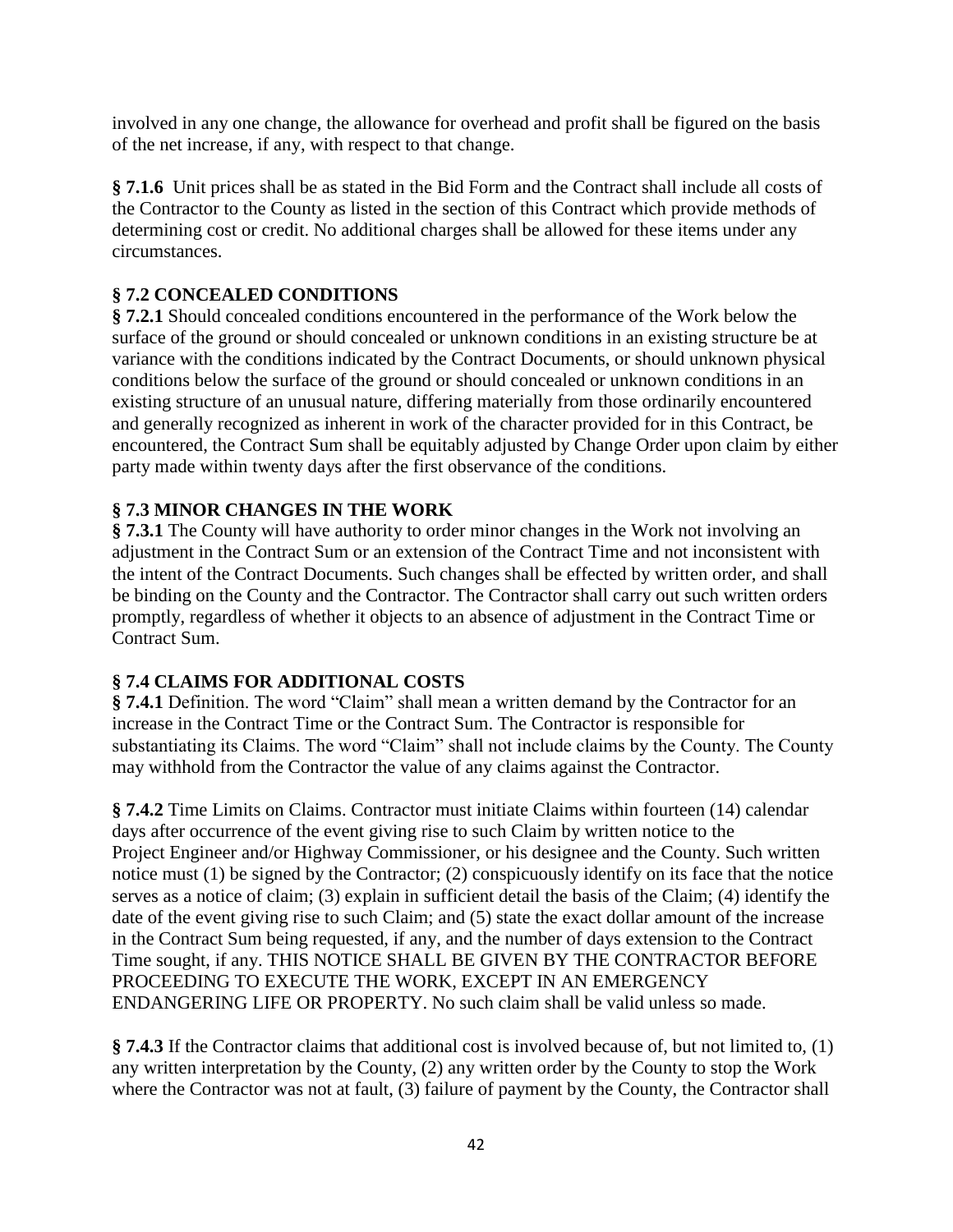involved in any one change, the allowance for overhead and profit shall be figured on the basis of the net increase, if any, with respect to that change.

**§ 7.1.6** Unit prices shall be as stated in the Bid Form and the Contract shall include all costs of the Contractor to the County as listed in the section of this Contract which provide methods of determining cost or credit. No additional charges shall be allowed for these items under any circumstances.

## **§ 7.2 CONCEALED CONDITIONS**

**§ 7.2.1** Should concealed conditions encountered in the performance of the Work below the surface of the ground or should concealed or unknown conditions in an existing structure be at variance with the conditions indicated by the Contract Documents, or should unknown physical conditions below the surface of the ground or should concealed or unknown conditions in an existing structure of an unusual nature, differing materially from those ordinarily encountered and generally recognized as inherent in work of the character provided for in this Contract, be encountered, the Contract Sum shall be equitably adjusted by Change Order upon claim by either party made within twenty days after the first observance of the conditions.

## **§ 7.3 MINOR CHANGES IN THE WORK**

**§ 7.3.1** The County will have authority to order minor changes in the Work not involving an adjustment in the Contract Sum or an extension of the Contract Time and not inconsistent with the intent of the Contract Documents. Such changes shall be effected by written order, and shall be binding on the County and the Contractor. The Contractor shall carry out such written orders promptly, regardless of whether it objects to an absence of adjustment in the Contract Time or Contract Sum.

## **§ 7.4 CLAIMS FOR ADDITIONAL COSTS**

**§ 7.4.1** Definition. The word "Claim" shall mean a written demand by the Contractor for an increase in the Contract Time or the Contract Sum. The Contractor is responsible for substantiating its Claims. The word "Claim" shall not include claims by the County. The County may withhold from the Contractor the value of any claims against the Contractor.

**§ 7.4.2** Time Limits on Claims. Contractor must initiate Claims within fourteen (14) calendar days after occurrence of the event giving rise to such Claim by written notice to the Project Engineer and/or Highway Commissioner, or his designee and the County. Such written notice must (1) be signed by the Contractor; (2) conspicuously identify on its face that the notice serves as a notice of claim; (3) explain in sufficient detail the basis of the Claim; (4) identify the date of the event giving rise to such Claim; and (5) state the exact dollar amount of the increase in the Contract Sum being requested, if any, and the number of days extension to the Contract Time sought, if any. THIS NOTICE SHALL BE GIVEN BY THE CONTRACTOR BEFORE PROCEEDING TO EXECUTE THE WORK, EXCEPT IN AN EMERGENCY ENDANGERING LIFE OR PROPERTY. No such claim shall be valid unless so made.

**§ 7.4.3** If the Contractor claims that additional cost is involved because of, but not limited to, (1) any written interpretation by the County, (2) any written order by the County to stop the Work where the Contractor was not at fault, (3) failure of payment by the County, the Contractor shall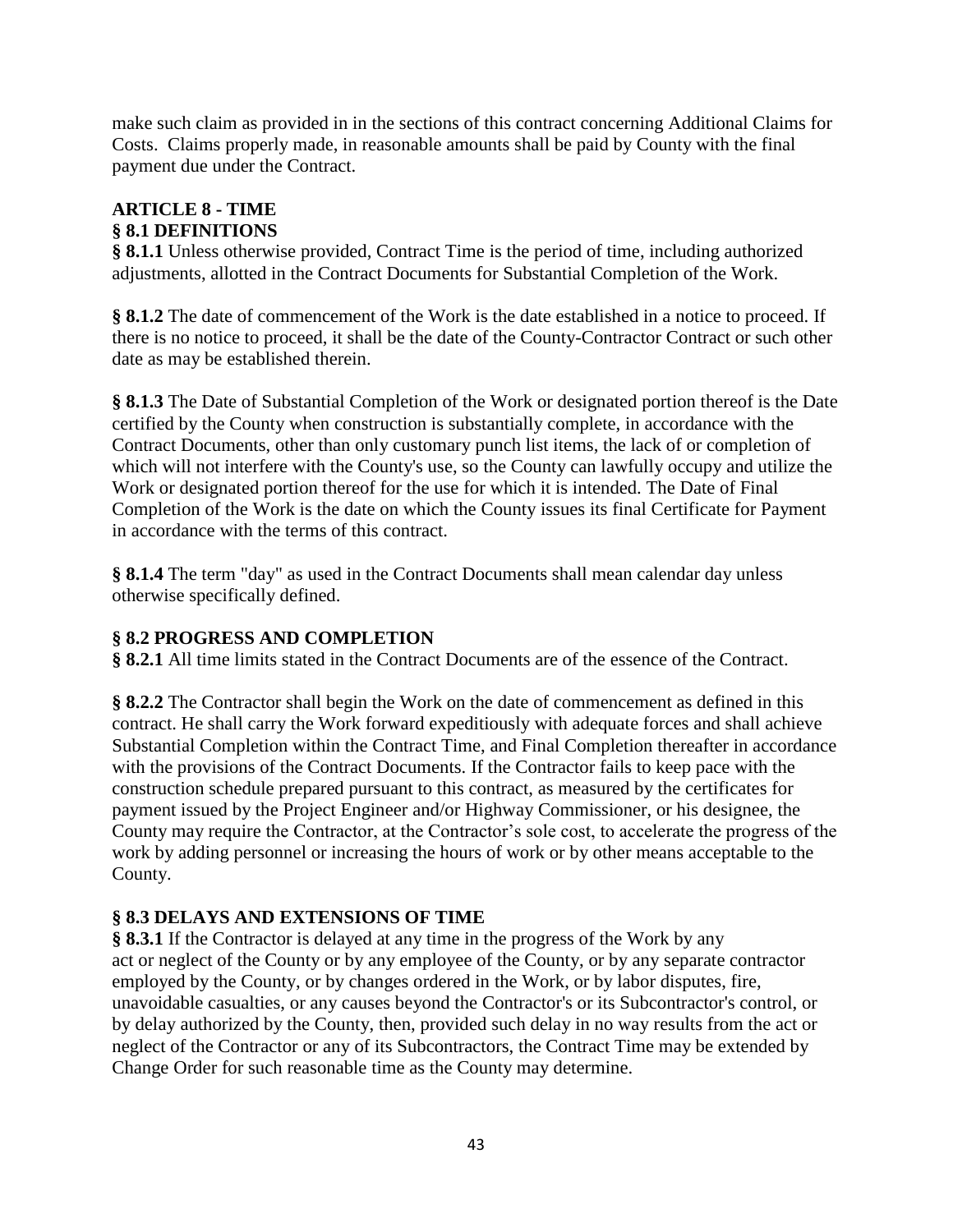make such claim as provided in in the sections of this contract concerning Additional Claims for Costs. Claims properly made, in reasonable amounts shall be paid by County with the final payment due under the Contract.

#### **ARTICLE 8 - TIME § 8.1 DEFINITIONS**

**§ 8.1.1** Unless otherwise provided, Contract Time is the period of time, including authorized adjustments, allotted in the Contract Documents for Substantial Completion of the Work.

**§ 8.1.2** The date of commencement of the Work is the date established in a notice to proceed. If there is no notice to proceed, it shall be the date of the County-Contractor Contract or such other date as may be established therein.

**§ 8.1.3** The Date of Substantial Completion of the Work or designated portion thereof is the Date certified by the County when construction is substantially complete, in accordance with the Contract Documents, other than only customary punch list items, the lack of or completion of which will not interfere with the County's use, so the County can lawfully occupy and utilize the Work or designated portion thereof for the use for which it is intended. The Date of Final Completion of the Work is the date on which the County issues its final Certificate for Payment in accordance with the terms of this contract.

**§ 8.1.4** The term "day" as used in the Contract Documents shall mean calendar day unless otherwise specifically defined.

## **§ 8.2 PROGRESS AND COMPLETION**

**§ 8.2.1** All time limits stated in the Contract Documents are of the essence of the Contract.

**§ 8.2.2** The Contractor shall begin the Work on the date of commencement as defined in this contract. He shall carry the Work forward expeditiously with adequate forces and shall achieve Substantial Completion within the Contract Time, and Final Completion thereafter in accordance with the provisions of the Contract Documents. If the Contractor fails to keep pace with the construction schedule prepared pursuant to this contract, as measured by the certificates for payment issued by the Project Engineer and/or Highway Commissioner, or his designee, the County may require the Contractor, at the Contractor's sole cost, to accelerate the progress of the work by adding personnel or increasing the hours of work or by other means acceptable to the County.

## **§ 8.3 DELAYS AND EXTENSIONS OF TIME**

**§ 8.3.1** If the Contractor is delayed at any time in the progress of the Work by any act or neglect of the County or by any employee of the County, or by any separate contractor employed by the County, or by changes ordered in the Work, or by labor disputes, fire, unavoidable casualties, or any causes beyond the Contractor's or its Subcontractor's control, or by delay authorized by the County, then, provided such delay in no way results from the act or neglect of the Contractor or any of its Subcontractors, the Contract Time may be extended by Change Order for such reasonable time as the County may determine.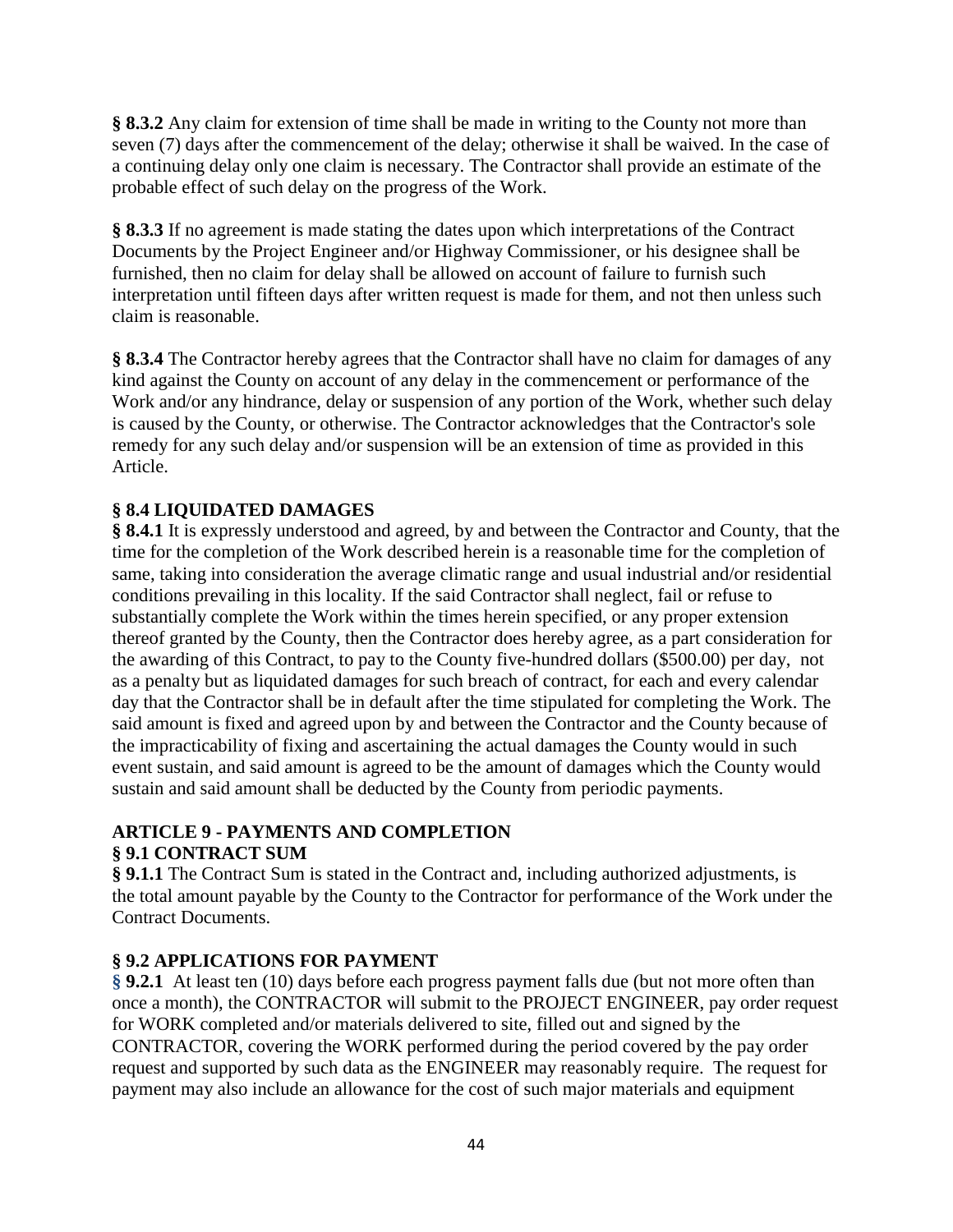**§ 8.3.2** Any claim for extension of time shall be made in writing to the County not more than seven (7) days after the commencement of the delay; otherwise it shall be waived. In the case of a continuing delay only one claim is necessary. The Contractor shall provide an estimate of the probable effect of such delay on the progress of the Work.

**§ 8.3.3** If no agreement is made stating the dates upon which interpretations of the Contract Documents by the Project Engineer and/or Highway Commissioner, or his designee shall be furnished, then no claim for delay shall be allowed on account of failure to furnish such interpretation until fifteen days after written request is made for them, and not then unless such claim is reasonable.

**§ 8.3.4** The Contractor hereby agrees that the Contractor shall have no claim for damages of any kind against the County on account of any delay in the commencement or performance of the Work and/or any hindrance, delay or suspension of any portion of the Work, whether such delay is caused by the County, or otherwise. The Contractor acknowledges that the Contractor's sole remedy for any such delay and/or suspension will be an extension of time as provided in this Article.

## **§ 8.4 LIQUIDATED DAMAGES**

**§ 8.4.1** It is expressly understood and agreed, by and between the Contractor and County, that the time for the completion of the Work described herein is a reasonable time for the completion of same, taking into consideration the average climatic range and usual industrial and/or residential conditions prevailing in this locality. If the said Contractor shall neglect, fail or refuse to substantially complete the Work within the times herein specified, or any proper extension thereof granted by the County, then the Contractor does hereby agree, as a part consideration for the awarding of this Contract, to pay to the County five-hundred dollars (\$500.00) per day, not as a penalty but as liquidated damages for such breach of contract, for each and every calendar day that the Contractor shall be in default after the time stipulated for completing the Work. The said amount is fixed and agreed upon by and between the Contractor and the County because of the impracticability of fixing and ascertaining the actual damages the County would in such event sustain, and said amount is agreed to be the amount of damages which the County would sustain and said amount shall be deducted by the County from periodic payments.

## **ARTICLE 9 - PAYMENTS AND COMPLETION § 9.1 CONTRACT SUM**

**§ 9.1.1** The Contract Sum is stated in the Contract and, including authorized adjustments, is the total amount payable by the County to the Contractor for performance of the Work under the Contract Documents.

## **§ 9.2 APPLICATIONS FOR PAYMENT**

**§ 9.2.1** At least ten (10) days before each progress payment falls due (but not more often than once a month), the CONTRACTOR will submit to the PROJECT ENGINEER, pay order request for WORK completed and/or materials delivered to site, filled out and signed by the CONTRACTOR, covering the WORK performed during the period covered by the pay order request and supported by such data as the ENGINEER may reasonably require. The request for payment may also include an allowance for the cost of such major materials and equipment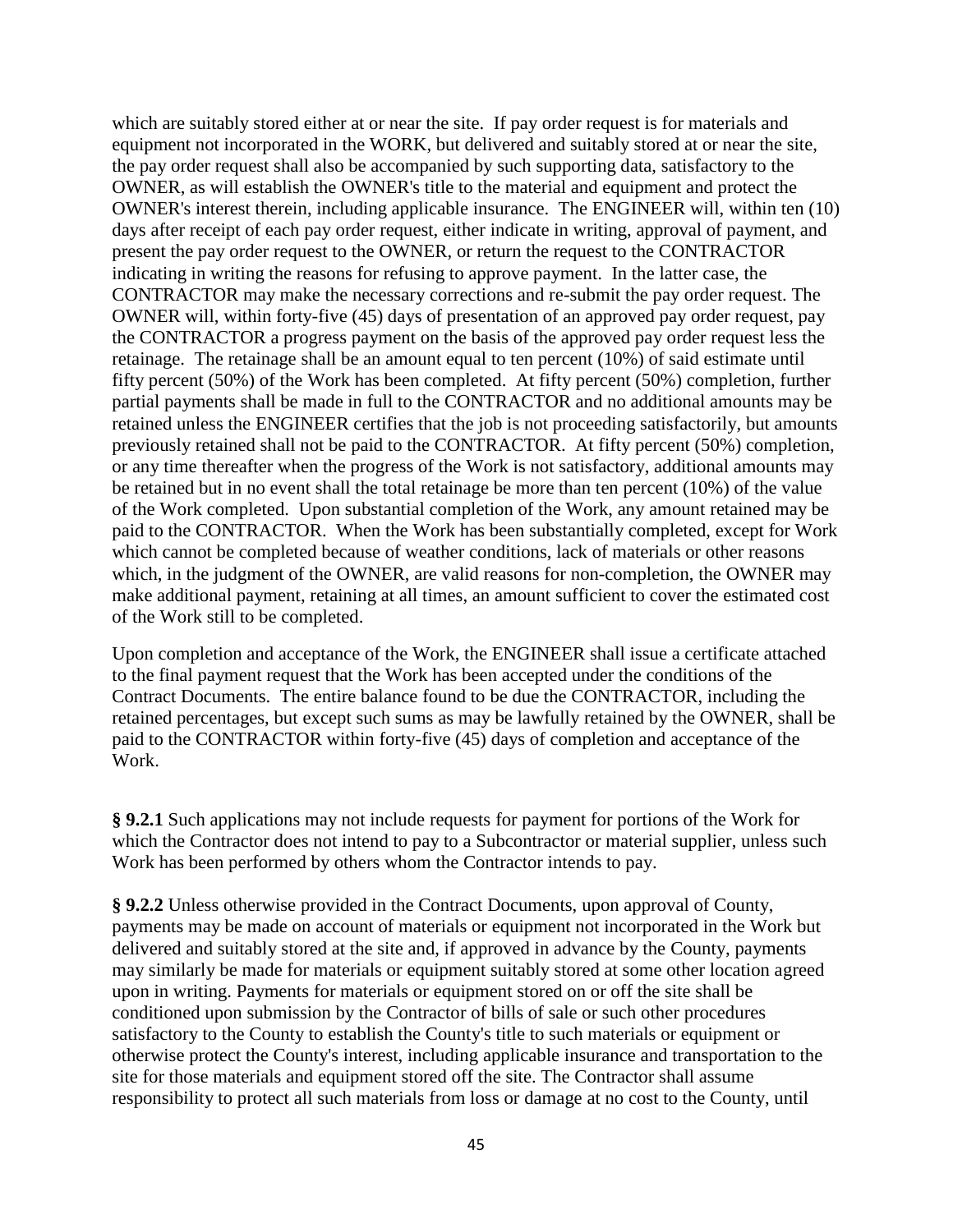which are suitably stored either at or near the site. If pay order request is for materials and equipment not incorporated in the WORK, but delivered and suitably stored at or near the site, the pay order request shall also be accompanied by such supporting data, satisfactory to the OWNER, as will establish the OWNER's title to the material and equipment and protect the OWNER's interest therein, including applicable insurance. The ENGINEER will, within ten (10) days after receipt of each pay order request, either indicate in writing, approval of payment, and present the pay order request to the OWNER, or return the request to the CONTRACTOR indicating in writing the reasons for refusing to approve payment. In the latter case, the CONTRACTOR may make the necessary corrections and re-submit the pay order request. The OWNER will, within forty-five (45) days of presentation of an approved pay order request, pay the CONTRACTOR a progress payment on the basis of the approved pay order request less the retainage. The retainage shall be an amount equal to ten percent (10%) of said estimate until fifty percent (50%) of the Work has been completed. At fifty percent (50%) completion, further partial payments shall be made in full to the CONTRACTOR and no additional amounts may be retained unless the ENGINEER certifies that the job is not proceeding satisfactorily, but amounts previously retained shall not be paid to the CONTRACTOR. At fifty percent (50%) completion, or any time thereafter when the progress of the Work is not satisfactory, additional amounts may be retained but in no event shall the total retainage be more than ten percent (10%) of the value of the Work completed. Upon substantial completion of the Work, any amount retained may be paid to the CONTRACTOR. When the Work has been substantially completed, except for Work which cannot be completed because of weather conditions, lack of materials or other reasons which, in the judgment of the OWNER, are valid reasons for non-completion, the OWNER may make additional payment, retaining at all times, an amount sufficient to cover the estimated cost of the Work still to be completed.

Upon completion and acceptance of the Work, the ENGINEER shall issue a certificate attached to the final payment request that the Work has been accepted under the conditions of the Contract Documents. The entire balance found to be due the CONTRACTOR, including the retained percentages, but except such sums as may be lawfully retained by the OWNER, shall be paid to the CONTRACTOR within forty-five (45) days of completion and acceptance of the Work.

**§ 9.2.1** Such applications may not include requests for payment for portions of the Work for which the Contractor does not intend to pay to a Subcontractor or material supplier, unless such Work has been performed by others whom the Contractor intends to pay.

**§ 9.2.2** Unless otherwise provided in the Contract Documents, upon approval of County, payments may be made on account of materials or equipment not incorporated in the Work but delivered and suitably stored at the site and, if approved in advance by the County, payments may similarly be made for materials or equipment suitably stored at some other location agreed upon in writing. Payments for materials or equipment stored on or off the site shall be conditioned upon submission by the Contractor of bills of sale or such other procedures satisfactory to the County to establish the County's title to such materials or equipment or otherwise protect the County's interest, including applicable insurance and transportation to the site for those materials and equipment stored off the site. The Contractor shall assume responsibility to protect all such materials from loss or damage at no cost to the County, until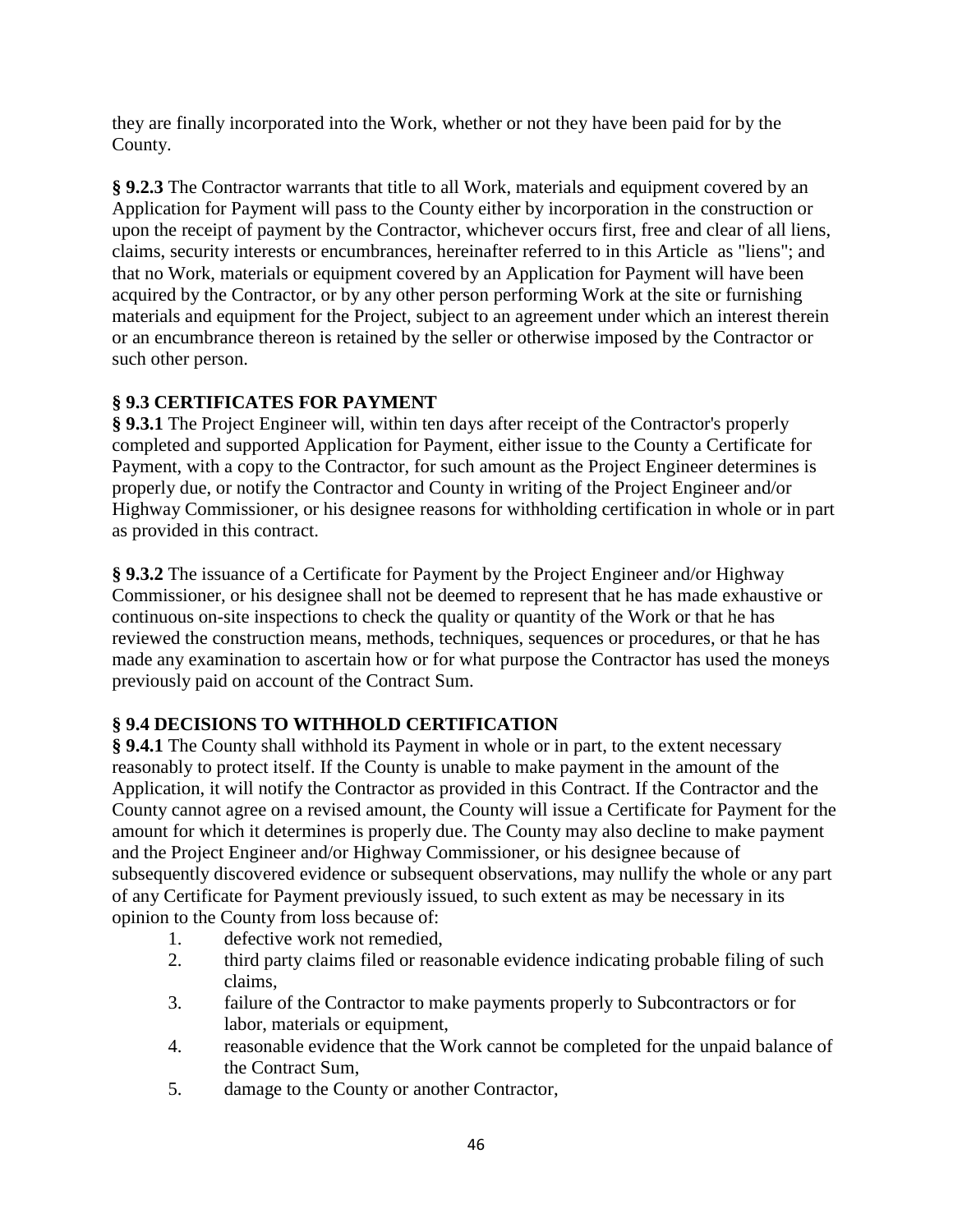they are finally incorporated into the Work, whether or not they have been paid for by the County.

**§ 9.2.3** The Contractor warrants that title to all Work, materials and equipment covered by an Application for Payment will pass to the County either by incorporation in the construction or upon the receipt of payment by the Contractor, whichever occurs first, free and clear of all liens, claims, security interests or encumbrances, hereinafter referred to in this Article as "liens"; and that no Work, materials or equipment covered by an Application for Payment will have been acquired by the Contractor, or by any other person performing Work at the site or furnishing materials and equipment for the Project, subject to an agreement under which an interest therein or an encumbrance thereon is retained by the seller or otherwise imposed by the Contractor or such other person.

# **§ 9.3 CERTIFICATES FOR PAYMENT**

**§ 9.3.1** The Project Engineer will, within ten days after receipt of the Contractor's properly completed and supported Application for Payment, either issue to the County a Certificate for Payment, with a copy to the Contractor, for such amount as the Project Engineer determines is properly due, or notify the Contractor and County in writing of the Project Engineer and/or Highway Commissioner, or his designee reasons for withholding certification in whole or in part as provided in this contract.

**§ 9.3.2** The issuance of a Certificate for Payment by the Project Engineer and/or Highway Commissioner, or his designee shall not be deemed to represent that he has made exhaustive or continuous on-site inspections to check the quality or quantity of the Work or that he has reviewed the construction means, methods, techniques, sequences or procedures, or that he has made any examination to ascertain how or for what purpose the Contractor has used the moneys previously paid on account of the Contract Sum.

## **§ 9.4 DECISIONS TO WITHHOLD CERTIFICATION**

**§ 9.4.1** The County shall withhold its Payment in whole or in part, to the extent necessary reasonably to protect itself. If the County is unable to make payment in the amount of the Application, it will notify the Contractor as provided in this Contract. If the Contractor and the County cannot agree on a revised amount, the County will issue a Certificate for Payment for the amount for which it determines is properly due. The County may also decline to make payment and the Project Engineer and/or Highway Commissioner, or his designee because of subsequently discovered evidence or subsequent observations, may nullify the whole or any part of any Certificate for Payment previously issued, to such extent as may be necessary in its opinion to the County from loss because of:

- 1. defective work not remedied,
- 2. third party claims filed or reasonable evidence indicating probable filing of such claims,
- 3. failure of the Contractor to make payments properly to Subcontractors or for labor, materials or equipment,
- 4. reasonable evidence that the Work cannot be completed for the unpaid balance of the Contract Sum,
- 5. damage to the County or another Contractor,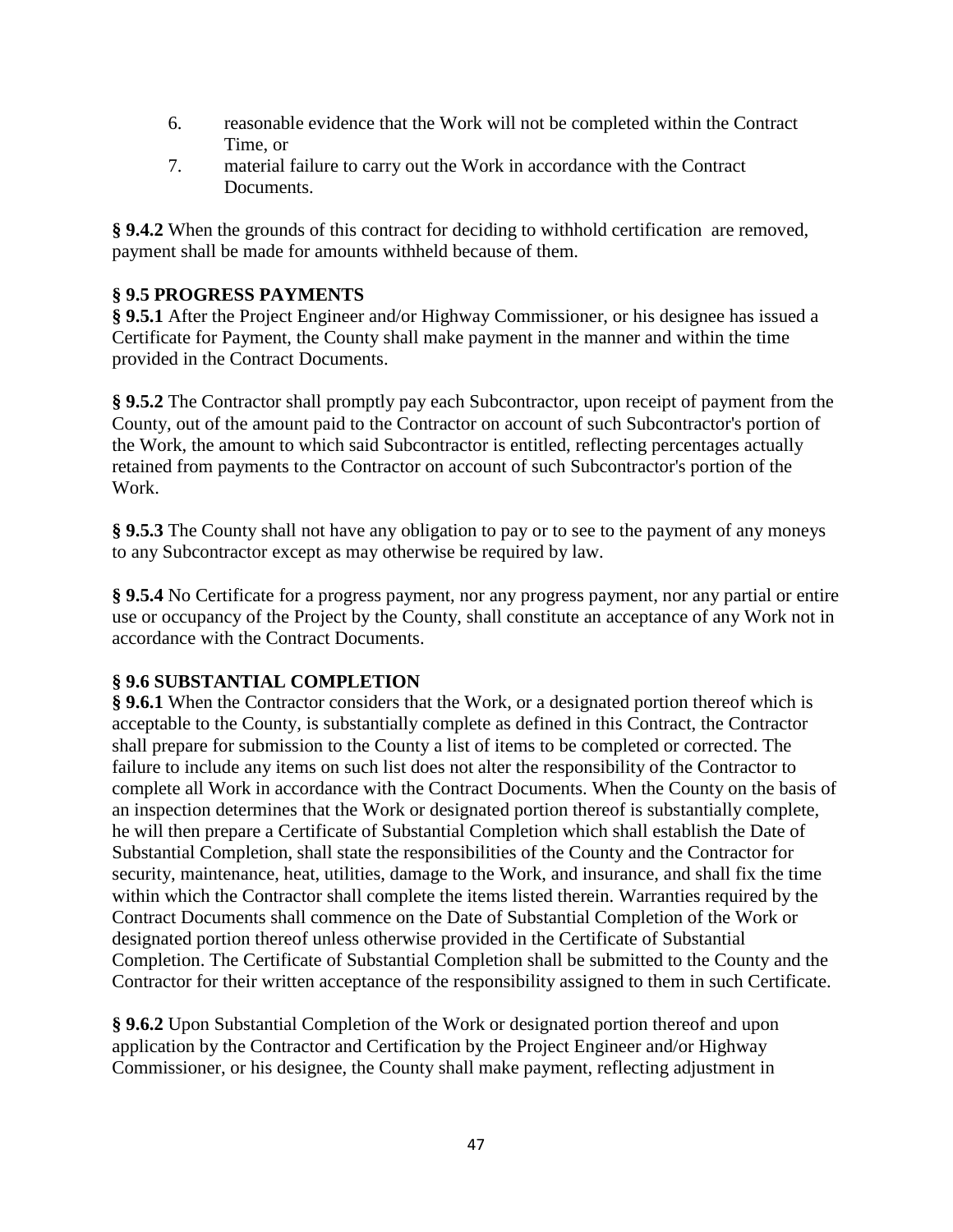- 6. reasonable evidence that the Work will not be completed within the Contract Time, or
- 7. material failure to carry out the Work in accordance with the Contract Documents.

**§ 9.4.2** When the grounds of this contract for deciding to withhold certification are removed, payment shall be made for amounts withheld because of them.

## **§ 9.5 PROGRESS PAYMENTS**

**§ 9.5.1** After the Project Engineer and/or Highway Commissioner, or his designee has issued a Certificate for Payment, the County shall make payment in the manner and within the time provided in the Contract Documents.

**§ 9.5.2** The Contractor shall promptly pay each Subcontractor, upon receipt of payment from the County, out of the amount paid to the Contractor on account of such Subcontractor's portion of the Work, the amount to which said Subcontractor is entitled, reflecting percentages actually retained from payments to the Contractor on account of such Subcontractor's portion of the Work.

**§ 9.5.3** The County shall not have any obligation to pay or to see to the payment of any moneys to any Subcontractor except as may otherwise be required by law.

**§ 9.5.4** No Certificate for a progress payment, nor any progress payment, nor any partial or entire use or occupancy of the Project by the County, shall constitute an acceptance of any Work not in accordance with the Contract Documents.

## **§ 9.6 SUBSTANTIAL COMPLETION**

**§ 9.6.1** When the Contractor considers that the Work, or a designated portion thereof which is acceptable to the County, is substantially complete as defined in this Contract, the Contractor shall prepare for submission to the County a list of items to be completed or corrected. The failure to include any items on such list does not alter the responsibility of the Contractor to complete all Work in accordance with the Contract Documents. When the County on the basis of an inspection determines that the Work or designated portion thereof is substantially complete, he will then prepare a Certificate of Substantial Completion which shall establish the Date of Substantial Completion, shall state the responsibilities of the County and the Contractor for security, maintenance, heat, utilities, damage to the Work, and insurance, and shall fix the time within which the Contractor shall complete the items listed therein. Warranties required by the Contract Documents shall commence on the Date of Substantial Completion of the Work or designated portion thereof unless otherwise provided in the Certificate of Substantial Completion. The Certificate of Substantial Completion shall be submitted to the County and the Contractor for their written acceptance of the responsibility assigned to them in such Certificate.

**§ 9.6.2** Upon Substantial Completion of the Work or designated portion thereof and upon application by the Contractor and Certification by the Project Engineer and/or Highway Commissioner, or his designee, the County shall make payment, reflecting adjustment in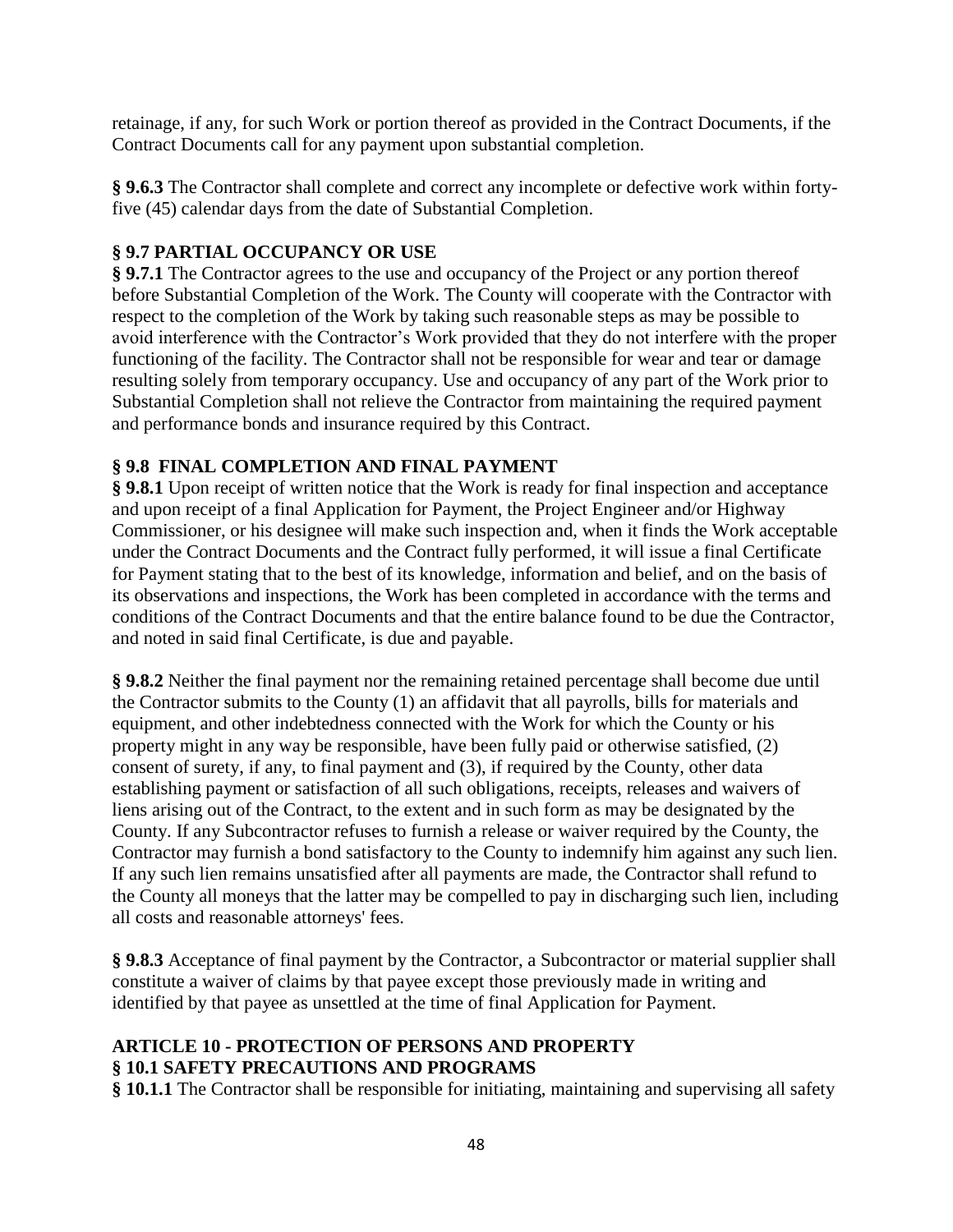retainage, if any, for such Work or portion thereof as provided in the Contract Documents, if the Contract Documents call for any payment upon substantial completion.

**§ 9.6.3** The Contractor shall complete and correct any incomplete or defective work within fortyfive (45) calendar days from the date of Substantial Completion.

## **§ 9.7 PARTIAL OCCUPANCY OR USE**

**§ 9.7.1** The Contractor agrees to the use and occupancy of the Project or any portion thereof before Substantial Completion of the Work. The County will cooperate with the Contractor with respect to the completion of the Work by taking such reasonable steps as may be possible to avoid interference with the Contractor's Work provided that they do not interfere with the proper functioning of the facility. The Contractor shall not be responsible for wear and tear or damage resulting solely from temporary occupancy. Use and occupancy of any part of the Work prior to Substantial Completion shall not relieve the Contractor from maintaining the required payment and performance bonds and insurance required by this Contract.

## **§ 9.8 FINAL COMPLETION AND FINAL PAYMENT**

**§ 9.8.1** Upon receipt of written notice that the Work is ready for final inspection and acceptance and upon receipt of a final Application for Payment, the Project Engineer and/or Highway Commissioner, or his designee will make such inspection and, when it finds the Work acceptable under the Contract Documents and the Contract fully performed, it will issue a final Certificate for Payment stating that to the best of its knowledge, information and belief, and on the basis of its observations and inspections, the Work has been completed in accordance with the terms and conditions of the Contract Documents and that the entire balance found to be due the Contractor, and noted in said final Certificate, is due and payable.

**§ 9.8.2** Neither the final payment nor the remaining retained percentage shall become due until the Contractor submits to the County (1) an affidavit that all payrolls, bills for materials and equipment, and other indebtedness connected with the Work for which the County or his property might in any way be responsible, have been fully paid or otherwise satisfied, (2) consent of surety, if any, to final payment and (3), if required by the County, other data establishing payment or satisfaction of all such obligations, receipts, releases and waivers of liens arising out of the Contract, to the extent and in such form as may be designated by the County. If any Subcontractor refuses to furnish a release or waiver required by the County, the Contractor may furnish a bond satisfactory to the County to indemnify him against any such lien. If any such lien remains unsatisfied after all payments are made, the Contractor shall refund to the County all moneys that the latter may be compelled to pay in discharging such lien, including all costs and reasonable attorneys' fees.

**§ 9.8.3** Acceptance of final payment by the Contractor, a Subcontractor or material supplier shall constitute a waiver of claims by that payee except those previously made in writing and identified by that payee as unsettled at the time of final Application for Payment.

## **ARTICLE 10 - PROTECTION OF PERSONS AND PROPERTY § 10.1 SAFETY PRECAUTIONS AND PROGRAMS**

**§ 10.1.1** The Contractor shall be responsible for initiating, maintaining and supervising all safety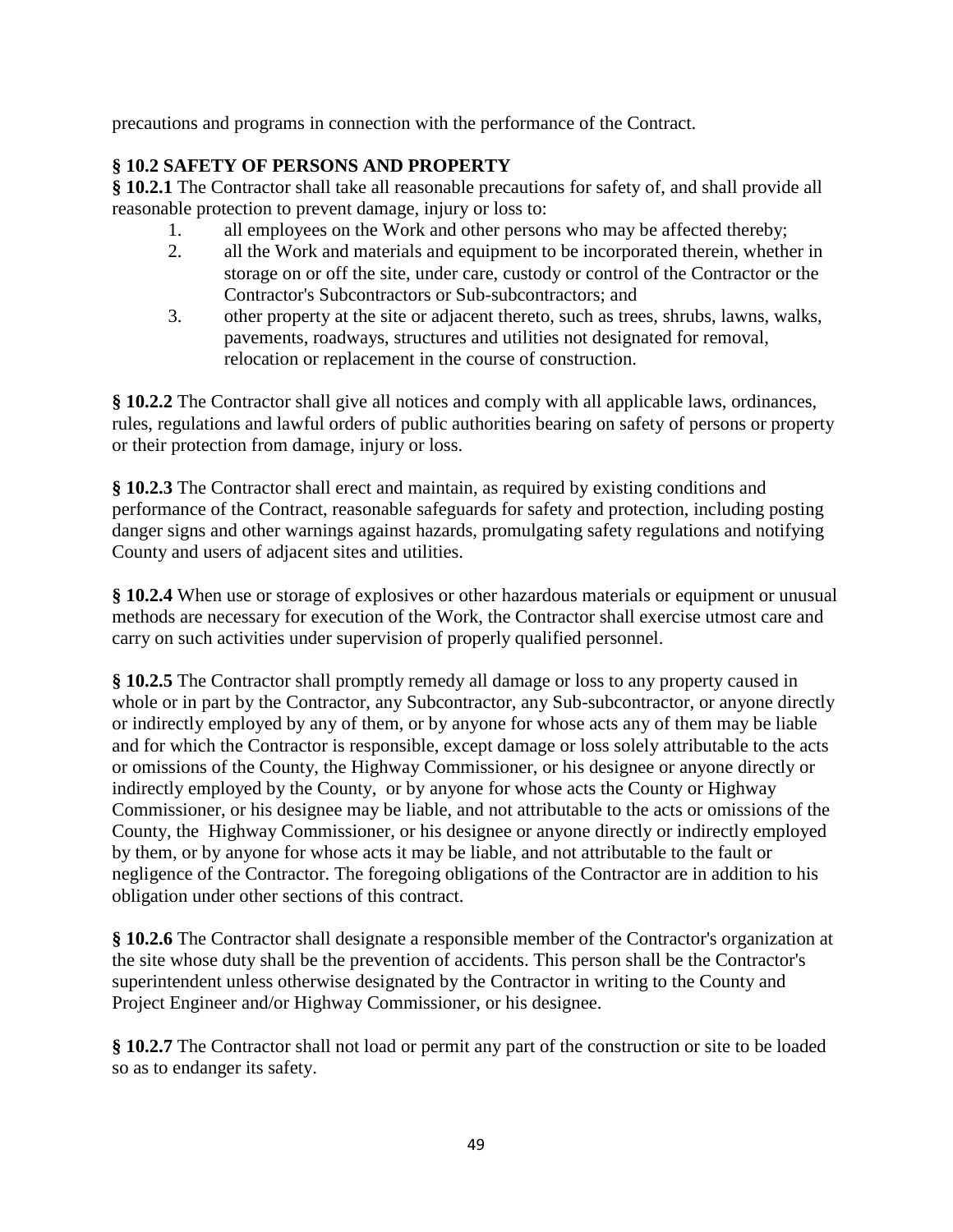precautions and programs in connection with the performance of the Contract.

## **§ 10.2 SAFETY OF PERSONS AND PROPERTY**

**§ 10.2.1** The Contractor shall take all reasonable precautions for safety of, and shall provide all reasonable protection to prevent damage, injury or loss to:

- 1. all employees on the Work and other persons who may be affected thereby;
- 2. all the Work and materials and equipment to be incorporated therein, whether in storage on or off the site, under care, custody or control of the Contractor or the Contractor's Subcontractors or Sub-subcontractors; and
- 3. other property at the site or adjacent thereto, such as trees, shrubs, lawns, walks, pavements, roadways, structures and utilities not designated for removal, relocation or replacement in the course of construction.

**§ 10.2.2** The Contractor shall give all notices and comply with all applicable laws, ordinances, rules, regulations and lawful orders of public authorities bearing on safety of persons or property or their protection from damage, injury or loss.

**§ 10.2.3** The Contractor shall erect and maintain, as required by existing conditions and performance of the Contract, reasonable safeguards for safety and protection, including posting danger signs and other warnings against hazards, promulgating safety regulations and notifying County and users of adjacent sites and utilities.

**§ 10.2.4** When use or storage of explosives or other hazardous materials or equipment or unusual methods are necessary for execution of the Work, the Contractor shall exercise utmost care and carry on such activities under supervision of properly qualified personnel.

**§ 10.2.5** The Contractor shall promptly remedy all damage or loss to any property caused in whole or in part by the Contractor, any Subcontractor, any Sub-subcontractor, or anyone directly or indirectly employed by any of them, or by anyone for whose acts any of them may be liable and for which the Contractor is responsible, except damage or loss solely attributable to the acts or omissions of the County, the Highway Commissioner, or his designee or anyone directly or indirectly employed by the County, or by anyone for whose acts the County or Highway Commissioner, or his designee may be liable, and not attributable to the acts or omissions of the County, the Highway Commissioner, or his designee or anyone directly or indirectly employed by them, or by anyone for whose acts it may be liable, and not attributable to the fault or negligence of the Contractor. The foregoing obligations of the Contractor are in addition to his obligation under other sections of this contract.

**§ 10.2.6** The Contractor shall designate a responsible member of the Contractor's organization at the site whose duty shall be the prevention of accidents. This person shall be the Contractor's superintendent unless otherwise designated by the Contractor in writing to the County and Project Engineer and/or Highway Commissioner, or his designee.

**§ 10.2.7** The Contractor shall not load or permit any part of the construction or site to be loaded so as to endanger its safety.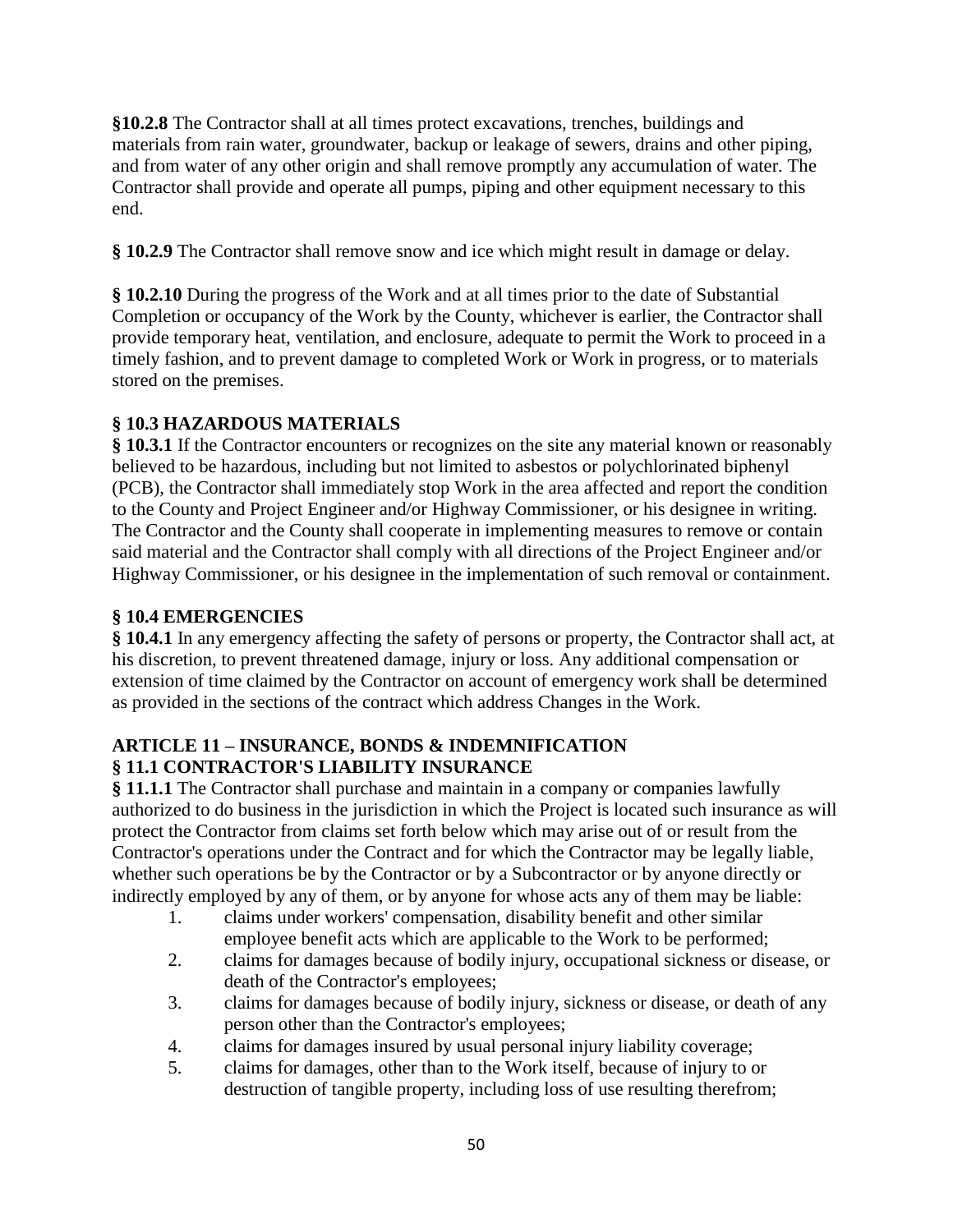**§10.2.8** The Contractor shall at all times protect excavations, trenches, buildings and materials from rain water, groundwater, backup or leakage of sewers, drains and other piping, and from water of any other origin and shall remove promptly any accumulation of water. The Contractor shall provide and operate all pumps, piping and other equipment necessary to this end.

**§ 10.2.9** The Contractor shall remove snow and ice which might result in damage or delay.

**§ 10.2.10** During the progress of the Work and at all times prior to the date of Substantial Completion or occupancy of the Work by the County, whichever is earlier, the Contractor shall provide temporary heat, ventilation, and enclosure, adequate to permit the Work to proceed in a timely fashion, and to prevent damage to completed Work or Work in progress, or to materials stored on the premises.

## **§ 10.3 HAZARDOUS MATERIALS**

**§ 10.3.1** If the Contractor encounters or recognizes on the site any material known or reasonably believed to be hazardous, including but not limited to asbestos or polychlorinated biphenyl (PCB), the Contractor shall immediately stop Work in the area affected and report the condition to the County and Project Engineer and/or Highway Commissioner, or his designee in writing. The Contractor and the County shall cooperate in implementing measures to remove or contain said material and the Contractor shall comply with all directions of the Project Engineer and/or Highway Commissioner, or his designee in the implementation of such removal or containment.

## **§ 10.4 EMERGENCIES**

**§ 10.4.1** In any emergency affecting the safety of persons or property, the Contractor shall act, at his discretion, to prevent threatened damage, injury or loss. Any additional compensation or extension of time claimed by the Contractor on account of emergency work shall be determined as provided in the sections of the contract which address Changes in the Work.

## **ARTICLE 11 – INSURANCE, BONDS & INDEMNIFICATION § 11.1 CONTRACTOR'S LIABILITY INSURANCE**

**§ 11.1.1** The Contractor shall purchase and maintain in a company or companies lawfully authorized to do business in the jurisdiction in which the Project is located such insurance as will protect the Contractor from claims set forth below which may arise out of or result from the Contractor's operations under the Contract and for which the Contractor may be legally liable, whether such operations be by the Contractor or by a Subcontractor or by anyone directly or indirectly employed by any of them, or by anyone for whose acts any of them may be liable:

- 1. claims under workers' compensation, disability benefit and other similar employee benefit acts which are applicable to the Work to be performed;
- 2. claims for damages because of bodily injury, occupational sickness or disease, or death of the Contractor's employees;
- 3. claims for damages because of bodily injury, sickness or disease, or death of any person other than the Contractor's employees;
- 4. claims for damages insured by usual personal injury liability coverage;
- 5. claims for damages, other than to the Work itself, because of injury to or destruction of tangible property, including loss of use resulting therefrom;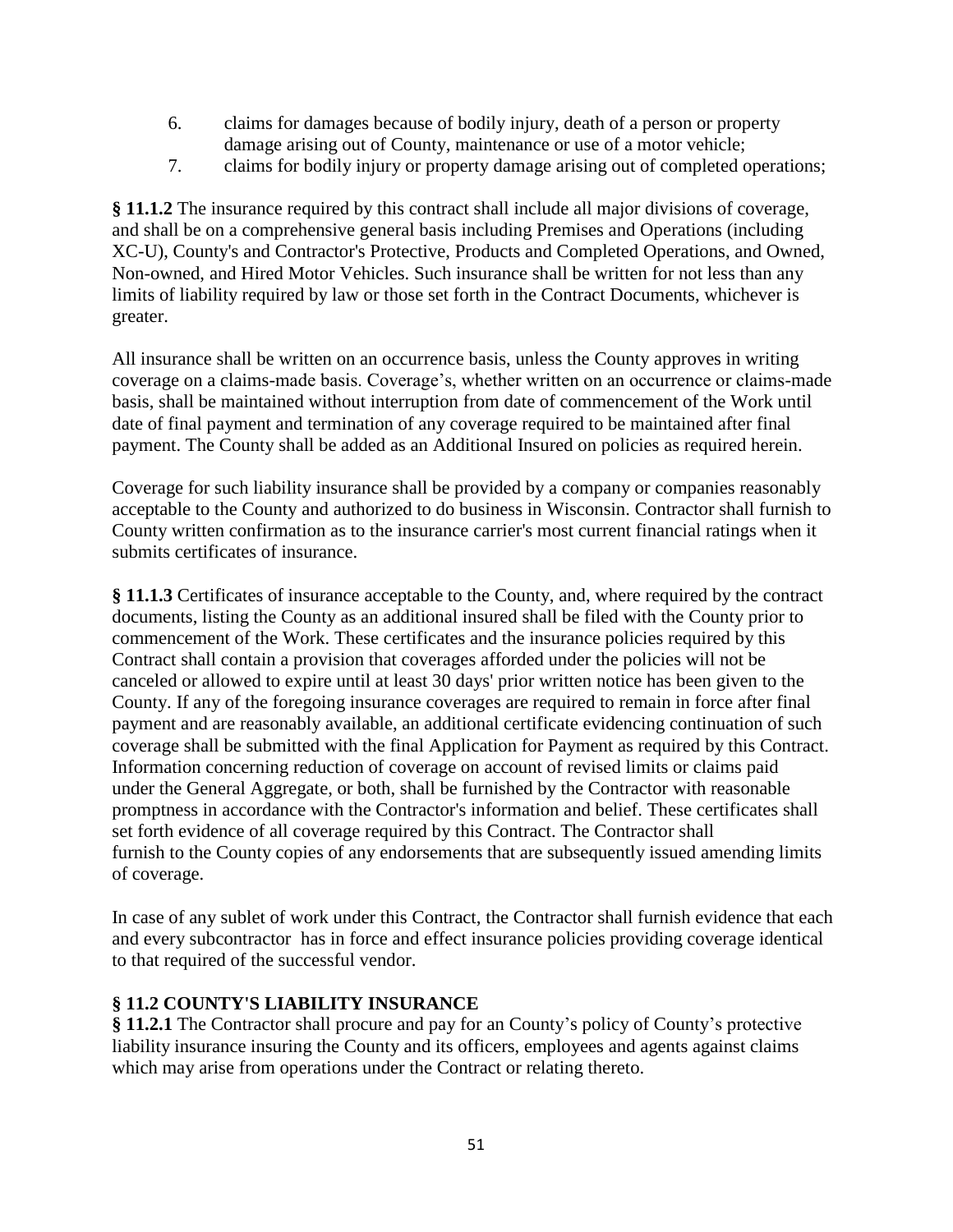- 6. claims for damages because of bodily injury, death of a person or property damage arising out of County, maintenance or use of a motor vehicle;
- 7. claims for bodily injury or property damage arising out of completed operations;

**§ 11.1.2** The insurance required by this contract shall include all major divisions of coverage, and shall be on a comprehensive general basis including Premises and Operations (including XC-U), County's and Contractor's Protective, Products and Completed Operations, and Owned, Non-owned, and Hired Motor Vehicles. Such insurance shall be written for not less than any limits of liability required by law or those set forth in the Contract Documents, whichever is greater.

All insurance shall be written on an occurrence basis, unless the County approves in writing coverage on a claims-made basis. Coverage's, whether written on an occurrence or claims-made basis, shall be maintained without interruption from date of commencement of the Work until date of final payment and termination of any coverage required to be maintained after final payment. The County shall be added as an Additional Insured on policies as required herein.

Coverage for such liability insurance shall be provided by a company or companies reasonably acceptable to the County and authorized to do business in Wisconsin. Contractor shall furnish to County written confirmation as to the insurance carrier's most current financial ratings when it submits certificates of insurance.

**§ 11.1.3** Certificates of insurance acceptable to the County, and, where required by the contract documents, listing the County as an additional insured shall be filed with the County prior to commencement of the Work. These certificates and the insurance policies required by this Contract shall contain a provision that coverages afforded under the policies will not be canceled or allowed to expire until at least 30 days' prior written notice has been given to the County. If any of the foregoing insurance coverages are required to remain in force after final payment and are reasonably available, an additional certificate evidencing continuation of such coverage shall be submitted with the final Application for Payment as required by this Contract. Information concerning reduction of coverage on account of revised limits or claims paid under the General Aggregate, or both, shall be furnished by the Contractor with reasonable promptness in accordance with the Contractor's information and belief. These certificates shall set forth evidence of all coverage required by this Contract. The Contractor shall furnish to the County copies of any endorsements that are subsequently issued amending limits of coverage.

In case of any sublet of work under this Contract, the Contractor shall furnish evidence that each and every subcontractor has in force and effect insurance policies providing coverage identical to that required of the successful vendor.

## **§ 11.2 COUNTY'S LIABILITY INSURANCE**

**§ 11.2.1** The Contractor shall procure and pay for an County's policy of County's protective liability insurance insuring the County and its officers, employees and agents against claims which may arise from operations under the Contract or relating thereto.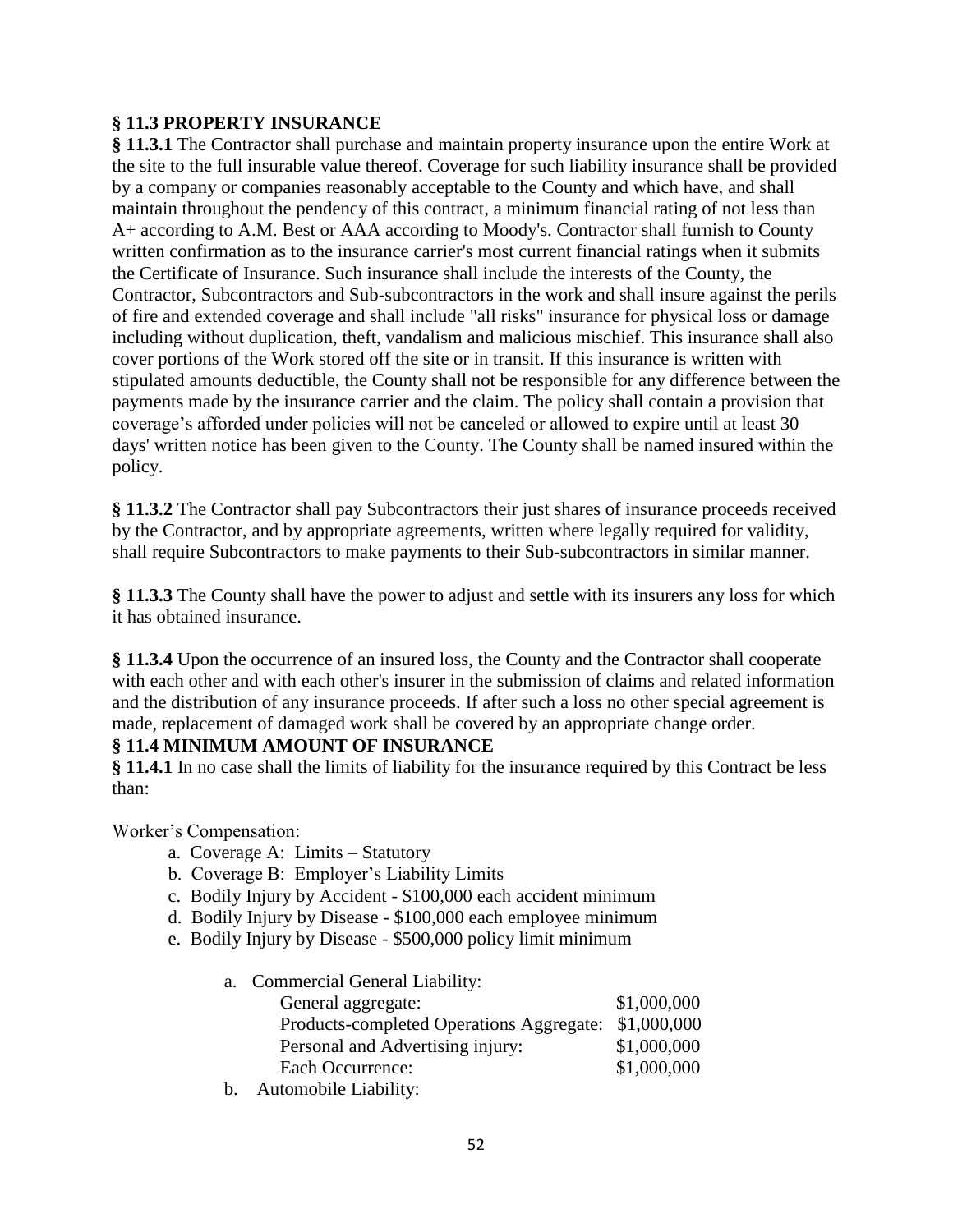## **§ 11.3 PROPERTY INSURANCE**

**§ 11.3.1** The Contractor shall purchase and maintain property insurance upon the entire Work at the site to the full insurable value thereof. Coverage for such liability insurance shall be provided by a company or companies reasonably acceptable to the County and which have, and shall maintain throughout the pendency of this contract, a minimum financial rating of not less than A+ according to A.M. Best or AAA according to Moody's. Contractor shall furnish to County written confirmation as to the insurance carrier's most current financial ratings when it submits the Certificate of Insurance. Such insurance shall include the interests of the County, the Contractor, Subcontractors and Sub-subcontractors in the work and shall insure against the perils of fire and extended coverage and shall include "all risks" insurance for physical loss or damage including without duplication, theft, vandalism and malicious mischief. This insurance shall also cover portions of the Work stored off the site or in transit. If this insurance is written with stipulated amounts deductible, the County shall not be responsible for any difference between the payments made by the insurance carrier and the claim. The policy shall contain a provision that coverage's afforded under policies will not be canceled or allowed to expire until at least 30 days' written notice has been given to the County. The County shall be named insured within the policy.

**§ 11.3.2** The Contractor shall pay Subcontractors their just shares of insurance proceeds received by the Contractor, and by appropriate agreements, written where legally required for validity, shall require Subcontractors to make payments to their Sub-subcontractors in similar manner.

**§ 11.3.3** The County shall have the power to adjust and settle with its insurers any loss for which it has obtained insurance.

**§ 11.3.4** Upon the occurrence of an insured loss, the County and the Contractor shall cooperate with each other and with each other's insurer in the submission of claims and related information and the distribution of any insurance proceeds. If after such a loss no other special agreement is made, replacement of damaged work shall be covered by an appropriate change order.

## **§ 11.4 MINIMUM AMOUNT OF INSURANCE**

**§ 11.4.1** In no case shall the limits of liability for the insurance required by this Contract be less than:

Worker's Compensation:

- a. Coverage A: Limits Statutory
- b. Coverage B: Employer's Liability Limits
- c. Bodily Injury by Accident \$100,000 each accident minimum
- d. Bodily Injury by Disease \$100,000 each employee minimum
- e. Bodily Injury by Disease \$500,000 policy limit minimum

| General aggregate:                       | \$1,000,000                      |
|------------------------------------------|----------------------------------|
| Products-completed Operations Aggregate: | \$1,000,000                      |
| Personal and Advertising injury:         | \$1,000,000                      |
| Each Occurrence:                         | \$1,000,000                      |
|                                          | a. Commercial General Liability: |

b. Automobile Liability: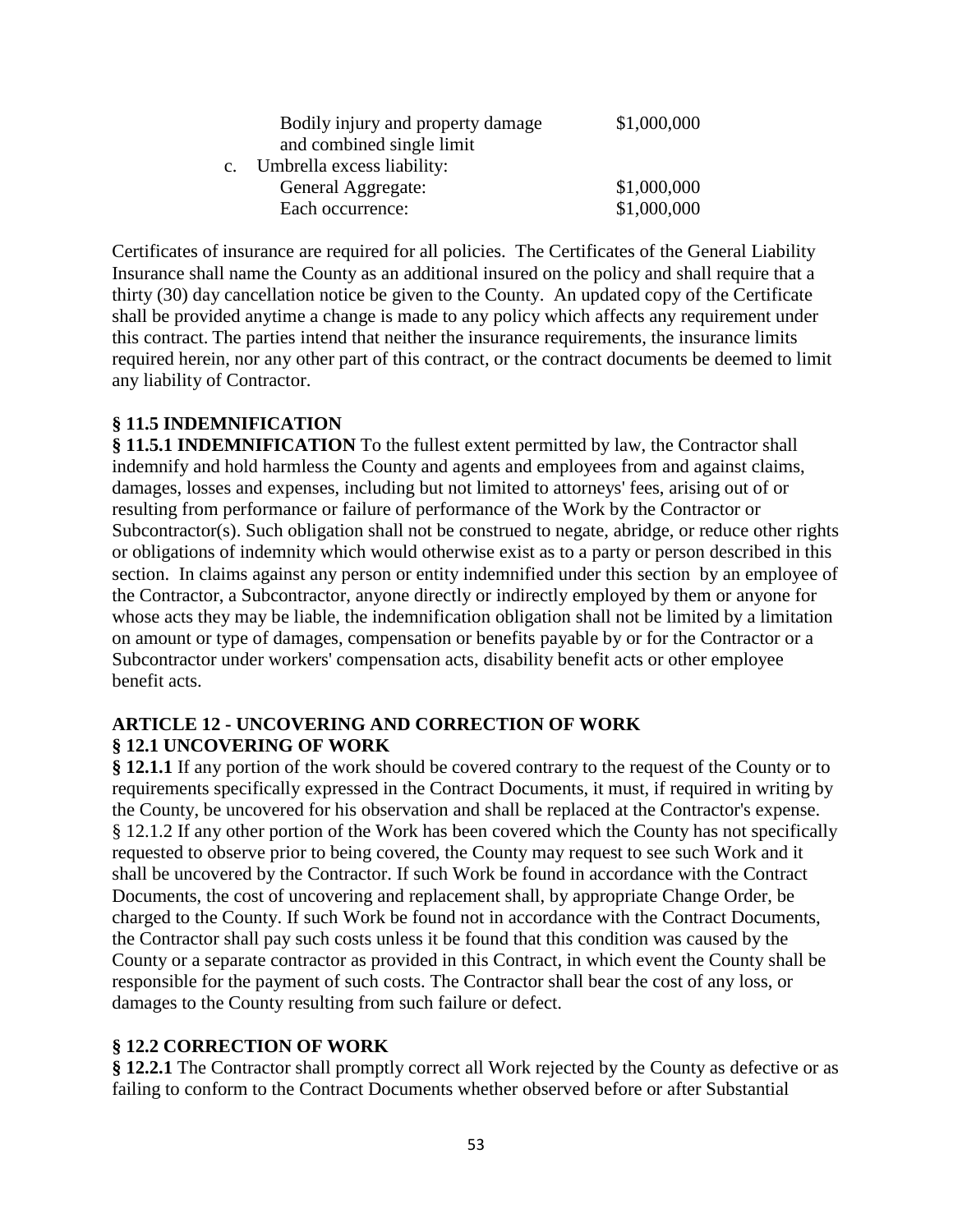| Bodily injury and property damage | \$1,000,000 |
|-----------------------------------|-------------|
| and combined single limit         |             |
| Umbrella excess liability:        |             |
| General Aggregate:                | \$1,000,000 |
| Each occurrence:                  | \$1,000,000 |

Certificates of insurance are required for all policies. The Certificates of the General Liability Insurance shall name the County as an additional insured on the policy and shall require that a thirty (30) day cancellation notice be given to the County. An updated copy of the Certificate shall be provided anytime a change is made to any policy which affects any requirement under this contract. The parties intend that neither the insurance requirements, the insurance limits required herein, nor any other part of this contract, or the contract documents be deemed to limit any liability of Contractor.

#### **§ 11.5 INDEMNIFICATION**

**§ 11.5.1 INDEMNIFICATION** To the fullest extent permitted by law, the Contractor shall indemnify and hold harmless the County and agents and employees from and against claims, damages, losses and expenses, including but not limited to attorneys' fees, arising out of or resulting from performance or failure of performance of the Work by the Contractor or Subcontractor(s). Such obligation shall not be construed to negate, abridge, or reduce other rights or obligations of indemnity which would otherwise exist as to a party or person described in this section. In claims against any person or entity indemnified under this section by an employee of the Contractor, a Subcontractor, anyone directly or indirectly employed by them or anyone for whose acts they may be liable, the indemnification obligation shall not be limited by a limitation on amount or type of damages, compensation or benefits payable by or for the Contractor or a Subcontractor under workers' compensation acts, disability benefit acts or other employee benefit acts.

#### **ARTICLE 12 - UNCOVERING AND CORRECTION OF WORK § 12.1 UNCOVERING OF WORK**

**§ 12.1.1** If any portion of the work should be covered contrary to the request of the County or to requirements specifically expressed in the Contract Documents, it must, if required in writing by the County, be uncovered for his observation and shall be replaced at the Contractor's expense. § 12.1.2 If any other portion of the Work has been covered which the County has not specifically requested to observe prior to being covered, the County may request to see such Work and it shall be uncovered by the Contractor. If such Work be found in accordance with the Contract Documents, the cost of uncovering and replacement shall, by appropriate Change Order, be charged to the County. If such Work be found not in accordance with the Contract Documents, the Contractor shall pay such costs unless it be found that this condition was caused by the County or a separate contractor as provided in this Contract, in which event the County shall be responsible for the payment of such costs. The Contractor shall bear the cost of any loss, or damages to the County resulting from such failure or defect.

#### **§ 12.2 CORRECTION OF WORK**

**§ 12.2.1** The Contractor shall promptly correct all Work rejected by the County as defective or as failing to conform to the Contract Documents whether observed before or after Substantial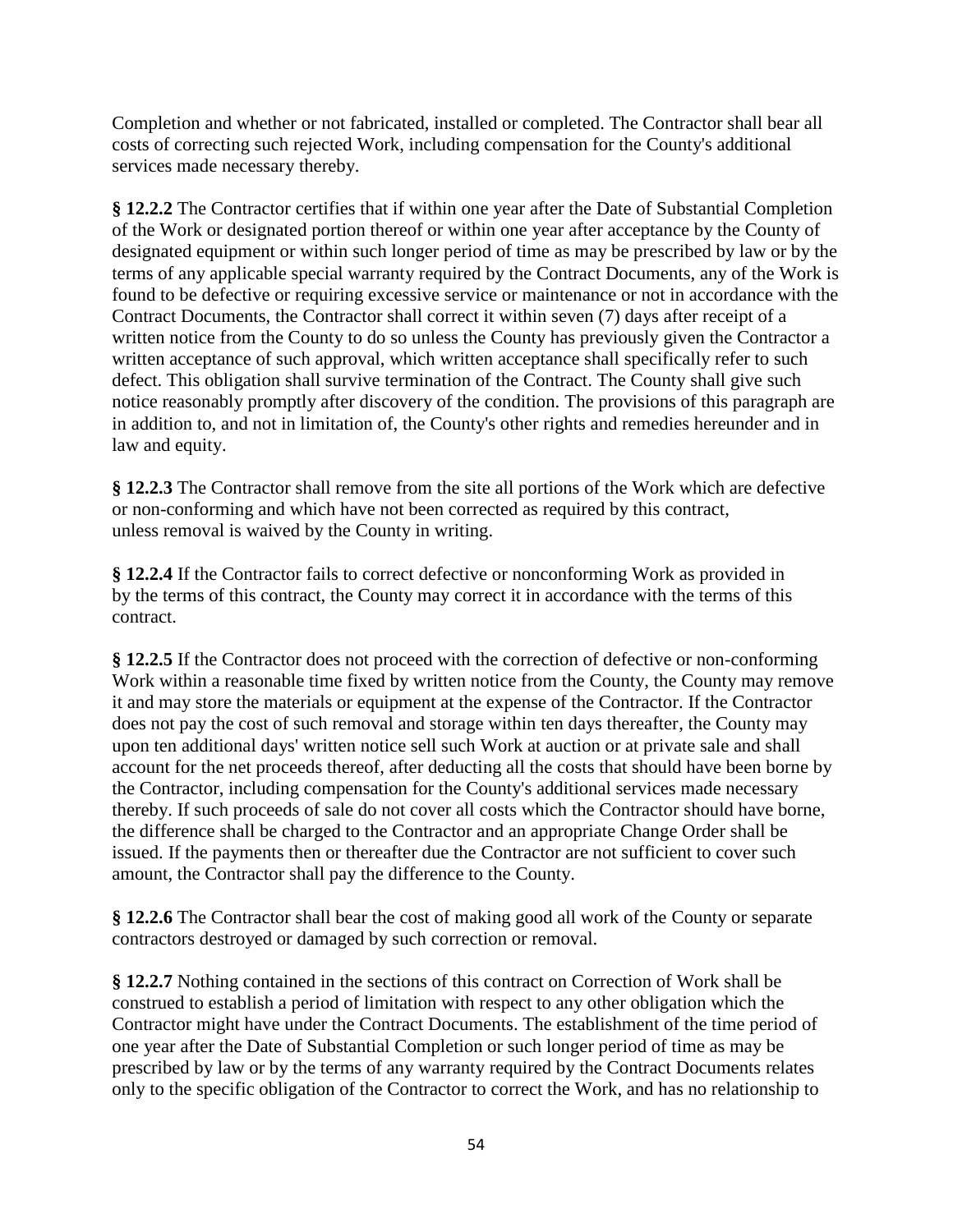Completion and whether or not fabricated, installed or completed. The Contractor shall bear all costs of correcting such rejected Work, including compensation for the County's additional services made necessary thereby.

**§ 12.2.2** The Contractor certifies that if within one year after the Date of Substantial Completion of the Work or designated portion thereof or within one year after acceptance by the County of designated equipment or within such longer period of time as may be prescribed by law or by the terms of any applicable special warranty required by the Contract Documents, any of the Work is found to be defective or requiring excessive service or maintenance or not in accordance with the Contract Documents, the Contractor shall correct it within seven (7) days after receipt of a written notice from the County to do so unless the County has previously given the Contractor a written acceptance of such approval, which written acceptance shall specifically refer to such defect. This obligation shall survive termination of the Contract. The County shall give such notice reasonably promptly after discovery of the condition. The provisions of this paragraph are in addition to, and not in limitation of, the County's other rights and remedies hereunder and in law and equity.

**§ 12.2.3** The Contractor shall remove from the site all portions of the Work which are defective or non-conforming and which have not been corrected as required by this contract, unless removal is waived by the County in writing.

**§ 12.2.4** If the Contractor fails to correct defective or nonconforming Work as provided in by the terms of this contract, the County may correct it in accordance with the terms of this contract.

**§ 12.2.5** If the Contractor does not proceed with the correction of defective or non-conforming Work within a reasonable time fixed by written notice from the County, the County may remove it and may store the materials or equipment at the expense of the Contractor. If the Contractor does not pay the cost of such removal and storage within ten days thereafter, the County may upon ten additional days' written notice sell such Work at auction or at private sale and shall account for the net proceeds thereof, after deducting all the costs that should have been borne by the Contractor, including compensation for the County's additional services made necessary thereby. If such proceeds of sale do not cover all costs which the Contractor should have borne, the difference shall be charged to the Contractor and an appropriate Change Order shall be issued. If the payments then or thereafter due the Contractor are not sufficient to cover such amount, the Contractor shall pay the difference to the County.

**§ 12.2.6** The Contractor shall bear the cost of making good all work of the County or separate contractors destroyed or damaged by such correction or removal.

**§ 12.2.7** Nothing contained in the sections of this contract on Correction of Work shall be construed to establish a period of limitation with respect to any other obligation which the Contractor might have under the Contract Documents. The establishment of the time period of one year after the Date of Substantial Completion or such longer period of time as may be prescribed by law or by the terms of any warranty required by the Contract Documents relates only to the specific obligation of the Contractor to correct the Work, and has no relationship to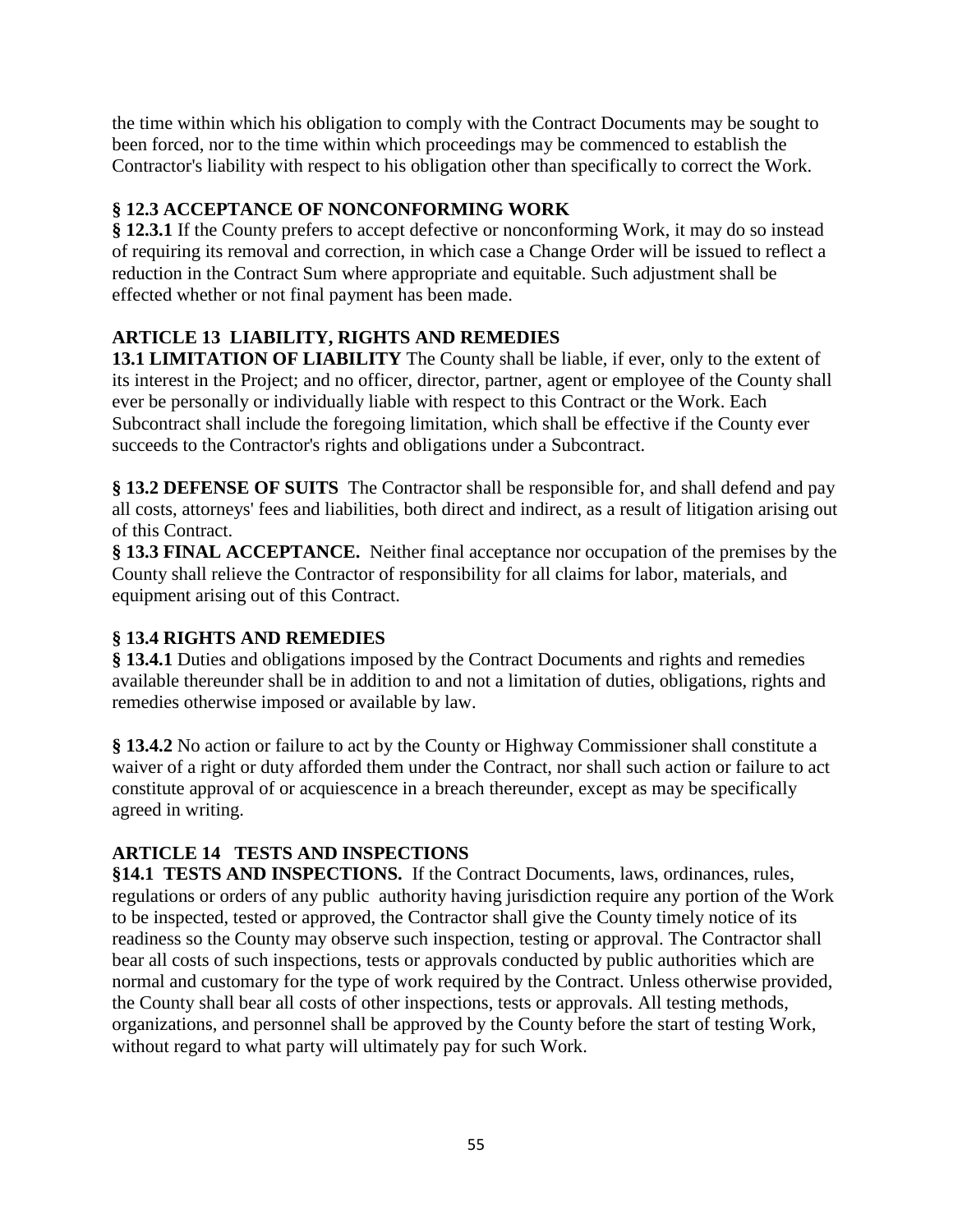the time within which his obligation to comply with the Contract Documents may be sought to been forced, nor to the time within which proceedings may be commenced to establish the Contractor's liability with respect to his obligation other than specifically to correct the Work.

# **§ 12.3 ACCEPTANCE OF NONCONFORMING WORK**

**§ 12.3.1** If the County prefers to accept defective or nonconforming Work, it may do so instead of requiring its removal and correction, in which case a Change Order will be issued to reflect a reduction in the Contract Sum where appropriate and equitable. Such adjustment shall be effected whether or not final payment has been made.

# **ARTICLE 13 LIABILITY, RIGHTS AND REMEDIES**

**13.1 LIMITATION OF LIABILITY** The County shall be liable, if ever, only to the extent of its interest in the Project; and no officer, director, partner, agent or employee of the County shall ever be personally or individually liable with respect to this Contract or the Work. Each Subcontract shall include the foregoing limitation, which shall be effective if the County ever succeeds to the Contractor's rights and obligations under a Subcontract.

**§ 13.2 DEFENSE OF SUITS** The Contractor shall be responsible for, and shall defend and pay all costs, attorneys' fees and liabilities, both direct and indirect, as a result of litigation arising out of this Contract.

**§ 13.3 FINAL ACCEPTANCE.** Neither final acceptance nor occupation of the premises by the County shall relieve the Contractor of responsibility for all claims for labor, materials, and equipment arising out of this Contract.

# **§ 13.4 RIGHTS AND REMEDIES**

**§ 13.4.1** Duties and obligations imposed by the Contract Documents and rights and remedies available thereunder shall be in addition to and not a limitation of duties, obligations, rights and remedies otherwise imposed or available by law.

**§ 13.4.2** No action or failure to act by the County or Highway Commissioner shall constitute a waiver of a right or duty afforded them under the Contract, nor shall such action or failure to act constitute approval of or acquiescence in a breach thereunder, except as may be specifically agreed in writing.

# **ARTICLE 14 TESTS AND INSPECTIONS**

**§14.1 TESTS AND INSPECTIONS.** If the Contract Documents, laws, ordinances, rules, regulations or orders of any publicauthority having jurisdiction require any portion of the Work to be inspected, tested or approved, the Contractor shall give the County timely notice of its readiness so the County may observe such inspection, testing or approval. The Contractor shall bear all costs of such inspections, tests or approvals conducted by public authorities which are normal and customary for the type of work required by the Contract. Unless otherwise provided, the County shall bear all costs of other inspections, tests or approvals. All testing methods, organizations, and personnel shall be approved by the County before the start of testing Work, without regard to what party will ultimately pay for such Work.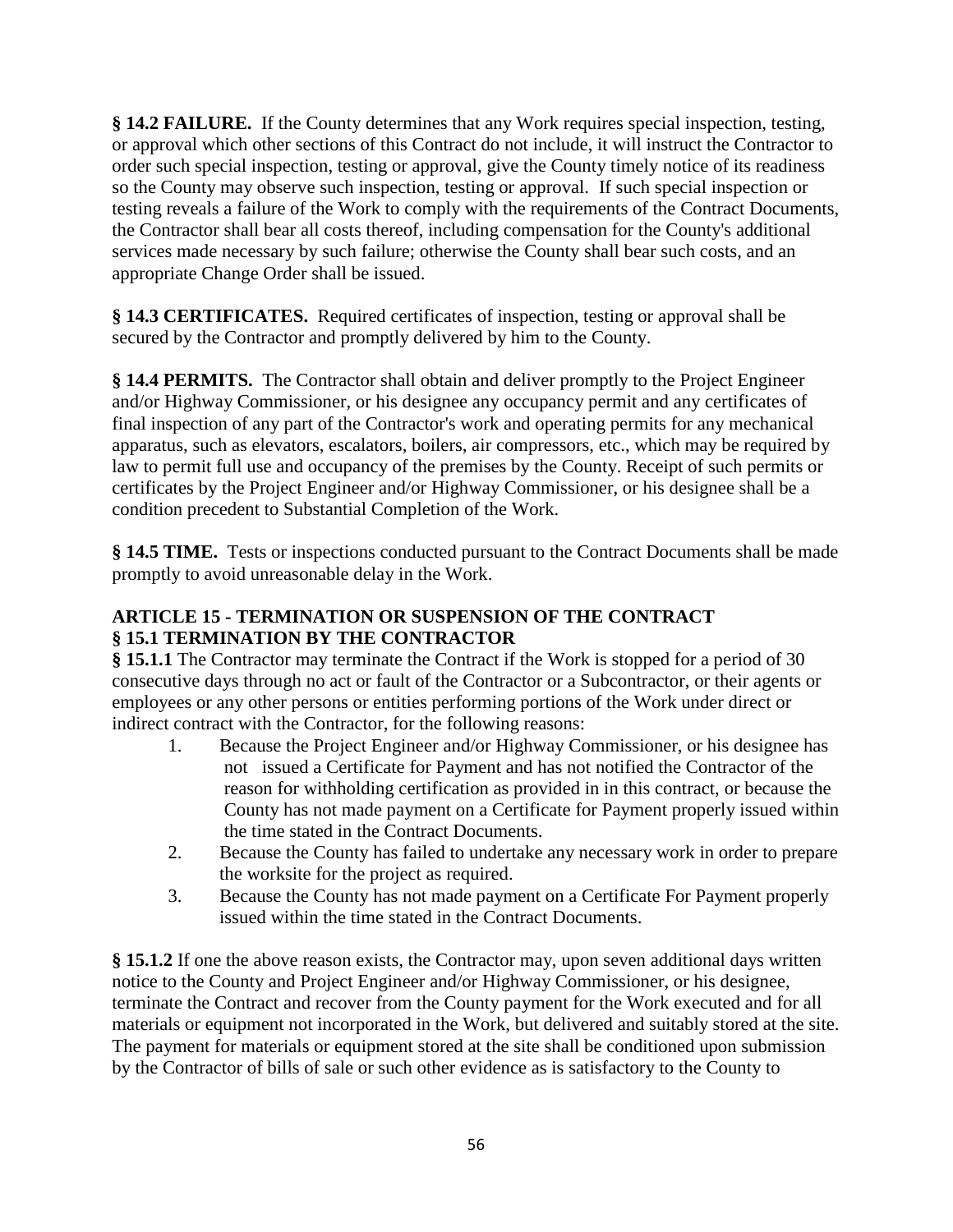**§ 14.2 FAILURE.** If the County determines that any Work requires special inspection, testing, or approval which other sections of this Contract do not include, it will instruct the Contractor to order such special inspection, testing or approval, give the County timely notice of its readiness so the County may observe such inspection, testing or approval. If such special inspection or testing reveals a failure of the Work to comply with the requirements of the Contract Documents, the Contractor shall bear all costs thereof, including compensation for the County's additional services made necessary by such failure; otherwise the County shall bear such costs, and an appropriate Change Order shall be issued.

**§ 14.3 CERTIFICATES.** Required certificates of inspection, testing or approval shall be secured by the Contractor and promptly delivered by him to the County.

**§ 14.4 PERMITS.** The Contractor shall obtain and deliver promptly to the Project Engineer and/or Highway Commissioner, or his designee any occupancy permit and any certificates of final inspection of any part of the Contractor's work and operating permits for any mechanical apparatus, such as elevators, escalators, boilers, air compressors, etc., which may be required by law to permit full use and occupancy of the premises by the County. Receipt of such permits or certificates by the Project Engineer and/or Highway Commissioner, or his designee shall be a condition precedent to Substantial Completion of the Work.

**§ 14.5 TIME.** Tests or inspections conducted pursuant to the Contract Documents shall be made promptly to avoid unreasonable delay in the Work.

## **ARTICLE 15 - TERMINATION OR SUSPENSION OF THE CONTRACT § 15.1 TERMINATION BY THE CONTRACTOR**

**§ 15.1.1** The Contractor may terminate the Contract if the Work is stopped for a period of 30 consecutive days through no act or fault of the Contractor or a Subcontractor, or their agents or employees or any other persons or entities performing portions of the Work under direct or indirect contract with the Contractor, for the following reasons:

- 1. Because the Project Engineer and/or Highway Commissioner, or his designee has not issued a Certificate for Payment and has not notified the Contractor of the reason for withholding certification as provided in in this contract, or because the County has not made payment on a Certificate for Payment properly issued within the time stated in the Contract Documents.
- 2. Because the County has failed to undertake any necessary work in order to prepare the worksite for the project as required.
- 3. Because the County has not made payment on a Certificate For Payment properly issued within the time stated in the Contract Documents.

**§ 15.1.2** If one the above reason exists, the Contractor may, upon seven additional days written notice to the County and Project Engineer and/or Highway Commissioner, or his designee, terminate the Contract and recover from the County payment for the Work executed and for all materials or equipment not incorporated in the Work, but delivered and suitably stored at the site. The payment for materials or equipment stored at the site shall be conditioned upon submission by the Contractor of bills of sale or such other evidence as is satisfactory to the County to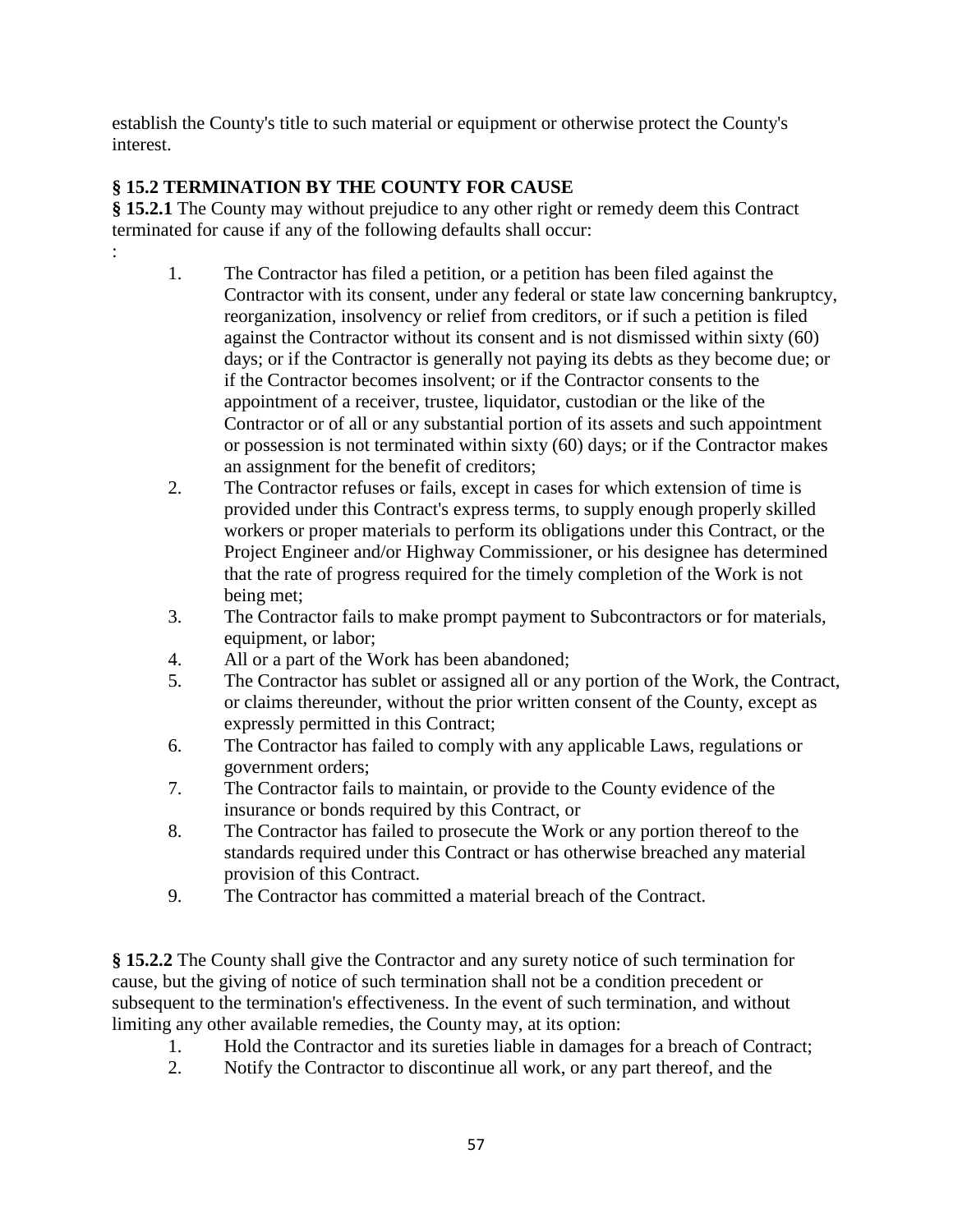establish the County's title to such material or equipment or otherwise protect the County's interest.

# **§ 15.2 TERMINATION BY THE COUNTY FOR CAUSE**

:

**§ 15.2.1** The County may without prejudice to any other right or remedy deem this Contract terminated for cause if any of the following defaults shall occur:

- 1. The Contractor has filed a petition, or a petition has been filed against the Contractor with its consent, under any federal or state law concerning bankruptcy, reorganization, insolvency or relief from creditors, or if such a petition is filed against the Contractor without its consent and is not dismissed within sixty (60) days; or if the Contractor is generally not paying its debts as they become due; or if the Contractor becomes insolvent; or if the Contractor consents to the appointment of a receiver, trustee, liquidator, custodian or the like of the Contractor or of all or any substantial portion of its assets and such appointment or possession is not terminated within sixty (60) days; or if the Contractor makes an assignment for the benefit of creditors;
- 2. The Contractor refuses or fails, except in cases for which extension of time is provided under this Contract's express terms, to supply enough properly skilled workers or proper materials to perform its obligations under this Contract, or the Project Engineer and/or Highway Commissioner, or his designee has determined that the rate of progress required for the timely completion of the Work is not being met;
- 3. The Contractor fails to make prompt payment to Subcontractors or for materials, equipment, or labor;
- 4. All or a part of the Work has been abandoned;
- 5. The Contractor has sublet or assigned all or any portion of the Work, the Contract, or claims thereunder, without the prior written consent of the County, except as expressly permitted in this Contract;
- 6. The Contractor has failed to comply with any applicable Laws, regulations or government orders;
- 7. The Contractor fails to maintain, or provide to the County evidence of the insurance or bonds required by this Contract, or
- 8. The Contractor has failed to prosecute the Work or any portion thereof to the standards required under this Contract or has otherwise breached any material provision of this Contract.
- 9. The Contractor has committed a material breach of the Contract.

**§ 15.2.2** The County shall give the Contractor and any surety notice of such termination for cause, but the giving of notice of such termination shall not be a condition precedent or subsequent to the termination's effectiveness. In the event of such termination, and without limiting any other available remedies, the County may, at its option:

- 1. Hold the Contractor and its sureties liable in damages for a breach of Contract;
- 2. Notify the Contractor to discontinue all work, or any part thereof, and the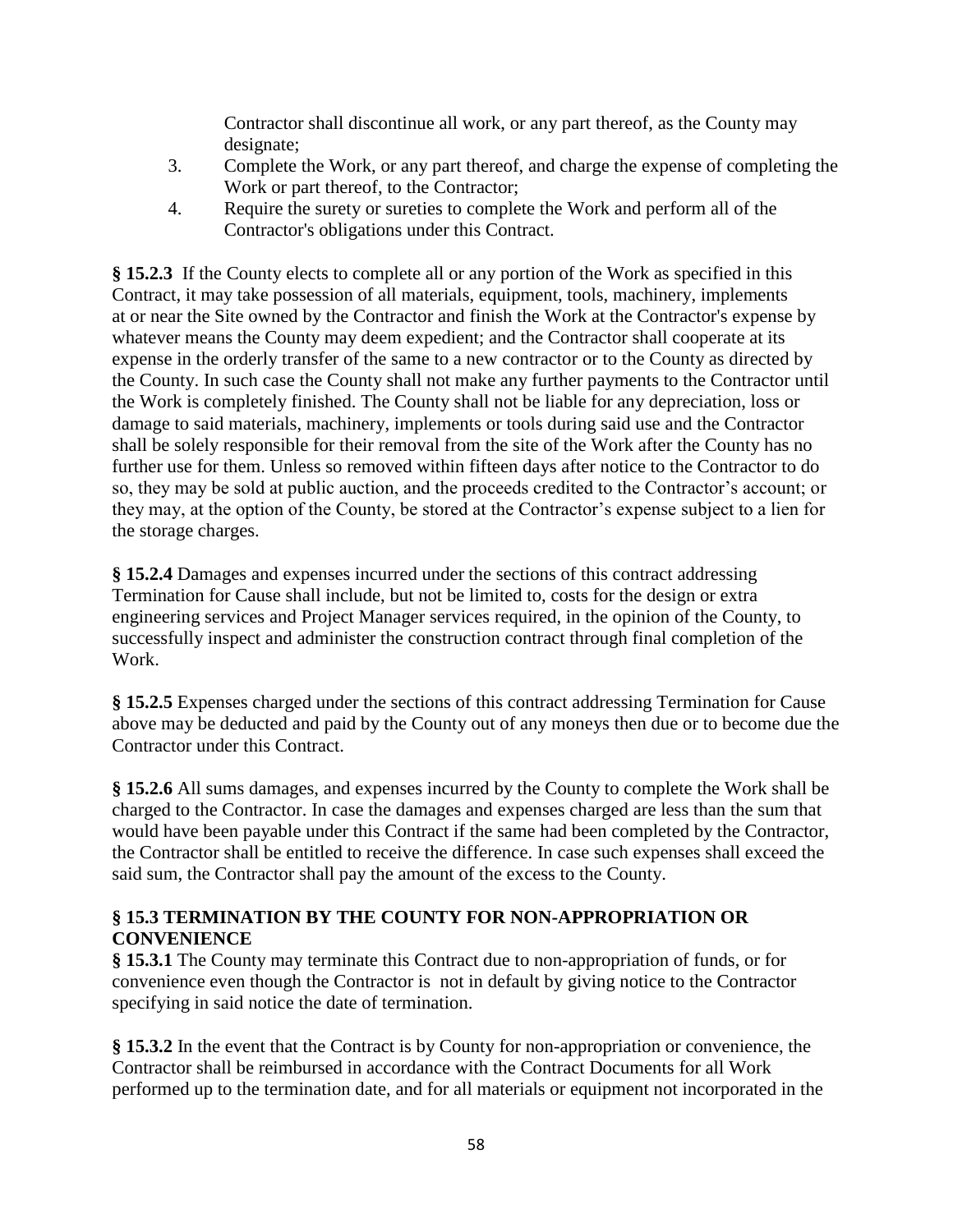Contractor shall discontinue all work, or any part thereof, as the County may designate;

- 3. Complete the Work, or any part thereof, and charge the expense of completing the Work or part thereof, to the Contractor;
- 4. Require the surety or sureties to complete the Work and perform all of the Contractor's obligations under this Contract.

**§ 15.2.3** If the County elects to complete all or any portion of the Work as specified in this Contract, it may take possession of all materials, equipment, tools, machinery, implements at or near the Site owned by the Contractor and finish the Work at the Contractor's expense by whatever means the County may deem expedient; and the Contractor shall cooperate at its expense in the orderly transfer of the same to a new contractor or to the County as directed by the County. In such case the County shall not make any further payments to the Contractor until the Work is completely finished. The County shall not be liable for any depreciation, loss or damage to said materials, machinery, implements or tools during said use and the Contractor shall be solely responsible for their removal from the site of the Work after the County has no further use for them. Unless so removed within fifteen days after notice to the Contractor to do so, they may be sold at public auction, and the proceeds credited to the Contractor's account; or they may, at the option of the County, be stored at the Contractor's expense subject to a lien for the storage charges.

**§ 15.2.4** Damages and expenses incurred under the sections of this contract addressing Termination for Cause shall include, but not be limited to, costs for the design or extra engineering services and Project Manager services required, in the opinion of the County, to successfully inspect and administer the construction contract through final completion of the Work.

**§ 15.2.5** Expenses charged under the sections of this contract addressing Termination for Cause above may be deducted and paid by the County out of any moneys then due or to become due the Contractor under this Contract.

**§ 15.2.6** All sums damages, and expenses incurred by the County to complete the Work shall be charged to the Contractor. In case the damages and expenses charged are less than the sum that would have been payable under this Contract if the same had been completed by the Contractor, the Contractor shall be entitled to receive the difference. In case such expenses shall exceed the said sum, the Contractor shall pay the amount of the excess to the County.

## **§ 15.3 TERMINATION BY THE COUNTY FOR NON-APPROPRIATION OR CONVENIENCE**

**§ 15.3.1** The County may terminate this Contract due to non-appropriation of funds, or for convenience even though the Contractor is not in default by giving notice to the Contractor specifying in said notice the date of termination.

**§ 15.3.2** In the event that the Contract is by County for non-appropriation or convenience, the Contractor shall be reimbursed in accordance with the Contract Documents for all Work performed up to the termination date, and for all materials or equipment not incorporated in the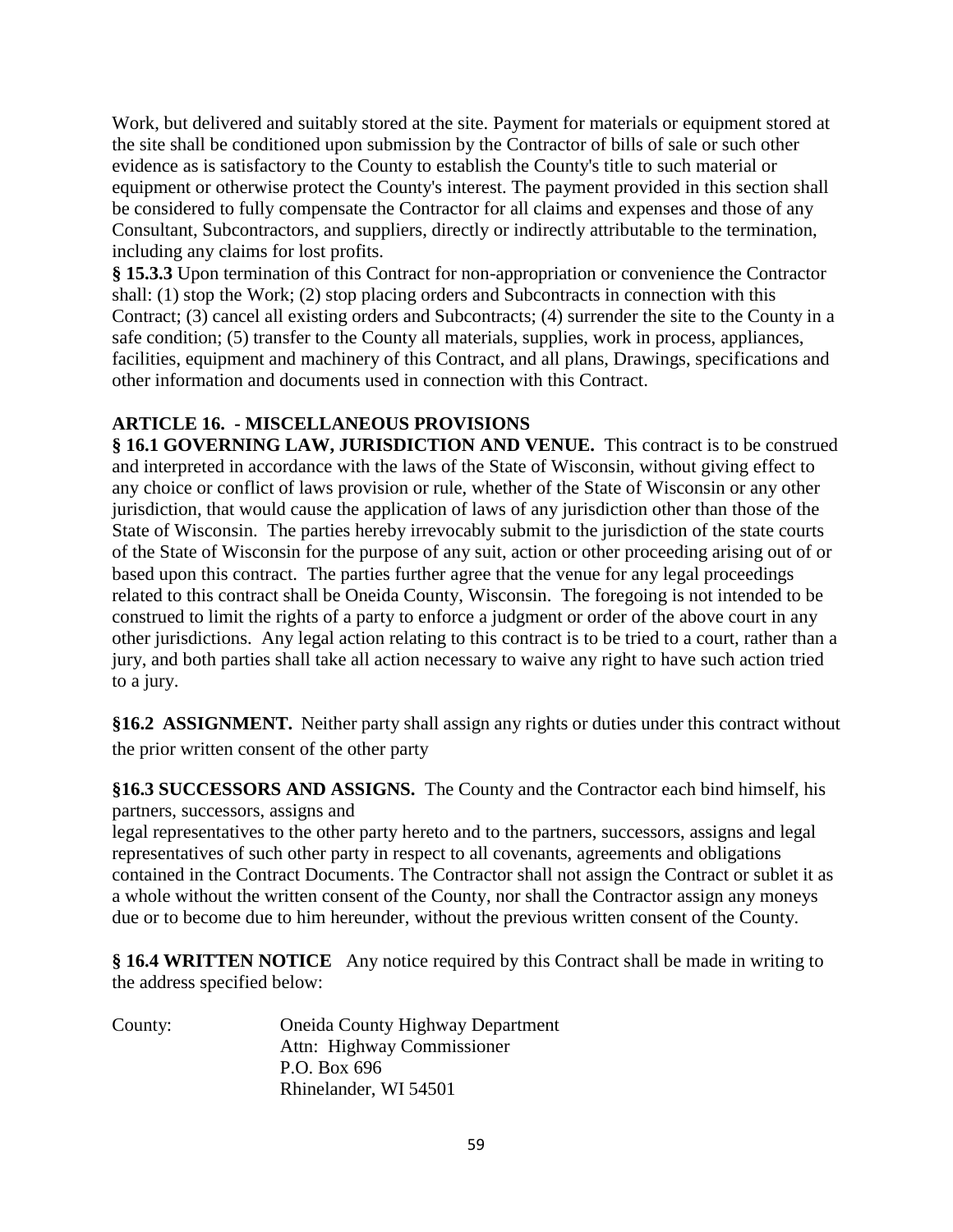Work, but delivered and suitably stored at the site. Payment for materials or equipment stored at the site shall be conditioned upon submission by the Contractor of bills of sale or such other evidence as is satisfactory to the County to establish the County's title to such material or equipment or otherwise protect the County's interest. The payment provided in this section shall be considered to fully compensate the Contractor for all claims and expenses and those of any Consultant, Subcontractors, and suppliers, directly or indirectly attributable to the termination, including any claims for lost profits.

**§ 15.3.3** Upon termination of this Contract for non-appropriation or convenience the Contractor shall: (1) stop the Work; (2) stop placing orders and Subcontracts in connection with this Contract; (3) cancel all existing orders and Subcontracts; (4) surrender the site to the County in a safe condition; (5) transfer to the County all materials, supplies, work in process, appliances, facilities, equipment and machinery of this Contract, and all plans, Drawings, specifications and other information and documents used in connection with this Contract.

## **ARTICLE 16. - MISCELLANEOUS PROVISIONS**

§ **16.1 GOVERNING LAW, JURISDICTION AND VENUE.** This contract is to be construed and interpreted in accordance with the laws of the State of Wisconsin, without giving effect to any choice or conflict of laws provision or rule, whether of the State of Wisconsin or any other jurisdiction, that would cause the application of laws of any jurisdiction other than those of the State of Wisconsin. The parties hereby irrevocably submit to the jurisdiction of the state courts of the State of Wisconsin for the purpose of any suit, action or other proceeding arising out of or based upon this contract. The parties further agree that the venue for any legal proceedings related to this contract shall be Oneida County, Wisconsin. The foregoing is not intended to be construed to limit the rights of a party to enforce a judgment or order of the above court in any other jurisdictions. Any legal action relating to this contract is to be tried to a court, rather than a jury, and both parties shall take all action necessary to waive any right to have such action tried to a jury.

**§16.2 ASSIGNMENT.** Neither party shall assign any rights or duties under this contract without the prior written consent of the other party

**§16.3 SUCCESSORS AND ASSIGNS.** The County and the Contractor each bind himself, his partners, successors, assigns and

legal representatives to the other party hereto and to the partners, successors, assigns and legal representatives of such other party in respect to all covenants, agreements and obligations contained in the Contract Documents. The Contractor shall not assign the Contract or sublet it as a whole without the written consent of the County, nor shall the Contractor assign any moneys due or to become due to him hereunder, without the previous written consent of the County.

**§ 16.4 WRITTEN NOTICE** Any notice required by this Contract shall be made in writing to the address specified below:

| County: | <b>Oneida County Highway Department</b> |
|---------|-----------------------------------------|
|         | Attn: Highway Commissioner              |
|         | P.O. Box 696                            |
|         | Rhinelander, WI 54501                   |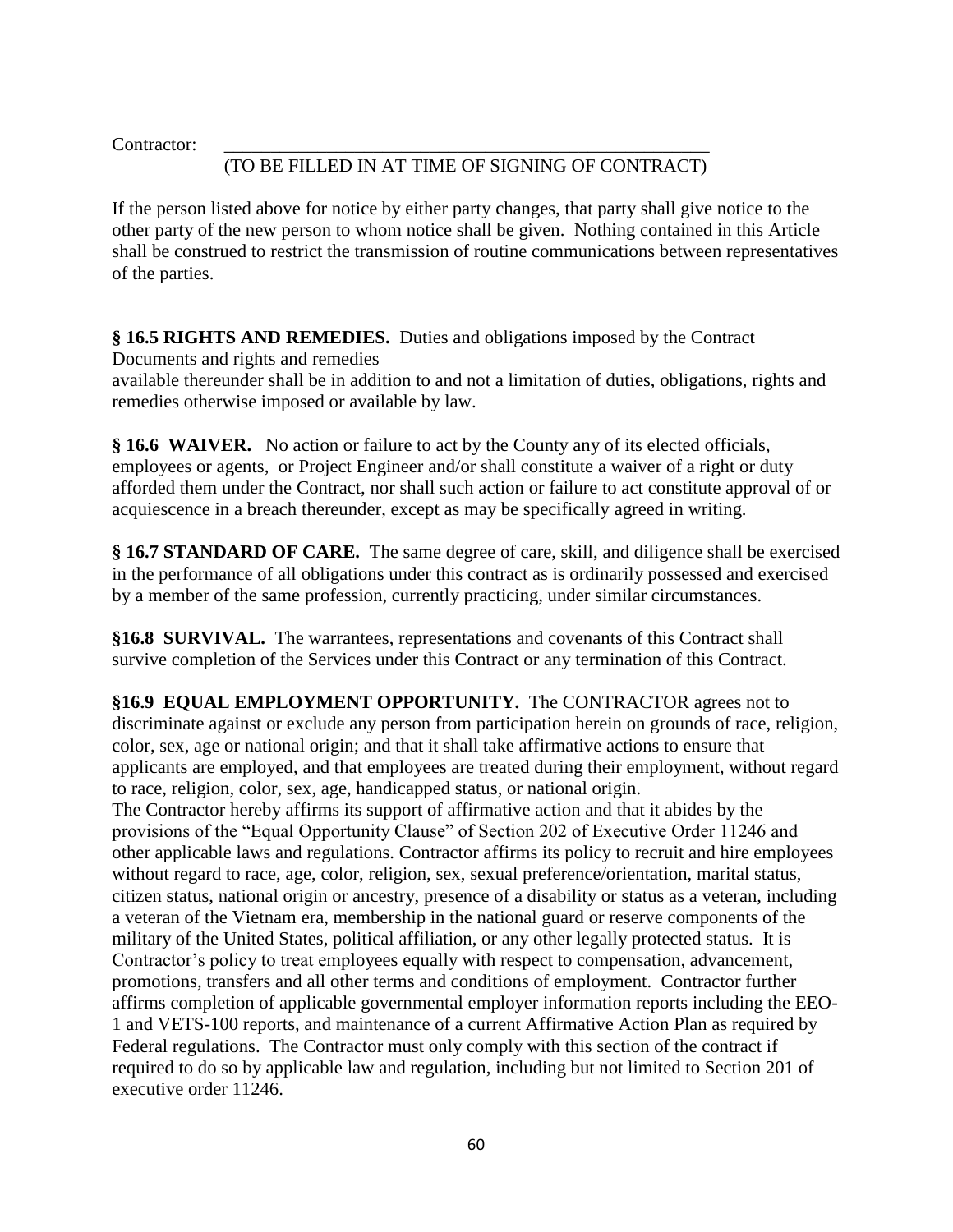Contractor:

# (TO BE FILLED IN AT TIME OF SIGNING OF CONTRACT)

If the person listed above for notice by either party changes, that party shall give notice to the other party of the new person to whom notice shall be given. Nothing contained in this Article shall be construed to restrict the transmission of routine communications between representatives of the parties.

**§ 16.5 RIGHTS AND REMEDIES.** Duties and obligations imposed by the Contract Documents and rights and remedies

available thereunder shall be in addition to and not a limitation of duties, obligations, rights and remedies otherwise imposed or available by law.

**§ 16.6 WAIVER.** No action or failure to act by the County any of its elected officials, employees or agents, or Project Engineer and/or shall constitute a waiver of a right or duty afforded them under the Contract, nor shall such action or failure to act constitute approval of or acquiescence in a breach thereunder, except as may be specifically agreed in writing.

**§ 16.7 STANDARD OF CARE.** The same degree of care, skill, and diligence shall be exercised in the performance of all obligations under this contract as is ordinarily possessed and exercised by a member of the same profession, currently practicing, under similar circumstances.

**§16.8 SURVIVAL.** The warrantees, representations and covenants of this Contract shall survive completion of the Services under this Contract or any termination of this Contract.

**§16.9 EQUAL EMPLOYMENT OPPORTUNITY.** The CONTRACTOR agrees not to discriminate against or exclude any person from participation herein on grounds of race, religion, color, sex, age or national origin; and that it shall take affirmative actions to ensure that applicants are employed, and that employees are treated during their employment, without regard to race, religion, color, sex, age, handicapped status, or national origin.

The Contractor hereby affirms its support of affirmative action and that it abides by the provisions of the "Equal Opportunity Clause" of Section 202 of Executive Order 11246 and other applicable laws and regulations. Contractor affirms its policy to recruit and hire employees without regard to race, age, color, religion, sex, sexual preference/orientation, marital status, citizen status, national origin or ancestry, presence of a disability or status as a veteran, including a veteran of the Vietnam era, membership in the national guard or reserve components of the military of the United States, political affiliation, or any other legally protected status. It is Contractor's policy to treat employees equally with respect to compensation, advancement, promotions, transfers and all other terms and conditions of employment. Contractor further affirms completion of applicable governmental employer information reports including the EEO-1 and VETS-100 reports, and maintenance of a current Affirmative Action Plan as required by Federal regulations. The Contractor must only comply with this section of the contract if required to do so by applicable law and regulation, including but not limited to Section 201 of executive order 11246.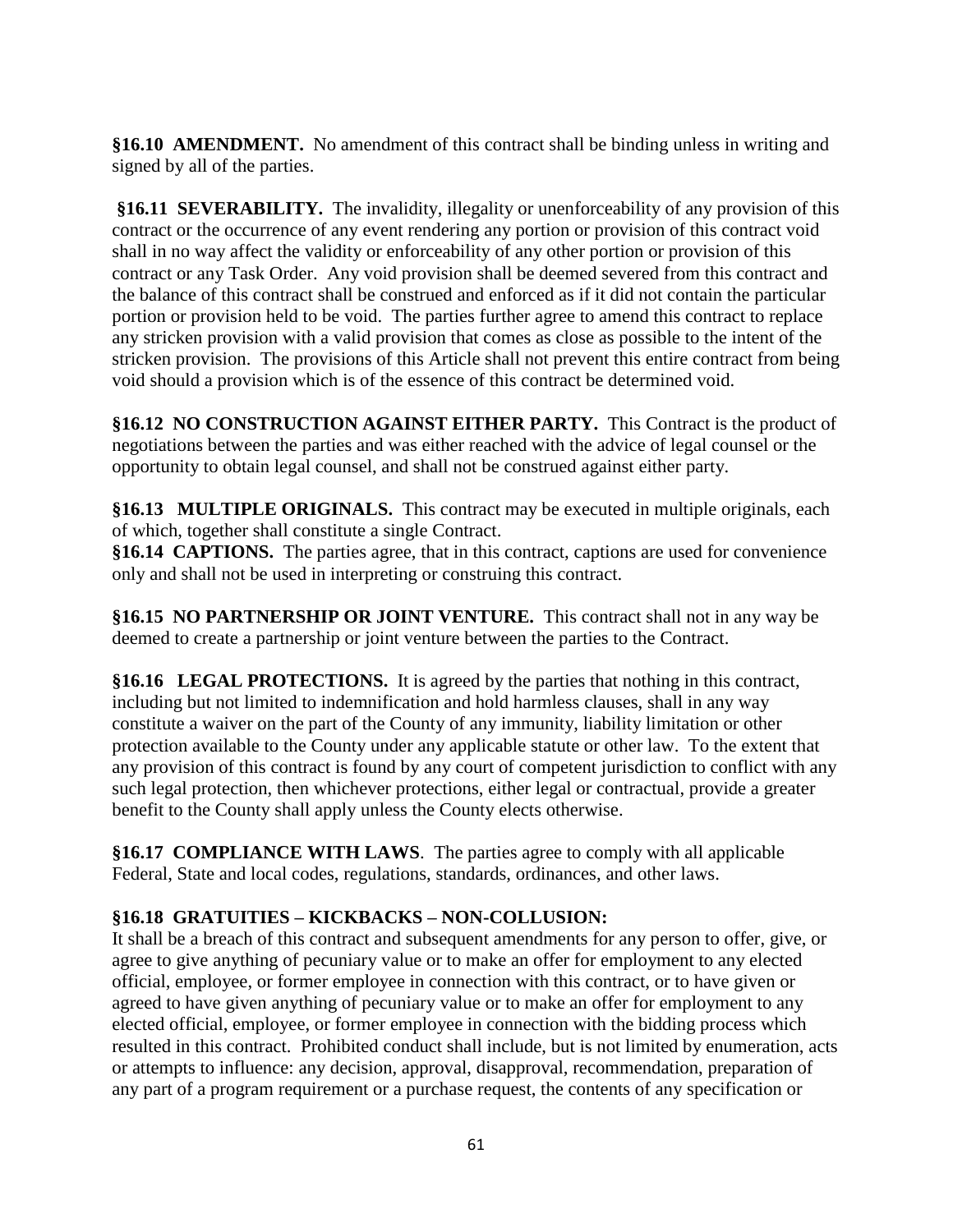**§16.10 AMENDMENT.** No amendment of this contract shall be binding unless in writing and signed by all of the parties.

**§16.11 SEVERABILITY.** The invalidity, illegality or unenforceability of any provision of this contract or the occurrence of any event rendering any portion or provision of this contract void shall in no way affect the validity or enforceability of any other portion or provision of this contract or any Task Order. Any void provision shall be deemed severed from this contract and the balance of this contract shall be construed and enforced as if it did not contain the particular portion or provision held to be void. The parties further agree to amend this contract to replace any stricken provision with a valid provision that comes as close as possible to the intent of the stricken provision. The provisions of this Article shall not prevent this entire contract from being void should a provision which is of the essence of this contract be determined void.

**§16.12 NO CONSTRUCTION AGAINST EITHER PARTY.** This Contract is the product of negotiations between the parties and was either reached with the advice of legal counsel or the opportunity to obtain legal counsel, and shall not be construed against either party.

**§16.13 MULTIPLE ORIGINALS.** This contract may be executed in multiple originals, each of which, together shall constitute a single Contract.

**§16.14 CAPTIONS.** The parties agree, that in this contract, captions are used for convenience only and shall not be used in interpreting or construing this contract.

**§16.15 NO PARTNERSHIP OR JOINT VENTURE.** This contract shall not in any way be deemed to create a partnership or joint venture between the parties to the Contract.

**§16.16 LEGAL PROTECTIONS.** It is agreed by the parties that nothing in this contract, including but not limited to indemnification and hold harmless clauses, shall in any way constitute a waiver on the part of the County of any immunity, liability limitation or other protection available to the County under any applicable statute or other law. To the extent that any provision of this contract is found by any court of competent jurisdiction to conflict with any such legal protection, then whichever protections, either legal or contractual, provide a greater benefit to the County shall apply unless the County elects otherwise.

**§16.17 COMPLIANCE WITH LAWS**. The parties agree to comply with all applicable Federal, State and local codes, regulations, standards, ordinances, and other laws.

## **§16.18 GRATUITIES – KICKBACKS – NON-COLLUSION:**

It shall be a breach of this contract and subsequent amendments for any person to offer, give, or agree to give anything of pecuniary value or to make an offer for employment to any elected official, employee, or former employee in connection with this contract, or to have given or agreed to have given anything of pecuniary value or to make an offer for employment to any elected official, employee, or former employee in connection with the bidding process which resulted in this contract. Prohibited conduct shall include, but is not limited by enumeration, acts or attempts to influence: any decision, approval, disapproval, recommendation, preparation of any part of a program requirement or a purchase request, the contents of any specification or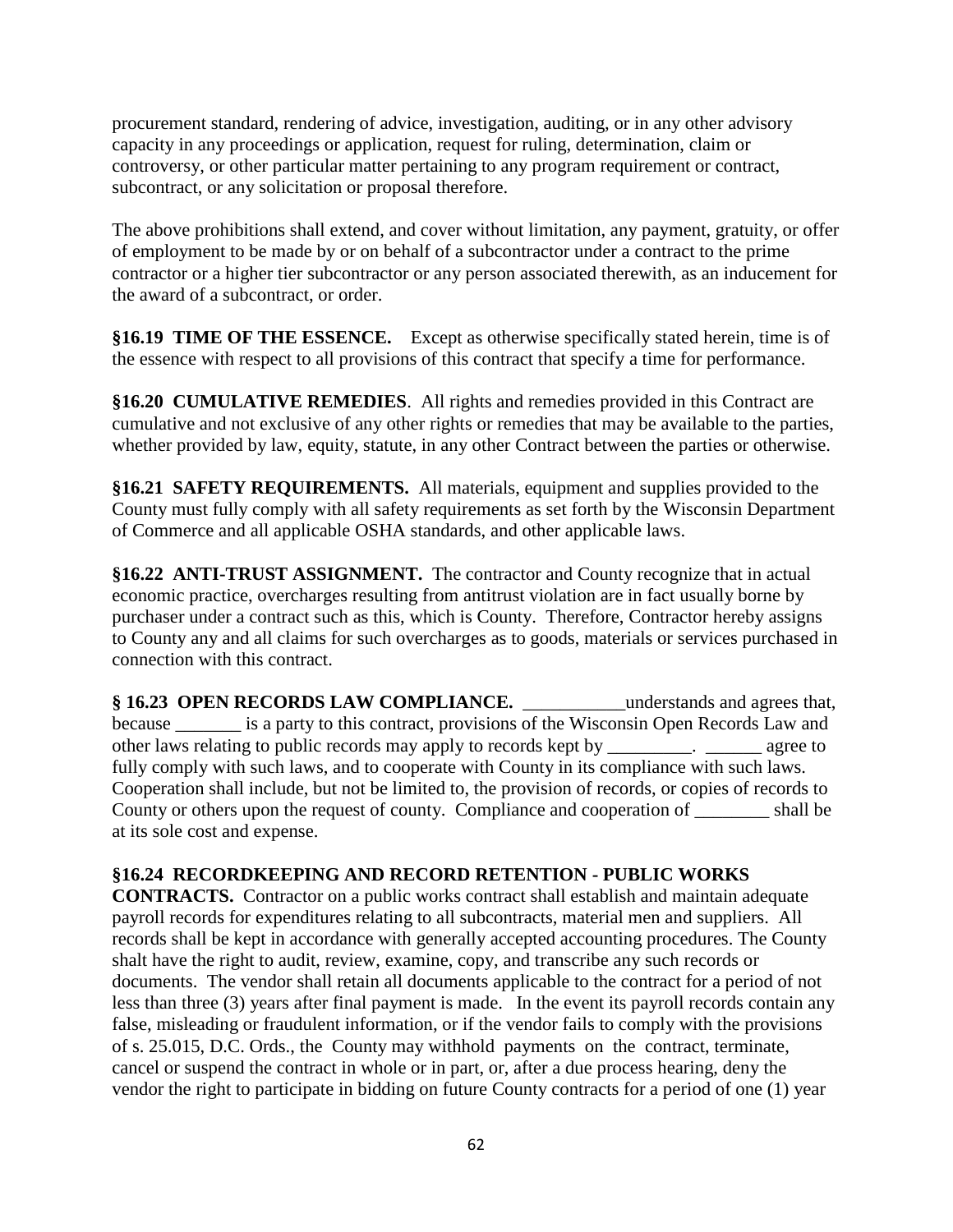procurement standard, rendering of advice, investigation, auditing, or in any other advisory capacity in any proceedings or application, request for ruling, determination, claim or controversy, or other particular matter pertaining to any program requirement or contract, subcontract, or any solicitation or proposal therefore.

The above prohibitions shall extend, and cover without limitation, any payment, gratuity, or offer of employment to be made by or on behalf of a subcontractor under a contract to the prime contractor or a higher tier subcontractor or any person associated therewith, as an inducement for the award of a subcontract, or order.

**§16.19 TIME OF THE ESSENCE.** Except as otherwise specifically stated herein, time is of the essence with respect to all provisions of this contract that specify a time for performance.

**§16.20 CUMULATIVE REMEDIES**. All rights and remedies provided in this Contract are cumulative and not exclusive of any other rights or remedies that may be available to the parties, whether provided by law, equity, statute, in any other Contract between the parties or otherwise.

**§16.21 SAFETY REQUIREMENTS.** All materials, equipment and supplies provided to the County must fully comply with all safety requirements as set forth by the Wisconsin Department of Commerce and all applicable OSHA standards, and other applicable laws.

**§16.22 ANTI-TRUST ASSIGNMENT.** The contractor and County recognize that in actual economic practice, overcharges resulting from antitrust violation are in fact usually borne by purchaser under a contract such as this, which is County. Therefore, Contractor hereby assigns to County any and all claims for such overcharges as to goods, materials or services purchased in connection with this contract.

**§ 16.23 OPEN RECORDS LAW COMPLIANCE.** \_\_\_\_\_\_\_\_\_\_\_understands and agrees that, because \_\_\_\_\_\_\_ is a party to this contract, provisions of the Wisconsin Open Records Law and other laws relating to public records may apply to records kept by \_\_\_\_\_\_\_\_\_. \_\_\_\_\_\_ agree to fully comply with such laws, and to cooperate with County in its compliance with such laws. Cooperation shall include, but not be limited to, the provision of records, or copies of records to County or others upon the request of county. Compliance and cooperation of \_\_\_\_\_\_\_\_ shall be at its sole cost and expense.

## **§16.24 RECORDKEEPING AND RECORD RETENTION - PUBLIC WORKS**

**CONTRACTS.** Contractor on a public works contract shall establish and maintain adequate payroll records for expenditures relating to all subcontracts, material men and suppliers. All records shall be kept in accordance with generally accepted accounting procedures. The County shalt have the right to audit, review, examine, copy, and transcribe any such records or documents. The vendor shall retain all documents applicable to the contract for a period of not less than three (3) years after final payment is made. In the event its payroll records contain any false, misleading or fraudulent information, or if the vendor fails to comply with the provisions of s. 25.015, D.C. Ords., the County may withhold payments on the contract, terminate, cancel or suspend the contract in whole or in part, or, after a due process hearing, deny the vendor the right to participate in bidding on future County contracts for a period of one (1) year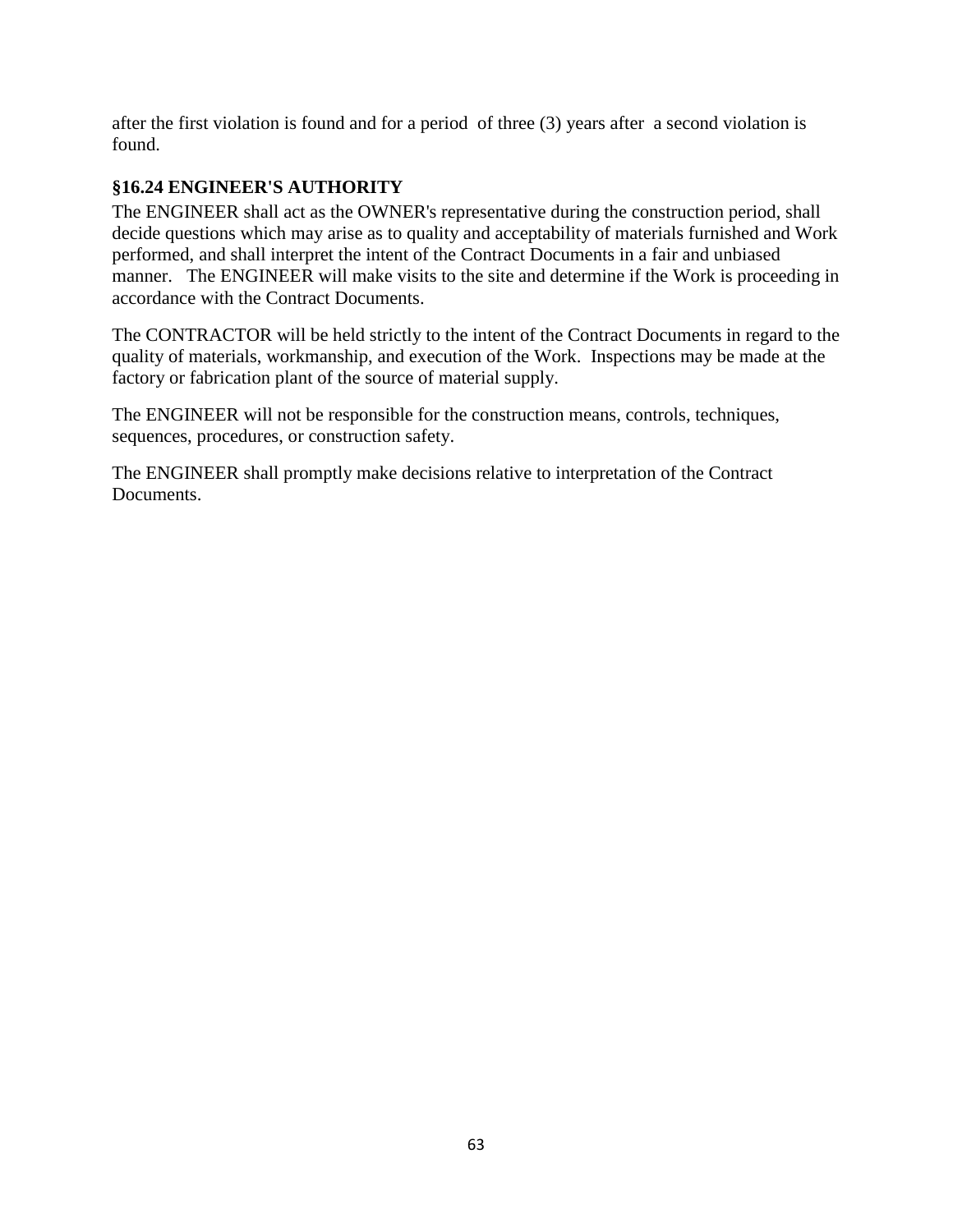after the first violation is found and for a period of three (3) years after a second violation is found.

## **§16.24 ENGINEER'S AUTHORITY**

The ENGINEER shall act as the OWNER's representative during the construction period, shall decide questions which may arise as to quality and acceptability of materials furnished and Work performed, and shall interpret the intent of the Contract Documents in a fair and unbiased manner. The ENGINEER will make visits to the site and determine if the Work is proceeding in accordance with the Contract Documents.

The CONTRACTOR will be held strictly to the intent of the Contract Documents in regard to the quality of materials, workmanship, and execution of the Work. Inspections may be made at the factory or fabrication plant of the source of material supply.

The ENGINEER will not be responsible for the construction means, controls, techniques, sequences, procedures, or construction safety.

The ENGINEER shall promptly make decisions relative to interpretation of the Contract Documents.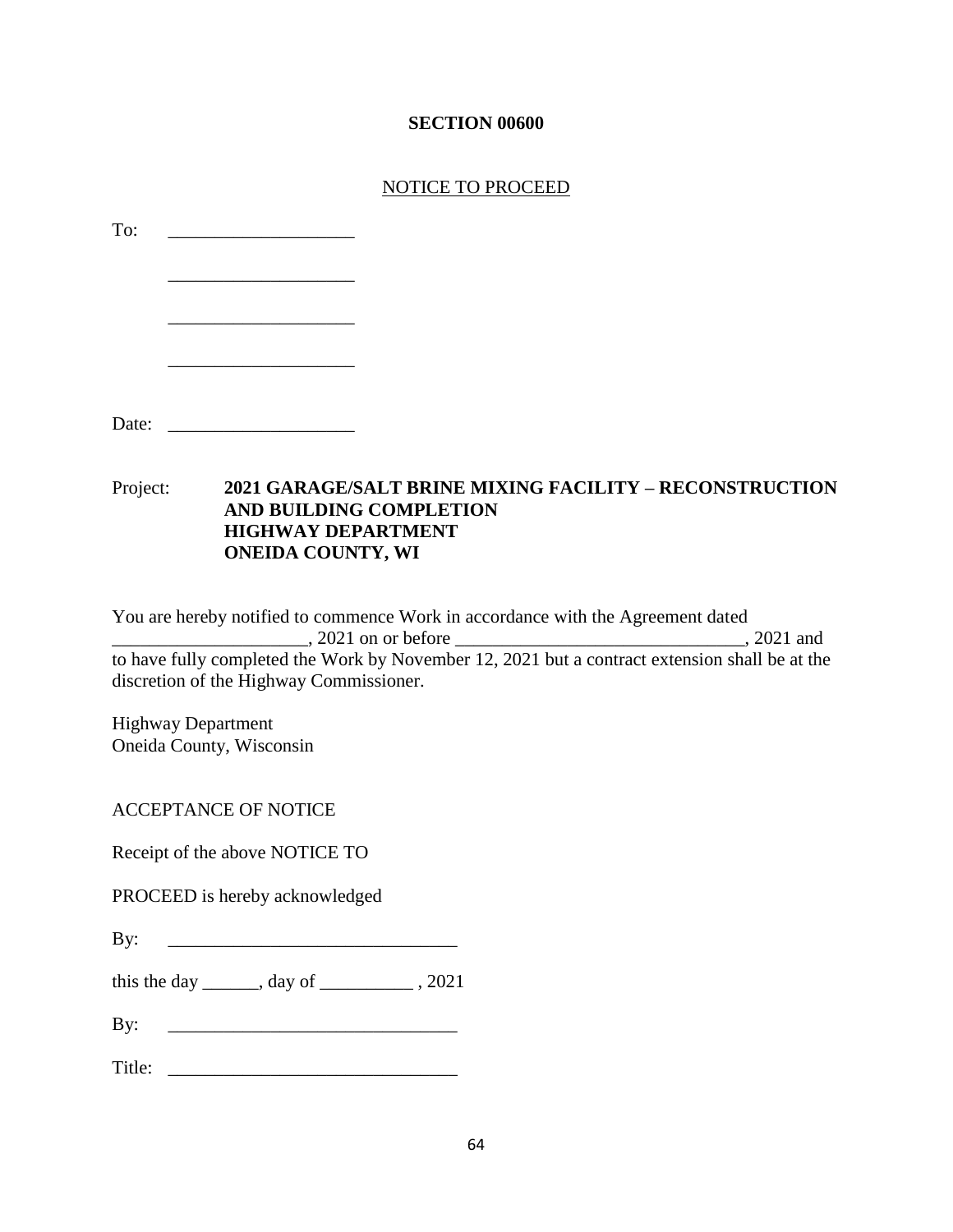# **SECTION 00600**

## NOTICE TO PROCEED

| To:                       |                                                                                                                                                           |  |
|---------------------------|-----------------------------------------------------------------------------------------------------------------------------------------------------------|--|
|                           |                                                                                                                                                           |  |
| Project:                  | <b>2021 GARAGE/SALT BRINE MIXING FACILITY - RECONSTRUCTION</b><br><b>AND BUILDING COMPLETION</b><br><b>HIGHWAY DEPARTMENT</b><br><b>ONEIDA COUNTY, WI</b> |  |
| <b>Highway Department</b> | You are hereby notified to commence Work in accordance with the Agreement dated<br>discretion of the Highway Commissioner.<br>Oneida County, Wisconsin    |  |
|                           | <b>ACCEPTANCE OF NOTICE</b>                                                                                                                               |  |
|                           | Receipt of the above NOTICE TO<br>PROCEED is hereby acknowledged                                                                                          |  |
| By:                       | <u> 1980 - Jan James James Barnett, fransk politik (d. 1980)</u>                                                                                          |  |
|                           | this the day _______, day of ______________, 2021                                                                                                         |  |
| By:                       |                                                                                                                                                           |  |
| Title:                    |                                                                                                                                                           |  |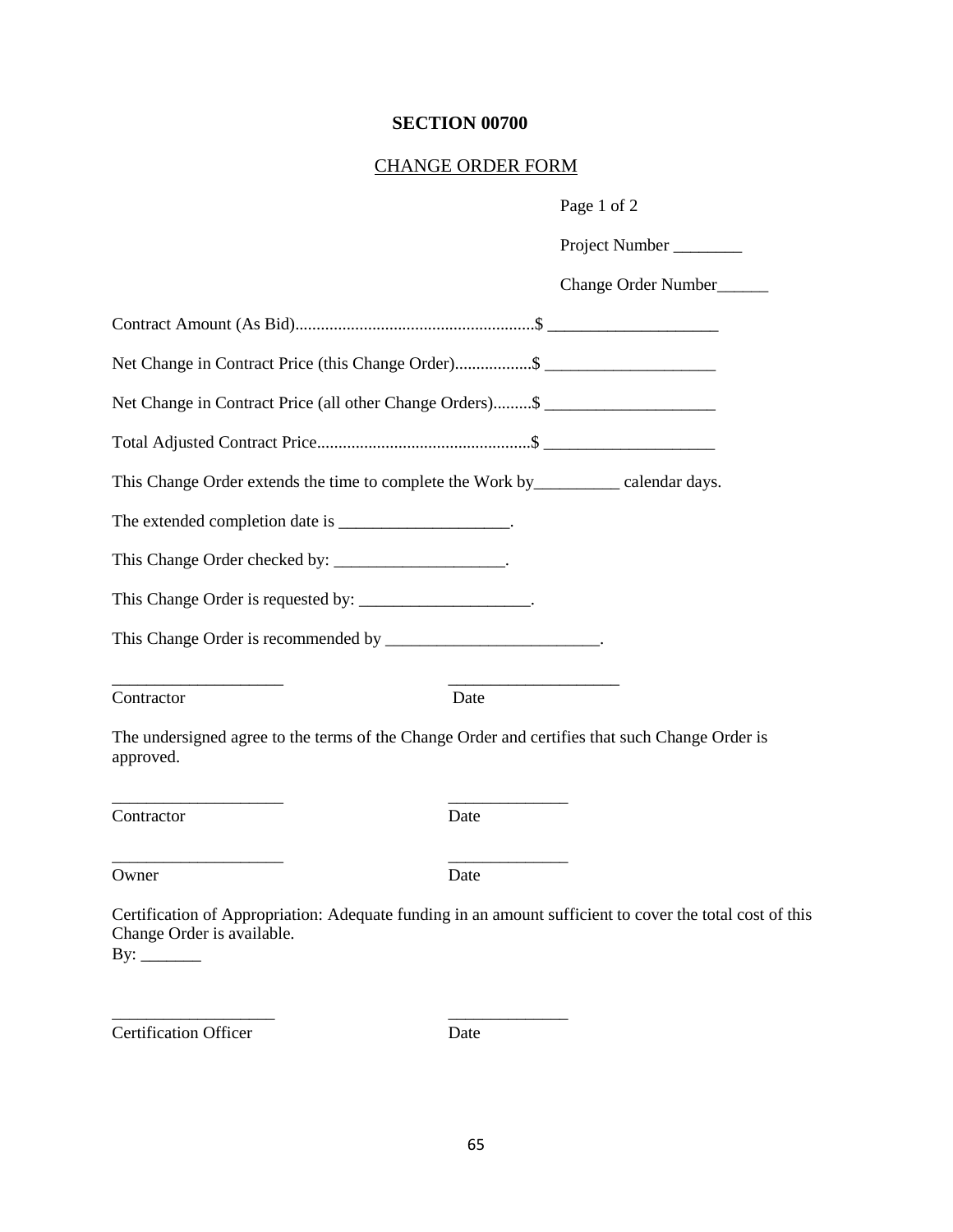# **SECTION 00700**

## CHANGE ORDER FORM

|                                                                                                                                        | Page 1 of 2         |
|----------------------------------------------------------------------------------------------------------------------------------------|---------------------|
|                                                                                                                                        | Project Number      |
|                                                                                                                                        | Change Order Number |
|                                                                                                                                        |                     |
| Net Change in Contract Price (this Change Order)\$                                                                                     |                     |
| Net Change in Contract Price (all other Change Orders)\$                                                                               |                     |
|                                                                                                                                        |                     |
| This Change Order extends the time to complete the Work by ________________ calendar days.                                             |                     |
| The extended completion date is _____________________.                                                                                 |                     |
| This Change Order checked by: ___________________.                                                                                     |                     |
| This Change Order is requested by: ____________________.                                                                               |                     |
| This Change Order is recommended by _______________________.                                                                           |                     |
| Contractor<br>Date                                                                                                                     |                     |
| The undersigned agree to the terms of the Change Order and certifies that such Change Order is<br>approved.                            |                     |
| Contractor<br>Date                                                                                                                     |                     |
| Owner<br>Date                                                                                                                          |                     |
| Certification of Appropriation: Adequate funding in an amount sufficient to cover the total cost of this<br>Change Order is available. |                     |

Certification Officer Date

\_\_\_\_\_\_\_\_\_\_\_\_\_\_\_\_\_\_\_ \_\_\_\_\_\_\_\_\_\_\_\_\_\_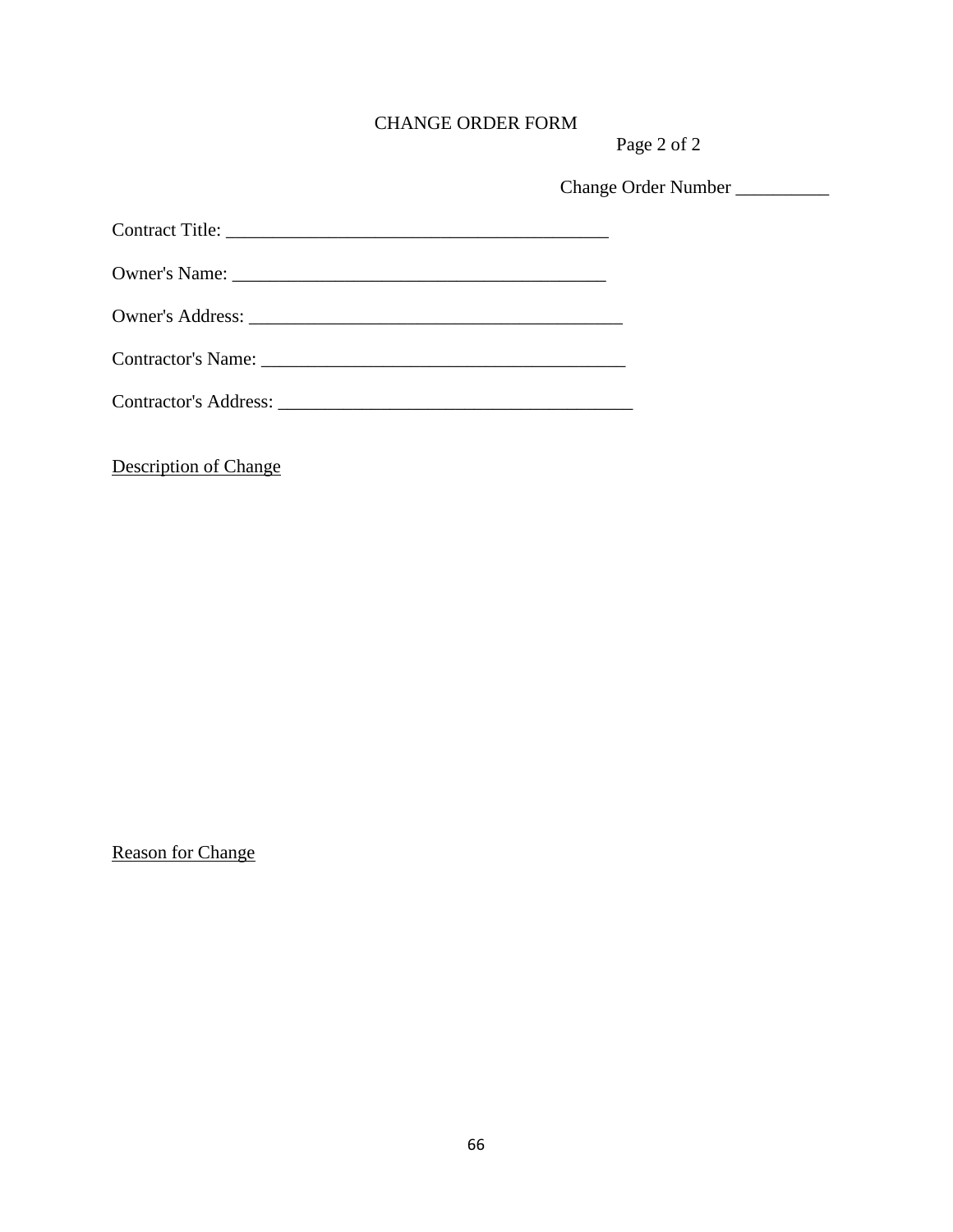# CHANGE ORDER FORM

Page 2 of 2

Change Order Number \_\_\_\_\_\_\_\_\_\_

| Owner's Name:            |  |
|--------------------------|--|
|                          |  |
| Contractor's Name: Name: |  |
|                          |  |

Description of Change

Reason for Change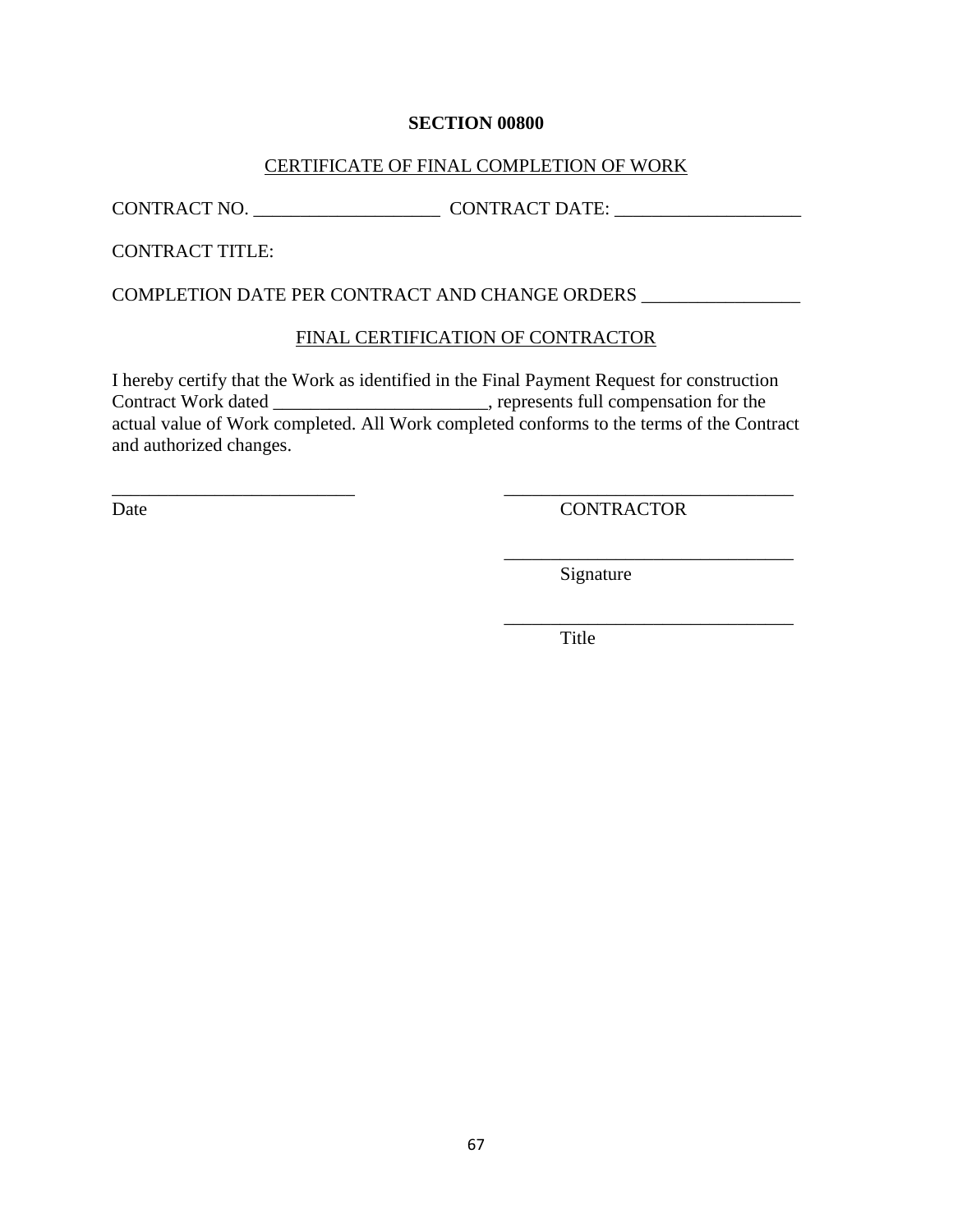#### **SECTION 00800**

#### CERTIFICATE OF FINAL COMPLETION OF WORK

CONTRACT NO. \_\_\_\_\_\_\_\_\_\_\_\_\_\_\_\_\_\_\_\_ CONTRACT DATE: \_\_\_\_\_\_\_\_\_\_\_\_\_\_\_\_\_\_\_\_

CONTRACT TITLE:

COMPLETION DATE PER CONTRACT AND CHANGE ORDERS \_\_\_\_\_\_\_\_\_\_\_\_\_\_\_\_\_

#### FINAL CERTIFICATION OF CONTRACTOR

I hereby certify that the Work as identified in the Final Payment Request for construction Contract Work dated \_\_\_\_\_\_\_\_\_\_\_\_\_\_\_\_\_\_\_\_\_\_\_, represents full compensation for the actual value of Work completed. All Work completed conforms to the terms of the Contract and authorized changes.

\_\_\_\_\_\_\_\_\_\_\_\_\_\_\_\_\_\_\_\_\_\_\_\_\_\_ \_\_\_\_\_\_\_\_\_\_\_\_\_\_\_\_\_\_\_\_\_\_\_\_\_\_\_\_\_\_\_

Date CONTRACTOR

\_\_\_\_\_\_\_\_\_\_\_\_\_\_\_\_\_\_\_\_\_\_\_\_\_\_\_\_\_\_\_

\_\_\_\_\_\_\_\_\_\_\_\_\_\_\_\_\_\_\_\_\_\_\_\_\_\_\_\_\_\_\_ Signature

Title